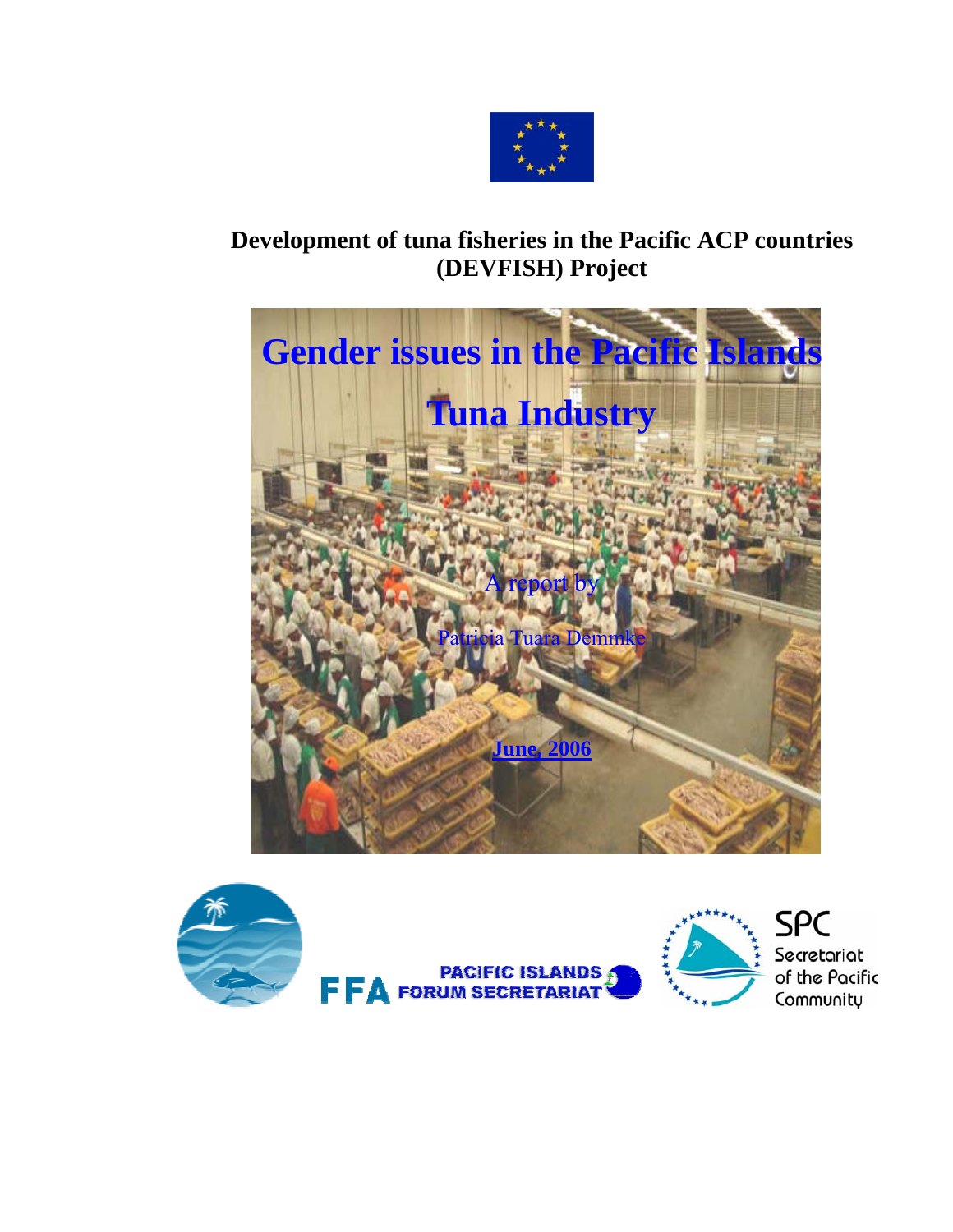

# **Development of tuna fisheries in the Pacific ACP countries (DEVFISH) Project**



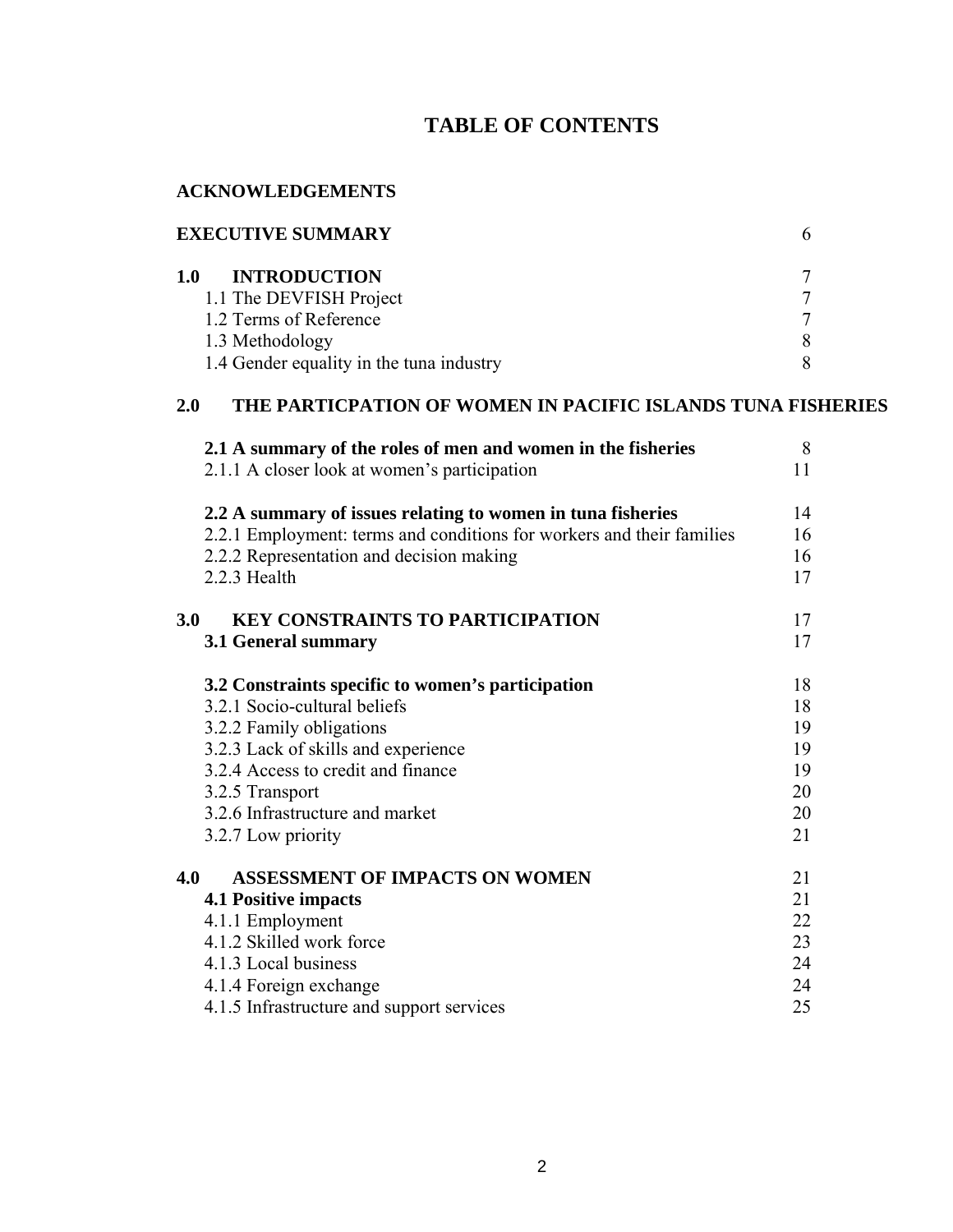# **TABLE OF CONTENTS**

#### **ACKNOWLEDGEMENTS**

| <b>EXECUTIVE SUMMARY</b>                 |  |  |
|------------------------------------------|--|--|
| <b>INTRODUCTION</b><br>1.0               |  |  |
| 1.1 The DEVFISH Project                  |  |  |
| 1.2 Terms of Reference                   |  |  |
| 1.3 Methodology                          |  |  |
| 1.4 Gender equality in the tuna industry |  |  |

# **2.0 THE PARTICPATION OF WOMEN IN PACIFIC ISLANDS TUNA FISHERIES**

|     | 2.1 A summary of the roles of men and women in the fisheries<br>2.1.1 A closer look at women's participation | 8<br>11 |
|-----|--------------------------------------------------------------------------------------------------------------|---------|
|     | 2.2 A summary of issues relating to women in tuna fisheries                                                  | 14      |
|     | 2.2.1 Employment: terms and conditions for workers and their families                                        | 16      |
|     | 2.2.2 Representation and decision making                                                                     | 16      |
|     | 2.2.3 Health                                                                                                 | 17      |
| 3.0 | <b>KEY CONSTRAINTS TO PARTICIPATION</b>                                                                      | 17      |
|     | 3.1 General summary                                                                                          | 17      |
|     | 3.2 Constraints specific to women's participation                                                            | 18      |
|     | 3.2.1 Socio-cultural beliefs                                                                                 | 18      |
|     | 3.2.2 Family obligations                                                                                     | 19      |
|     | 3.2.3 Lack of skills and experience                                                                          | 19      |
|     | 3.2.4 Access to credit and finance                                                                           | 19      |
|     | 3.2.5 Transport                                                                                              | 20      |
|     | 3.2.6 Infrastructure and market                                                                              | 20      |
|     | 3.2.7 Low priority                                                                                           | 21      |
| 4.0 | <b>ASSESSMENT OF IMPACTS ON WOMEN</b>                                                                        | 21      |
|     | <b>4.1 Positive impacts</b>                                                                                  | 21      |
|     | 4.1.1 Employment                                                                                             | 22      |
|     | 4.1.2 Skilled work force                                                                                     | 23      |
|     | 4.1.3 Local business                                                                                         | 24      |
|     | 4.1.4 Foreign exchange                                                                                       | 24      |
|     | 4.1.5 Infrastructure and support services                                                                    | 25      |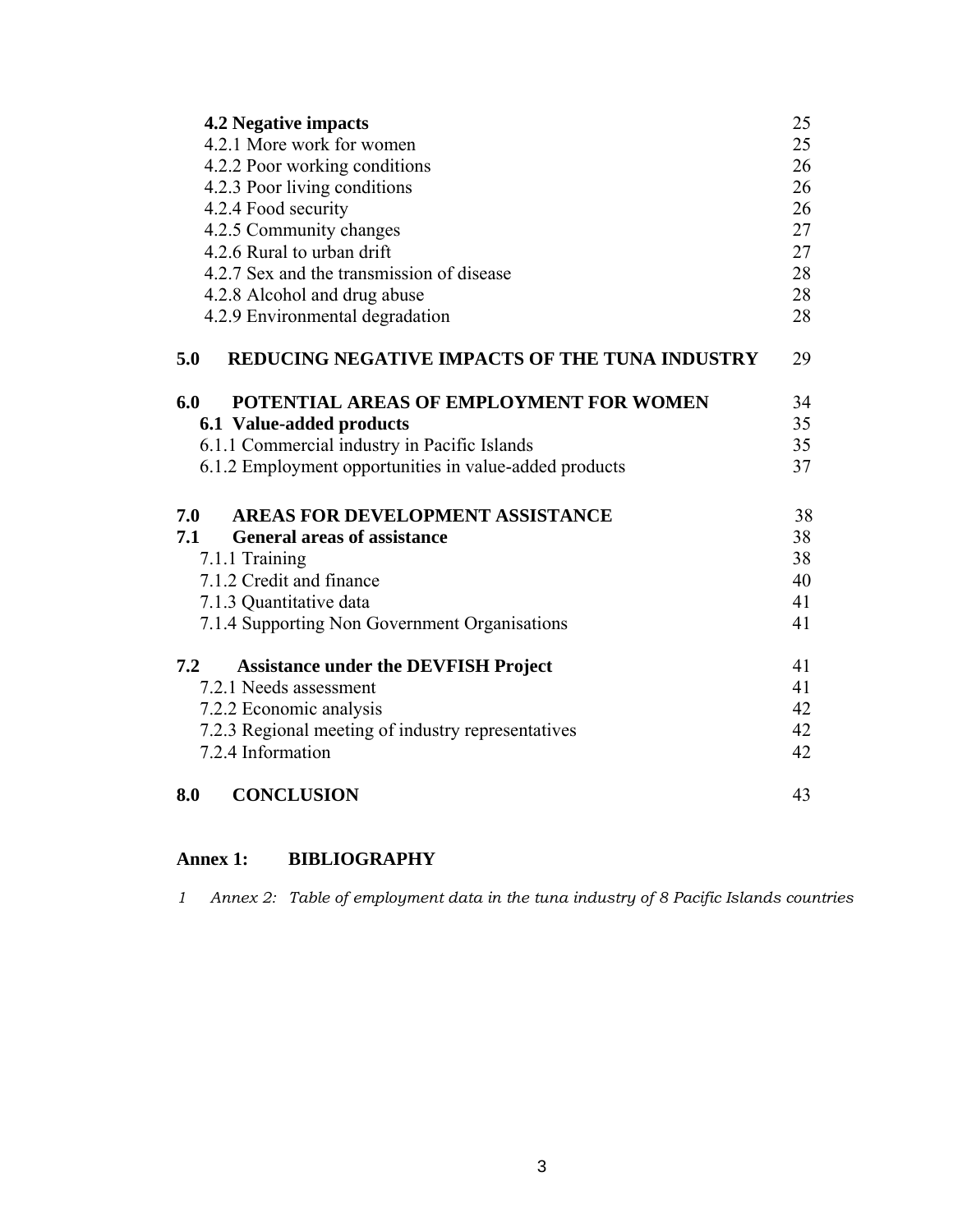| <b>4.2 Negative impacts</b>                                  | 25 |
|--------------------------------------------------------------|----|
| 4.2.1 More work for women                                    | 25 |
| 4.2.2 Poor working conditions                                | 26 |
| 4.2.3 Poor living conditions                                 | 26 |
| 4.2.4 Food security                                          | 26 |
| 4.2.5 Community changes                                      | 27 |
| 4.2.6 Rural to urban drift                                   | 27 |
| 4.2.7 Sex and the transmission of disease                    | 28 |
| 4.2.8 Alcohol and drug abuse                                 | 28 |
| 4.2.9 Environmental degradation                              | 28 |
| <b>REDUCING NEGATIVE IMPACTS OF THE TUNA INDUSTRY</b><br>5.0 | 29 |
| 6.0<br>POTENTIAL AREAS OF EMPLOYMENT FOR WOMEN               | 34 |
| 6.1 Value-added products                                     | 35 |
| 6.1.1 Commercial industry in Pacific Islands                 | 35 |
| 6.1.2 Employment opportunities in value-added products       | 37 |
| <b>AREAS FOR DEVELOPMENT ASSISTANCE</b><br>7.0               | 38 |
| 7.1<br><b>General areas of assistance</b>                    | 38 |
| 7.1.1 Training                                               | 38 |
| 7.1.2 Credit and finance                                     | 40 |
| 7.1.3 Quantitative data                                      | 41 |
| 7.1.4 Supporting Non Government Organisations                | 41 |
| 7.2<br><b>Assistance under the DEVFISH Project</b>           | 41 |
| 7.2.1 Needs assessment                                       | 41 |
| 7.2.2 Economic analysis                                      | 42 |
| 7.2.3 Regional meeting of industry representatives           | 42 |
| 7.2.4 Information                                            | 42 |
| 8.0<br><b>CONCLUSION</b>                                     | 43 |

# **Annex 1: BIBLIOGRAPHY**

*1 Annex 2: Table of employment data in the tuna industry of 8 Pacific Islands countries*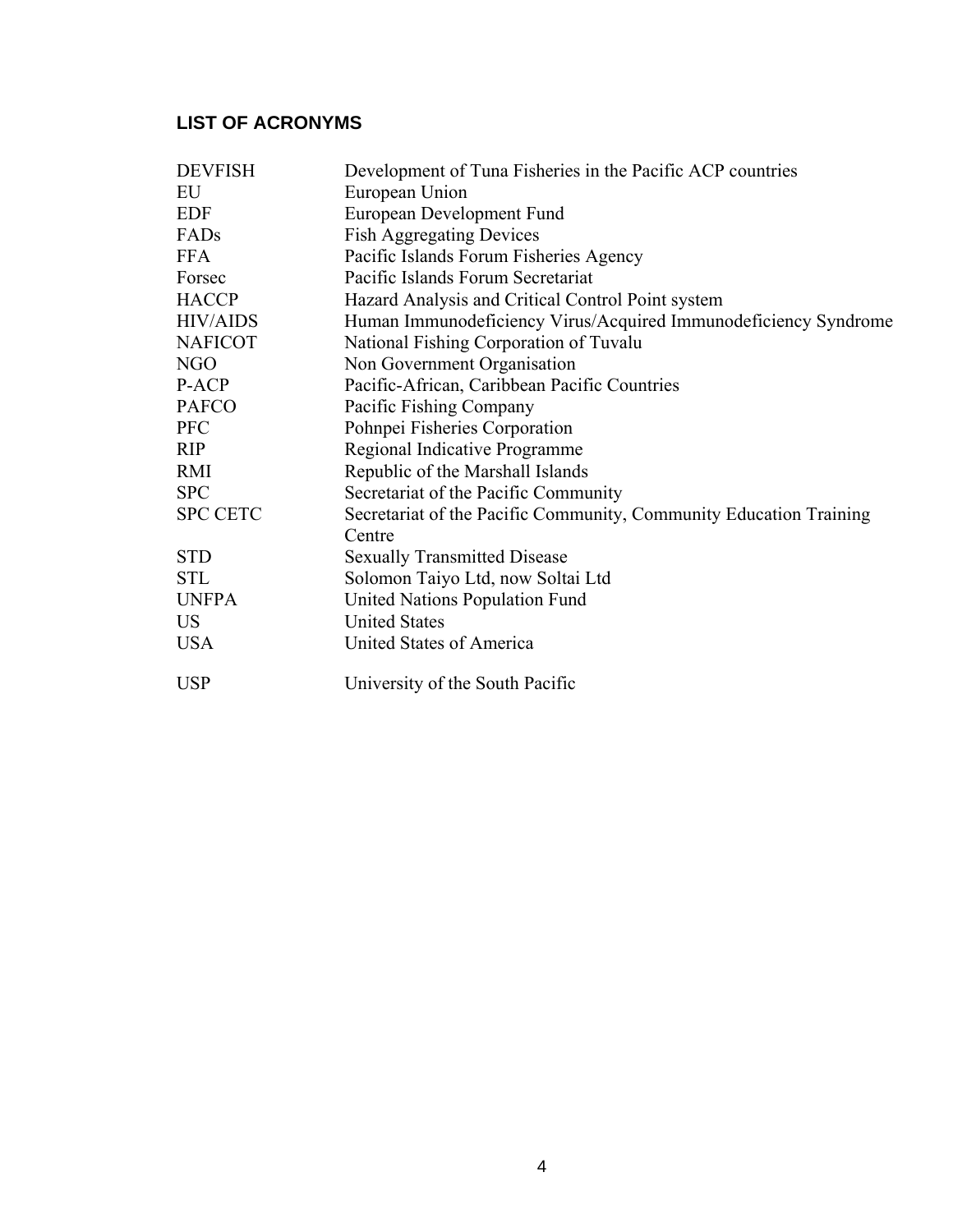# **LIST OF ACRONYMS**

| <b>DEVFISH</b>  | Development of Tuna Fisheries in the Pacific ACP countries         |
|-----------------|--------------------------------------------------------------------|
| EU              | European Union                                                     |
| <b>EDF</b>      | European Development Fund                                          |
| FADs            | <b>Fish Aggregating Devices</b>                                    |
| <b>FFA</b>      | Pacific Islands Forum Fisheries Agency                             |
| Forsec          | Pacific Islands Forum Secretariat                                  |
| <b>HACCP</b>    | Hazard Analysis and Critical Control Point system                  |
| <b>HIV/AIDS</b> | Human Immunodeficiency Virus/Acquired Immunodeficiency Syndrome    |
| <b>NAFICOT</b>  | National Fishing Corporation of Tuvalu                             |
| <b>NGO</b>      | Non Government Organisation                                        |
| P-ACP           | Pacific-African, Caribbean Pacific Countries                       |
| <b>PAFCO</b>    | Pacific Fishing Company                                            |
| <b>PFC</b>      | Pohnpei Fisheries Corporation                                      |
| <b>RIP</b>      | Regional Indicative Programme                                      |
| RMI             | Republic of the Marshall Islands                                   |
| <b>SPC</b>      | Secretariat of the Pacific Community                               |
| <b>SPC CETC</b> | Secretariat of the Pacific Community, Community Education Training |
|                 | Centre                                                             |
| <b>STD</b>      | <b>Sexually Transmitted Disease</b>                                |
| <b>STL</b>      | Solomon Taiyo Ltd, now Soltai Ltd                                  |
| <b>UNFPA</b>    | United Nations Population Fund                                     |
| <b>US</b>       | <b>United States</b>                                               |
| <b>USA</b>      | United States of America                                           |
| <b>USP</b>      | University of the South Pacific                                    |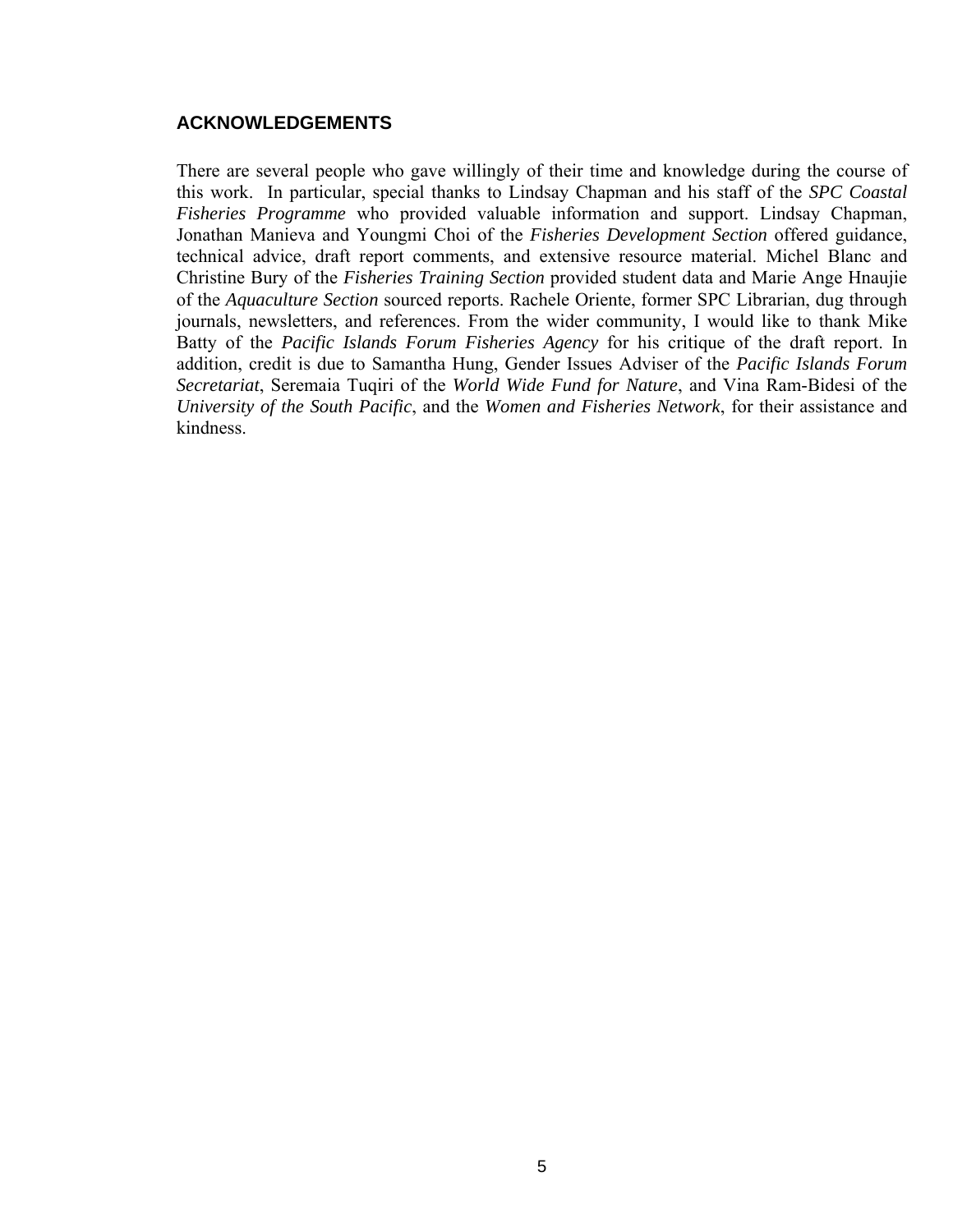## **ACKNOWLEDGEMENTS**

There are several people who gave willingly of their time and knowledge during the course of this work. In particular, special thanks to Lindsay Chapman and his staff of the *SPC Coastal Fisheries Programme* who provided valuable information and support. Lindsay Chapman, Jonathan Manieva and Youngmi Choi of the *Fisheries Development Section* offered guidance, technical advice, draft report comments, and extensive resource material. Michel Blanc and Christine Bury of the *Fisheries Training Section* provided student data and Marie Ange Hnaujie of the *Aquaculture Section* sourced reports. Rachele Oriente, former SPC Librarian, dug through journals, newsletters, and references. From the wider community, I would like to thank Mike Batty of the *Pacific Islands Forum Fisheries Agency* for his critique of the draft report. In addition, credit is due to Samantha Hung, Gender Issues Adviser of the *Pacific Islands Forum Secretariat*, Seremaia Tuqiri of the *World Wide Fund for Nature*, and Vina Ram-Bidesi of the *University of the South Pacific*, and the *Women and Fisheries Network*, for their assistance and kindness.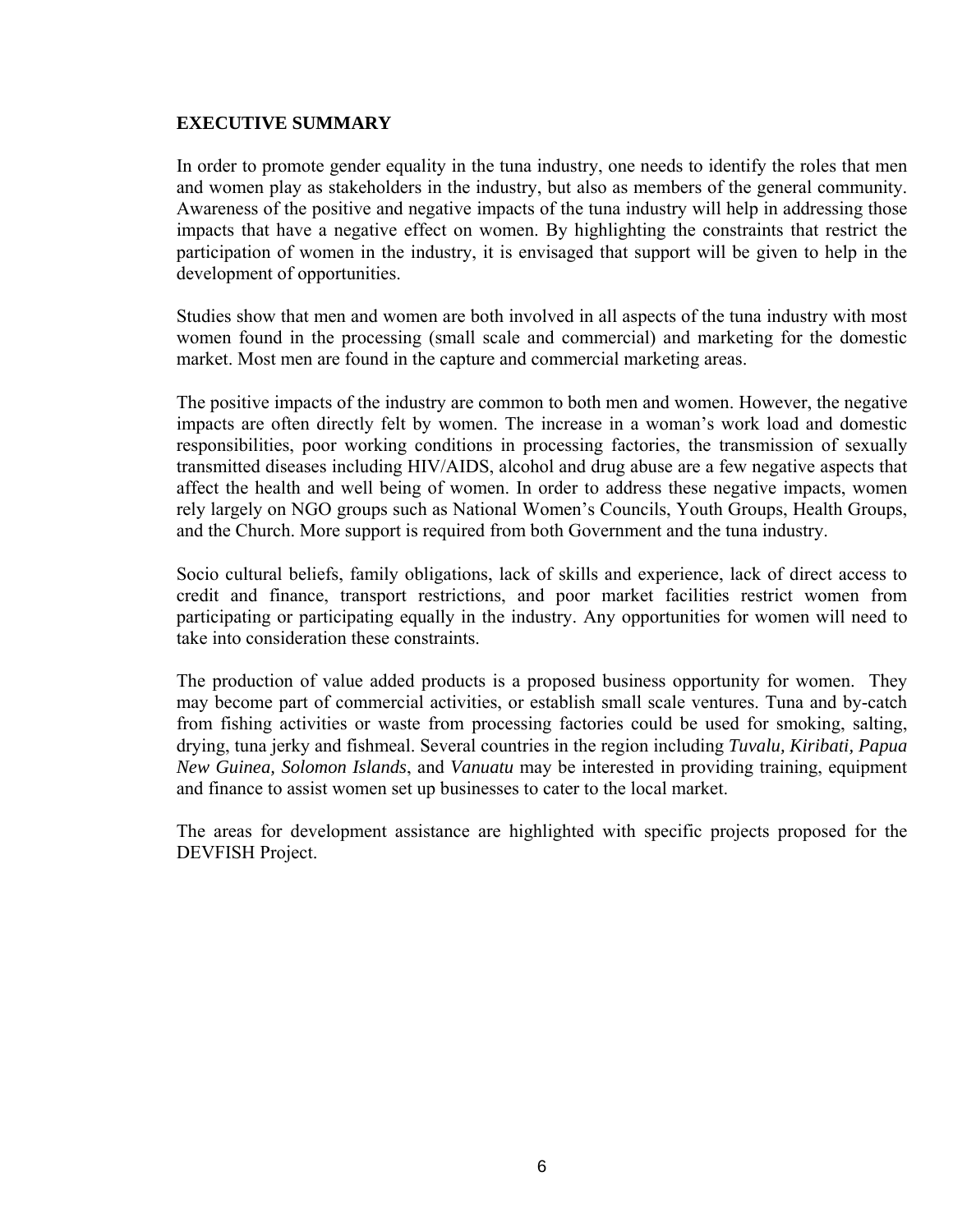#### **EXECUTIVE SUMMARY**

In order to promote gender equality in the tuna industry, one needs to identify the roles that men and women play as stakeholders in the industry, but also as members of the general community. Awareness of the positive and negative impacts of the tuna industry will help in addressing those impacts that have a negative effect on women. By highlighting the constraints that restrict the participation of women in the industry, it is envisaged that support will be given to help in the development of opportunities.

Studies show that men and women are both involved in all aspects of the tuna industry with most women found in the processing (small scale and commercial) and marketing for the domestic market. Most men are found in the capture and commercial marketing areas.

The positive impacts of the industry are common to both men and women. However, the negative impacts are often directly felt by women. The increase in a woman's work load and domestic responsibilities, poor working conditions in processing factories, the transmission of sexually transmitted diseases including HIV/AIDS, alcohol and drug abuse are a few negative aspects that affect the health and well being of women. In order to address these negative impacts, women rely largely on NGO groups such as National Women's Councils, Youth Groups, Health Groups, and the Church. More support is required from both Government and the tuna industry.

Socio cultural beliefs, family obligations, lack of skills and experience, lack of direct access to credit and finance, transport restrictions, and poor market facilities restrict women from participating or participating equally in the industry. Any opportunities for women will need to take into consideration these constraints.

The production of value added products is a proposed business opportunity for women. They may become part of commercial activities, or establish small scale ventures. Tuna and by-catch from fishing activities or waste from processing factories could be used for smoking, salting, drying, tuna jerky and fishmeal. Several countries in the region including *Tuvalu, Kiribati, Papua New Guinea, Solomon Islands*, and *Vanuatu* may be interested in providing training, equipment and finance to assist women set up businesses to cater to the local market.

The areas for development assistance are highlighted with specific projects proposed for the DEVFISH Project.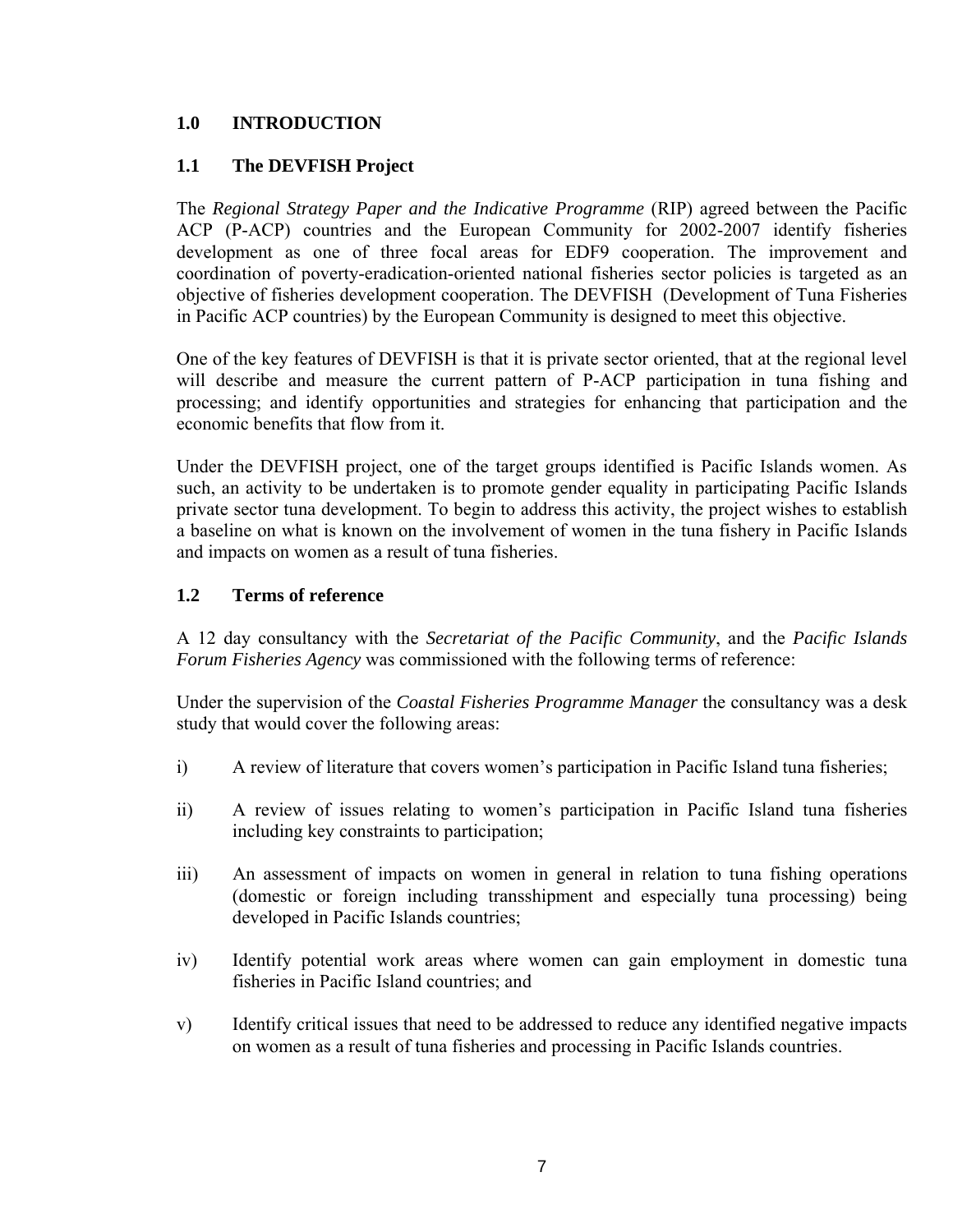# **1.0 INTRODUCTION**

## **1.1 The DEVFISH Project**

The *Regional Strategy Paper and the Indicative Programme* (RIP) agreed between the Pacific ACP (P-ACP) countries and the European Community for 2002-2007 identify fisheries development as one of three focal areas for EDF9 cooperation. The improvement and coordination of poverty-eradication-oriented national fisheries sector policies is targeted as an objective of fisheries development cooperation. The DEVFISH (Development of Tuna Fisheries in Pacific ACP countries) by the European Community is designed to meet this objective.

One of the key features of DEVFISH is that it is private sector oriented, that at the regional level will describe and measure the current pattern of P-ACP participation in tuna fishing and processing; and identify opportunities and strategies for enhancing that participation and the economic benefits that flow from it.

Under the DEVFISH project, one of the target groups identified is Pacific Islands women. As such, an activity to be undertaken is to promote gender equality in participating Pacific Islands private sector tuna development. To begin to address this activity, the project wishes to establish a baseline on what is known on the involvement of women in the tuna fishery in Pacific Islands and impacts on women as a result of tuna fisheries.

# **1.2 Terms of reference**

A 12 day consultancy with the *Secretariat of the Pacific Community*, and the *Pacific Islands Forum Fisheries Agency* was commissioned with the following terms of reference:

Under the supervision of the *Coastal Fisheries Programme Manager* the consultancy was a desk study that would cover the following areas:

- i) A review of literature that covers women's participation in Pacific Island tuna fisheries;
- ii) A review of issues relating to women's participation in Pacific Island tuna fisheries including key constraints to participation;
- iii) An assessment of impacts on women in general in relation to tuna fishing operations (domestic or foreign including transshipment and especially tuna processing) being developed in Pacific Islands countries;
- iv) Identify potential work areas where women can gain employment in domestic tuna fisheries in Pacific Island countries; and
- v) Identify critical issues that need to be addressed to reduce any identified negative impacts on women as a result of tuna fisheries and processing in Pacific Islands countries.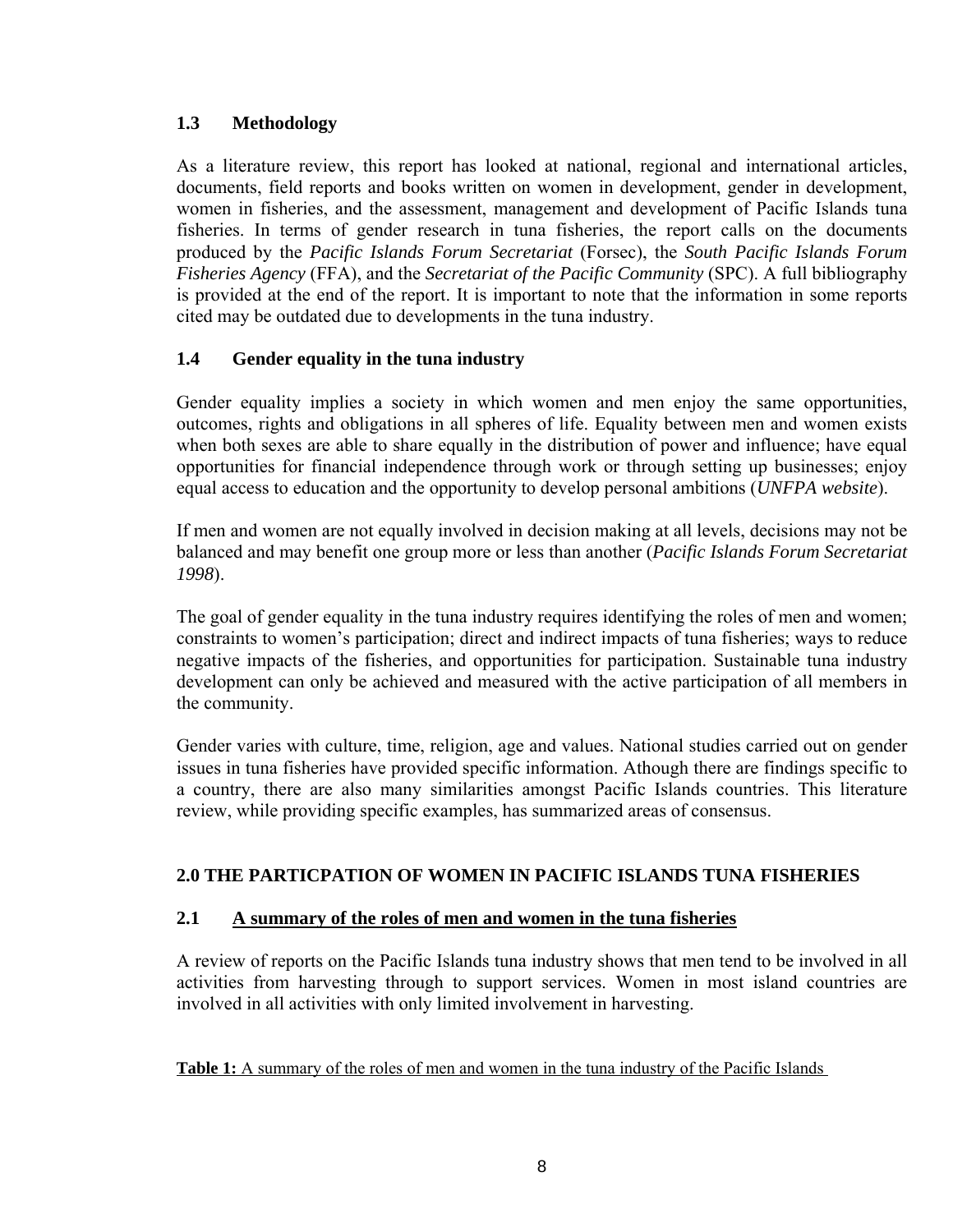# **1.3 Methodology**

As a literature review, this report has looked at national, regional and international articles, documents, field reports and books written on women in development, gender in development, women in fisheries, and the assessment, management and development of Pacific Islands tuna fisheries. In terms of gender research in tuna fisheries, the report calls on the documents produced by the *Pacific Islands Forum Secretariat* (Forsec), the *South Pacific Islands Forum Fisheries Agency* (FFA), and the *Secretariat of the Pacific Community* (SPC). A full bibliography is provided at the end of the report. It is important to note that the information in some reports cited may be outdated due to developments in the tuna industry.

# **1.4 Gender equality in the tuna industry**

Gender equality implies a society in which women and men enjoy the same opportunities, outcomes, rights and obligations in all spheres of life. Equality between men and women exists when both sexes are able to share equally in the distribution of power and influence; have equal opportunities for financial independence through work or through setting up businesses; enjoy equal access to education and the opportunity to develop personal ambitions (*UNFPA website*).

If men and women are not equally involved in decision making at all levels, decisions may not be balanced and may benefit one group more or less than another (*Pacific Islands Forum Secretariat 1998*).

The goal of gender equality in the tuna industry requires identifying the roles of men and women; constraints to women's participation; direct and indirect impacts of tuna fisheries; ways to reduce negative impacts of the fisheries, and opportunities for participation. Sustainable tuna industry development can only be achieved and measured with the active participation of all members in the community.

Gender varies with culture, time, religion, age and values. National studies carried out on gender issues in tuna fisheries have provided specific information. Athough there are findings specific to a country, there are also many similarities amongst Pacific Islands countries. This literature review, while providing specific examples, has summarized areas of consensus.

## **2.0 THE PARTICPATION OF WOMEN IN PACIFIC ISLANDS TUNA FISHERIES**

## **2.1 A summary of the roles of men and women in the tuna fisheries**

A review of reports on the Pacific Islands tuna industry shows that men tend to be involved in all activities from harvesting through to support services. Women in most island countries are involved in all activities with only limited involvement in harvesting.

**Table 1:** A summary of the roles of men and women in the tuna industry of the Pacific Islands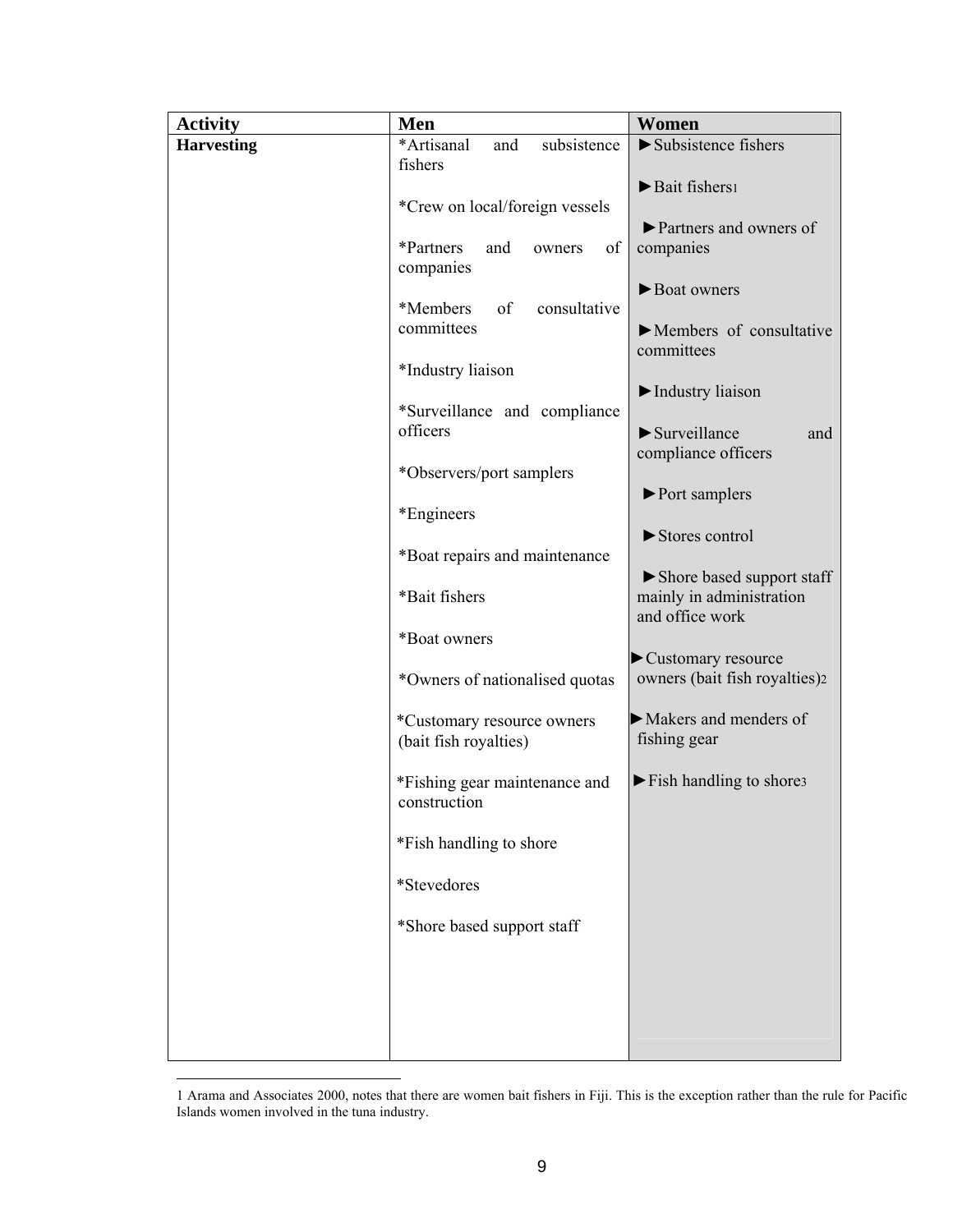| <b>Activity</b>   | Men                                                 | Women                                                                    |
|-------------------|-----------------------------------------------------|--------------------------------------------------------------------------|
| <b>Harvesting</b> | *Artisanal<br>and<br>subsistence                    | $\blacktriangleright$ Subsistence fishers                                |
|                   | fishers<br>*Crew on local/foreign vessels           | Bait fishers!                                                            |
|                   | *Partners<br>and<br>of<br>owners<br>companies       | Partners and owners of<br>companies                                      |
|                   | *Members<br>consultative<br>of<br>committees        | Boat owners                                                              |
|                   | *Industry liaison                                   | $\blacktriangleright$ Members of consultative<br>committees              |
|                   | *Surveillance and compliance                        | Industry liaison                                                         |
|                   | officers                                            | $\blacktriangleright$ Surveillance<br>and<br>compliance officers         |
|                   | *Observers/port samplers<br>*Engineers              | $\blacktriangleright$ Port samplers                                      |
|                   | *Boat repairs and maintenance                       | Stores control                                                           |
|                   | *Bait fishers                                       | Shore based support staff<br>mainly in administration<br>and office work |
|                   | *Boat owners                                        | Customary resource                                                       |
|                   | *Owners of nationalised quotas                      | owners (bait fish royalties)2                                            |
|                   | *Customary resource owners<br>(bait fish royalties) | $\blacktriangleright$ Makers and menders of<br>fishing gear              |
|                   | *Fishing gear maintenance and<br>construction       | $\blacktriangleright$ Fish handling to shore 3                           |
|                   | *Fish handling to shore                             |                                                                          |
|                   | *Stevedores                                         |                                                                          |
|                   | *Shore based support staff                          |                                                                          |
|                   |                                                     |                                                                          |
|                   |                                                     |                                                                          |

<span id="page-8-2"></span><span id="page-8-1"></span><span id="page-8-0"></span> <sup>1</sup> Arama and Associates 2000, notes that there are women bait fishers in Fiji. This is the exception rather than the rule for Pacific Islands women involved in the tuna industry.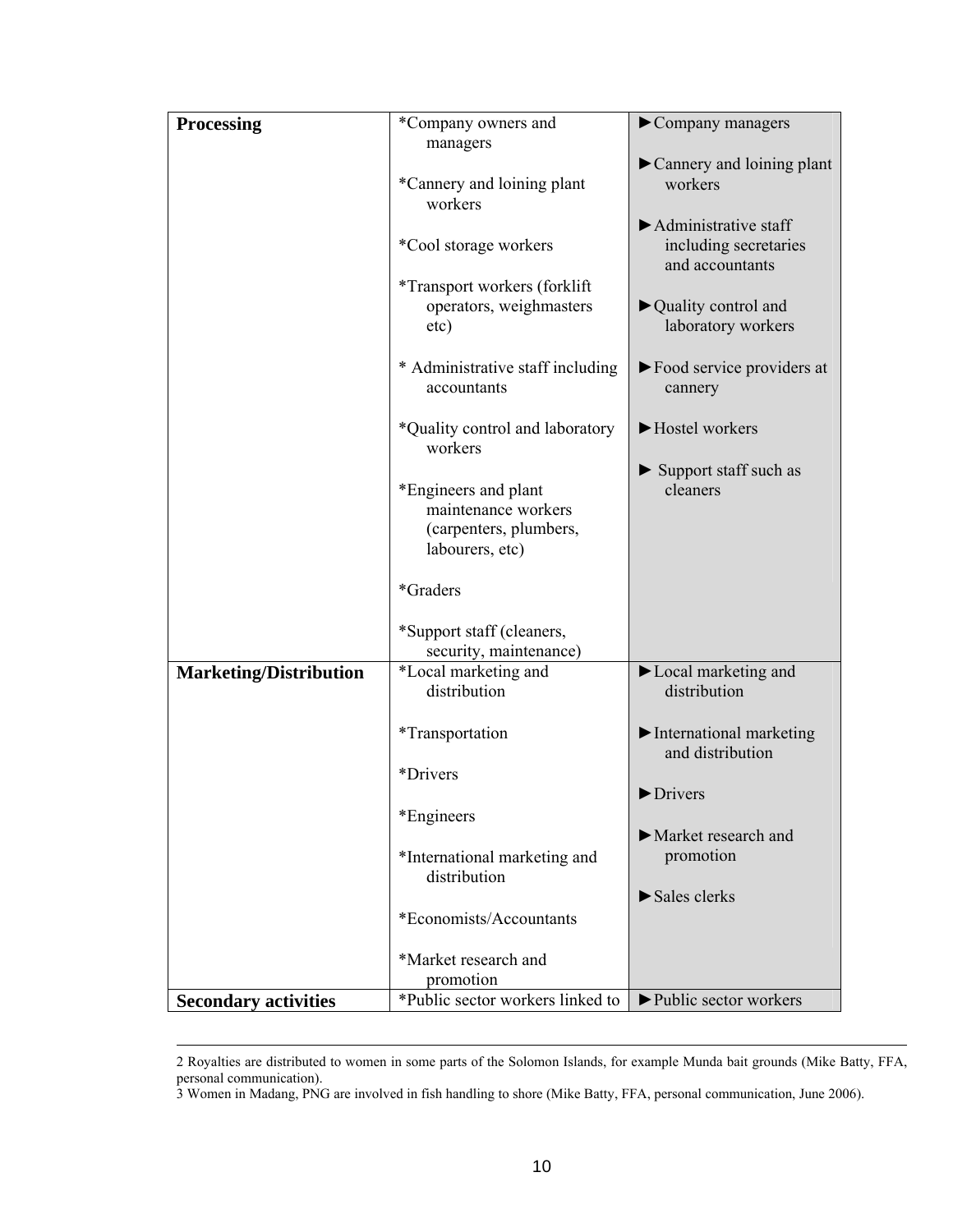| Processing                    | *Company owners and                                                                      | $\blacktriangleright$ Company managers                                                 |
|-------------------------------|------------------------------------------------------------------------------------------|----------------------------------------------------------------------------------------|
|                               | managers                                                                                 |                                                                                        |
|                               | *Cannery and loining plant<br>workers                                                    | Cannery and loining plant<br>workers                                                   |
|                               | *Cool storage workers                                                                    | $\blacktriangleright$ Administrative staff<br>including secretaries<br>and accountants |
|                               | *Transport workers (forklift)<br>operators, weighmasters<br>etc)                         | $\blacktriangleright$ Quality control and<br>laboratory workers                        |
|                               | * Administrative staff including<br>accountants                                          | $\blacktriangleright$ Food service providers at<br>cannery                             |
|                               | *Quality control and laboratory<br>workers                                               | Hostel workers                                                                         |
|                               | *Engineers and plant<br>maintenance workers<br>(carpenters, plumbers,<br>labourers, etc) | $\blacktriangleright$ Support staff such as<br>cleaners                                |
|                               | *Graders                                                                                 |                                                                                        |
|                               | *Support staff (cleaners,<br>security, maintenance)                                      |                                                                                        |
| <b>Marketing/Distribution</b> | *Local marketing and<br>distribution                                                     | Local marketing and<br>distribution                                                    |
|                               | <i>*Transportation</i>                                                                   | $\blacktriangleright$ International marketing<br>and distribution                      |
|                               | *Drivers                                                                                 | Drivers                                                                                |
|                               | *Engineers                                                                               | Market research and                                                                    |
|                               | *International marketing and<br>distribution                                             | promotion                                                                              |
|                               | *Economists/Accountants                                                                  | $\blacktriangleright$ Sales clerks                                                     |
|                               |                                                                                          |                                                                                        |
|                               | *Market research and<br>promotion                                                        |                                                                                        |
| <b>Secondary activities</b>   | *Public sector workers linked to                                                         | ▶ Public sector workers                                                                |

 <sup>2</sup> Royalties are distributed to women in some parts of the Solomon Islands, for example Munda bait grounds (Mike Batty, FFA, personal communication).

<sup>3</sup> Women in Madang, PNG are involved in fish handling to shore (Mike Batty, FFA, personal communication, June 2006).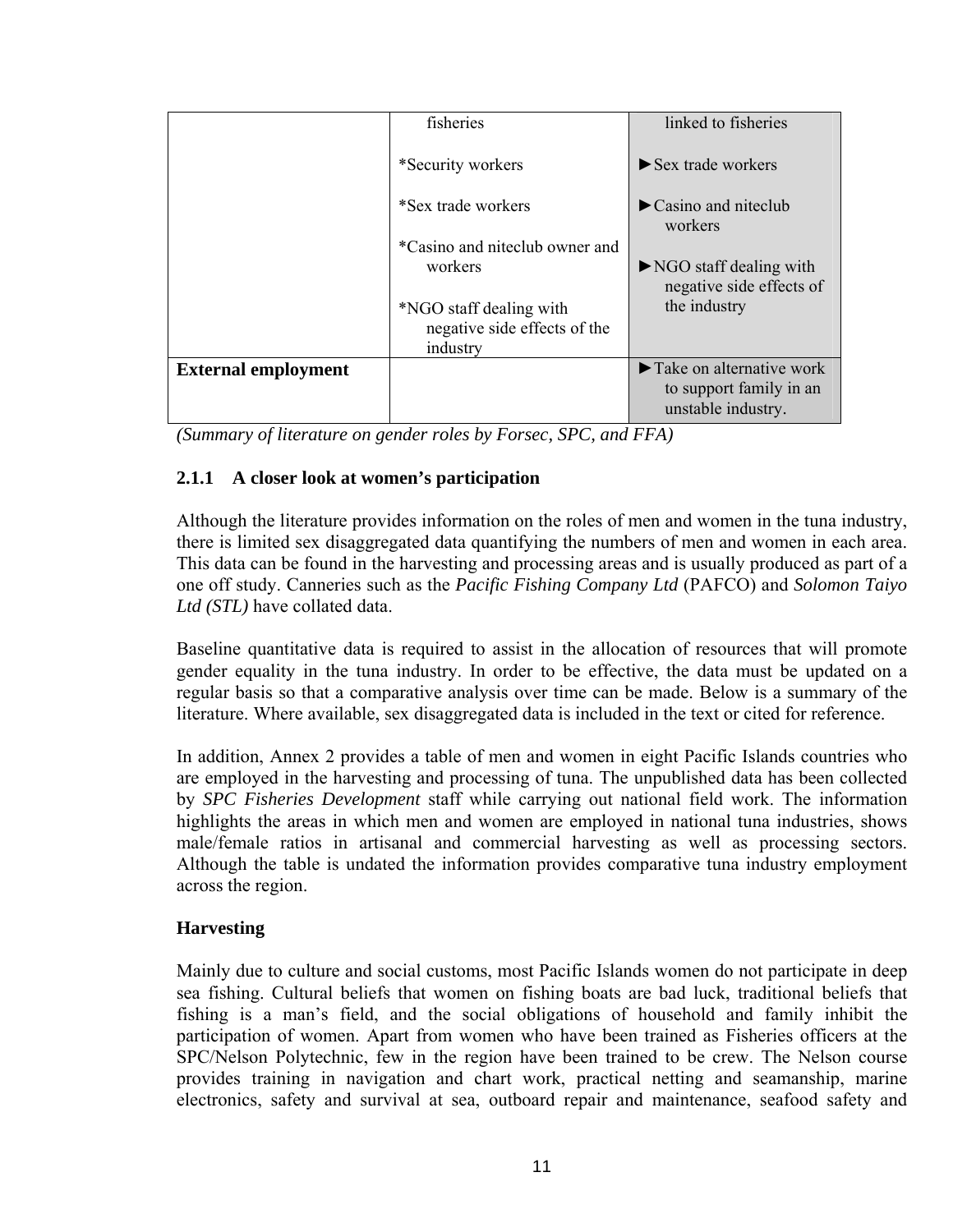|                            | fisheries                                               | linked to fisheries                                                                             |
|----------------------------|---------------------------------------------------------|-------------------------------------------------------------------------------------------------|
|                            | *Security workers                                       | $\triangleright$ Sex trade workers                                                              |
|                            | *Sex trade workers                                      | $\blacktriangleright$ Casino and niteclub<br>workers                                            |
|                            | *Casino and niteclub owner and                          |                                                                                                 |
|                            | workers                                                 | $\triangleright$ NGO staff dealing with<br>negative side effects of                             |
|                            | *NGO staff dealing with<br>negative side effects of the | the industry                                                                                    |
|                            | industry                                                |                                                                                                 |
| <b>External employment</b> |                                                         | $\blacktriangleright$ Take on alternative work<br>to support family in an<br>unstable industry. |

*(Summary of literature on gender roles by Forsec, SPC, and FFA)*

# **2.1.1 A closer look at women's participation**

Although the literature provides information on the roles of men and women in the tuna industry, there is limited sex disaggregated data quantifying the numbers of men and women in each area. This data can be found in the harvesting and processing areas and is usually produced as part of a one off study. Canneries such as the *Pacific Fishing Company Ltd* (PAFCO) and *Solomon Taiyo Ltd (STL)* have collated data.

Baseline quantitative data is required to assist in the allocation of resources that will promote gender equality in the tuna industry. In order to be effective, the data must be updated on a regular basis so that a comparative analysis over time can be made. Below is a summary of the literature. Where available, sex disaggregated data is included in the text or cited for reference.

In addition, Annex 2 provides a table of men and women in eight Pacific Islands countries who are employed in the harvesting and processing of tuna. The unpublished data has been collected by *SPC Fisheries Development* staff while carrying out national field work. The information highlights the areas in which men and women are employed in national tuna industries, shows male/female ratios in artisanal and commercial harvesting as well as processing sectors. Although the table is undated the information provides comparative tuna industry employment across the region.

## **Harvesting**

Mainly due to culture and social customs, most Pacific Islands women do not participate in deep sea fishing. Cultural beliefs that women on fishing boats are bad luck, traditional beliefs that fishing is a man's field, and the social obligations of household and family inhibit the participation of women. Apart from women who have been trained as Fisheries officers at the SPC/Nelson Polytechnic, few in the region have been trained to be crew. The Nelson course provides training in navigation and chart work, practical netting and seamanship, marine electronics, safety and survival at sea, outboard repair and maintenance, seafood safety and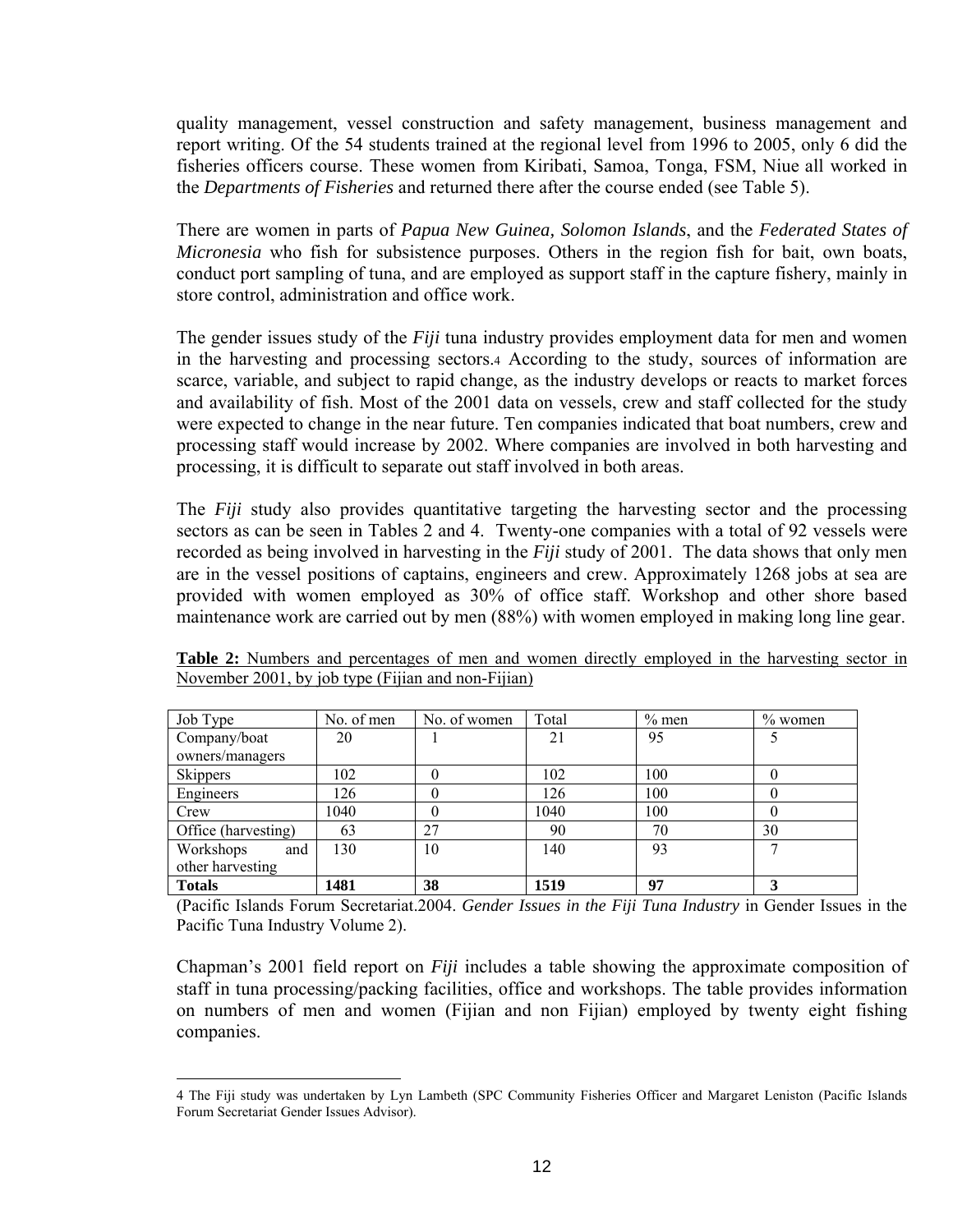quality management, vessel construction and safety management, business management and report writing. Of the 54 students trained at the regional level from 1996 to 2005, only 6 did the fisheries officers course. These women from Kiribati, Samoa, Tonga, FSM, Niue all worked in the *Departments of Fisheries* and returned there after the course ended (see Table 5).

There are women in parts of *Papua New Guinea, Solomon Islands*, and the *Federated States of Micronesia* who fish for subsistence purposes. Others in the region fish for bait, own boats, conduct port sampling of tuna, and are employed as support staff in the capture fishery, mainly in store control, administration and office work.

The gender issues study of the *Fiji* tuna industry provides employment data for men and women in the harvesting and processing sectors[.4](#page-11-0) According to the study, sources of information are scarce, variable, and subject to rapid change, as the industry develops or reacts to market forces and availability of fish. Most of the 2001 data on vessels, crew and staff collected for the study were expected to change in the near future. Ten companies indicated that boat numbers, crew and processing staff would increase by 2002. Where companies are involved in both harvesting and processing, it is difficult to separate out staff involved in both areas.

The *Fiji* study also provides quantitative targeting the harvesting sector and the processing sectors as can be seen in Tables 2 and 4. Twenty-one companies with a total of 92 vessels were recorded as being involved in harvesting in the *Fiji* study of 2001. The data shows that only men are in the vessel positions of captains, engineers and crew. Approximately 1268 jobs at sea are provided with women employed as 30% of office staff. Workshop and other shore based maintenance work are carried out by men (88%) with women employed in making long line gear.

| Job Type            | No. of men | No. of women | Total | $%$ men | $%$ women |
|---------------------|------------|--------------|-------|---------|-----------|
| Company/boat        | 20         |              | 21    | 95      |           |
| owners/managers     |            |              |       |         |           |
| Skippers            | 102        |              | 102   | 100     |           |
| Engineers           | 126        |              | 126   | 100     |           |
| Crew                | 1040       |              | 1040  | 100     |           |
| Office (harvesting) | 63         | 27           | 90    | 70      | 30        |
| Workshops<br>and    | 130        | 10           | 140   | 93      |           |
| other harvesting    |            |              |       |         |           |
| <b>Totals</b>       | 1481       | 38           | 1519  | 97      |           |

**Table 2:** Numbers and percentages of men and women directly employed in the harvesting sector in November 2001, by job type (Fijian and non-Fijian)

(Pacific Islands Forum Secretariat.2004. *Gender Issues in the Fiji Tuna Industry* in Gender Issues in the Pacific Tuna Industry Volume 2).

Chapman's 2001 field report on *Fiji* includes a table showing the approximate composition of staff in tuna processing/packing facilities, office and workshops. The table provides information on numbers of men and women (Fijian and non Fijian) employed by twenty eight fishing companies.

<span id="page-11-0"></span> <sup>4</sup> The Fiji study was undertaken by Lyn Lambeth (SPC Community Fisheries Officer and Margaret Leniston (Pacific Islands Forum Secretariat Gender Issues Advisor).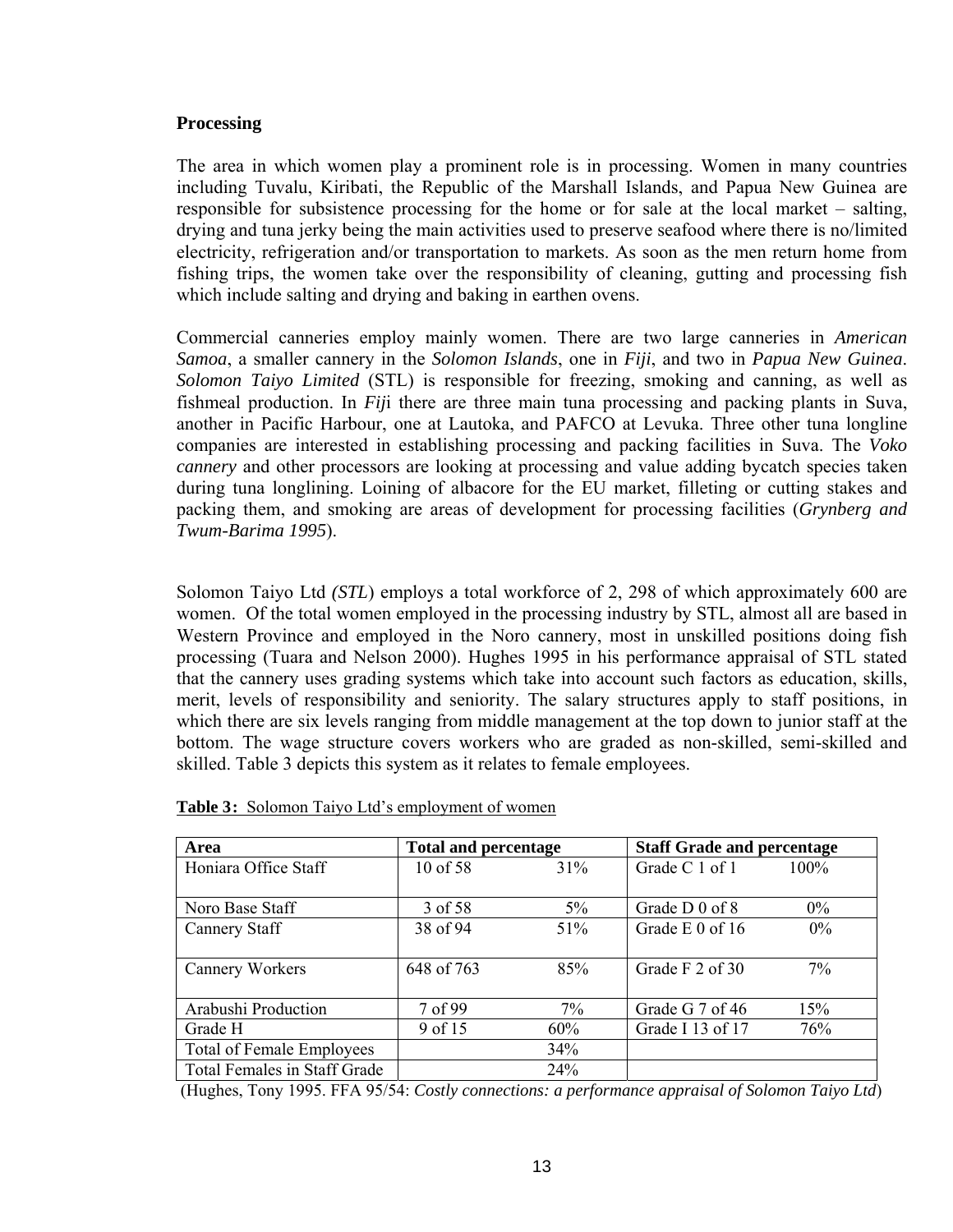#### **Processing**

The area in which women play a prominent role is in processing. Women in many countries including Tuvalu, Kiribati, the Republic of the Marshall Islands, and Papua New Guinea are responsible for subsistence processing for the home or for sale at the local market – salting, drying and tuna jerky being the main activities used to preserve seafood where there is no/limited electricity, refrigeration and/or transportation to markets. As soon as the men return home from fishing trips, the women take over the responsibility of cleaning, gutting and processing fish which include salting and drying and baking in earthen ovens.

Commercial canneries employ mainly women. There are two large canneries in *American Samoa*, a smaller cannery in the *Solomon Islands*, one in *Fiji*, and two in *Papua New Guinea*. *Solomon Taiyo Limited* (STL) is responsible for freezing, smoking and canning, as well as fishmeal production. In *Fij*i there are three main tuna processing and packing plants in Suva, another in Pacific Harbour, one at Lautoka, and PAFCO at Levuka. Three other tuna longline companies are interested in establishing processing and packing facilities in Suva. The *Voko cannery* and other processors are looking at processing and value adding bycatch species taken during tuna longlining. Loining of albacore for the EU market, filleting or cutting stakes and packing them, and smoking are areas of development for processing facilities (*Grynberg and Twum-Barima 1995*).

Solomon Taiyo Ltd *(STL*) employs a total workforce of 2, 298 of which approximately 600 are women. Of the total women employed in the processing industry by STL, almost all are based in Western Province and employed in the Noro cannery, most in unskilled positions doing fish processing (Tuara and Nelson 2000). Hughes 1995 in his performance appraisal of STL stated that the cannery uses grading systems which take into account such factors as education, skills, merit, levels of responsibility and seniority. The salary structures apply to staff positions, in which there are six levels ranging from middle management at the top down to junior staff at the bottom. The wage structure covers workers who are graded as non-skilled, semi-skilled and skilled. Table 3 depicts this system as it relates to female employees.

| Area                             | <b>Total and percentage</b> |       | <b>Staff Grade and percentage</b> |         |
|----------------------------------|-----------------------------|-------|-----------------------------------|---------|
| Honiara Office Staff             | $10$ of 58                  | 31%   | Grade C 1 of 1                    | $100\%$ |
|                                  |                             |       |                                   |         |
| Noro Base Staff                  | 3 of 58                     | $5\%$ | Grade D 0 of 8                    | $0\%$   |
| Cannery Staff                    | 38 of 94                    | 51%   | Grade E 0 of 16                   | $0\%$   |
|                                  |                             |       |                                   |         |
| Cannery Workers                  | 648 of 763                  | 85%   | Grade F 2 of 30                   | $7\%$   |
|                                  |                             |       |                                   |         |
| Arabushi Production              | 7 of 99                     | 7%    | Grade G 7 of 46                   | 15%     |
| Grade H                          | 9 of 15                     | 60%   | Grade I 13 of 17                  | 76%     |
| <b>Total of Female Employees</b> |                             | 34%   |                                   |         |
| Total Females in Staff Grade     |                             | 24%   |                                   |         |

| <b>Table 3:</b> Solomon Taiyo Ltd's employment of women |
|---------------------------------------------------------|
|---------------------------------------------------------|

(Hughes, Tony 1995. FFA 95/54: *Costly connections: a performance appraisal of Solomon Taiyo Ltd*)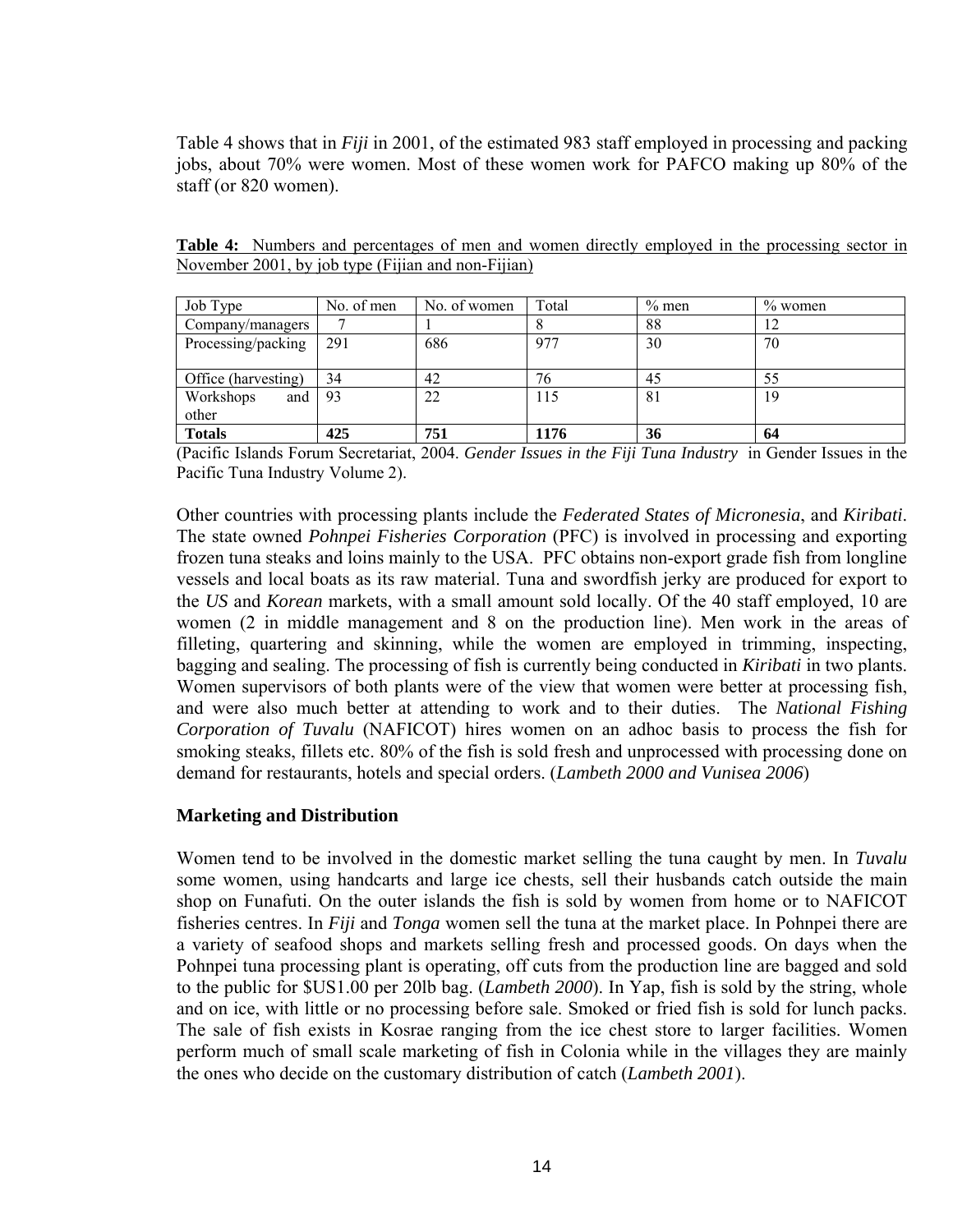Table 4 shows that in *Fiji* in 2001, of the estimated 983 staff employed in processing and packing jobs, about 70% were women. Most of these women work for PAFCO making up 80% of the staff (or 820 women).

| Job Type            | No. of men | No. of women | Total | $\%$ men | $\%$ women |
|---------------------|------------|--------------|-------|----------|------------|
| Company/managers    |            |              |       | 88       | 12         |
| Processing/packing  | 291        | 686          | 977   | 30       | 70         |
|                     |            |              |       |          |            |
| Office (harvesting) | 34         | 42           | 76    | 45       | 55         |
| Workshops<br>and    | 93         | 22           | 115   | 81       | 19         |
| other               |            |              |       |          |            |
| <b>Totals</b>       | 425        | 751          | 1176  | 36       | 64         |

**Table 4:** Numbers and percentages of men and women directly employed in the processing sector in November 2001, by job type (Fijian and non-Fijian)

(Pacific Islands Forum Secretariat, 2004. *Gender Issues in the Fiji Tuna Industry* in Gender Issues in the Pacific Tuna Industry Volume 2).

Other countries with processing plants include the *Federated States of Micronesia*, and *Kiribati*. The state owned *Pohnpei Fisheries Corporation* (PFC) is involved in processing and exporting frozen tuna steaks and loins mainly to the USA. PFC obtains non-export grade fish from longline vessels and local boats as its raw material. Tuna and swordfish jerky are produced for export to the *US* and *Korean* markets, with a small amount sold locally. Of the 40 staff employed, 10 are women (2 in middle management and 8 on the production line). Men work in the areas of filleting, quartering and skinning, while the women are employed in trimming, inspecting, bagging and sealing. The processing of fish is currently being conducted in *Kiribati* in two plants. Women supervisors of both plants were of the view that women were better at processing fish, and were also much better at attending to work and to their duties. The *National Fishing Corporation of Tuvalu* (NAFICOT) hires women on an adhoc basis to process the fish for smoking steaks, fillets etc. 80% of the fish is sold fresh and unprocessed with processing done on demand for restaurants, hotels and special orders. (*Lambeth 2000 and Vunisea 2006*)

#### **Marketing and Distribution**

Women tend to be involved in the domestic market selling the tuna caught by men. In *Tuvalu*  some women, using handcarts and large ice chests, sell their husbands catch outside the main shop on Funafuti. On the outer islands the fish is sold by women from home or to NAFICOT fisheries centres. In *Fiji* and *Tonga* women sell the tuna at the market place. In Pohnpei there are a variety of seafood shops and markets selling fresh and processed goods. On days when the Pohnpei tuna processing plant is operating, off cuts from the production line are bagged and sold to the public for \$US1.00 per 20lb bag. (*Lambeth 2000*). In Yap, fish is sold by the string, whole and on ice, with little or no processing before sale. Smoked or fried fish is sold for lunch packs. The sale of fish exists in Kosrae ranging from the ice chest store to larger facilities. Women perform much of small scale marketing of fish in Colonia while in the villages they are mainly the ones who decide on the customary distribution of catch (*Lambeth 2001*).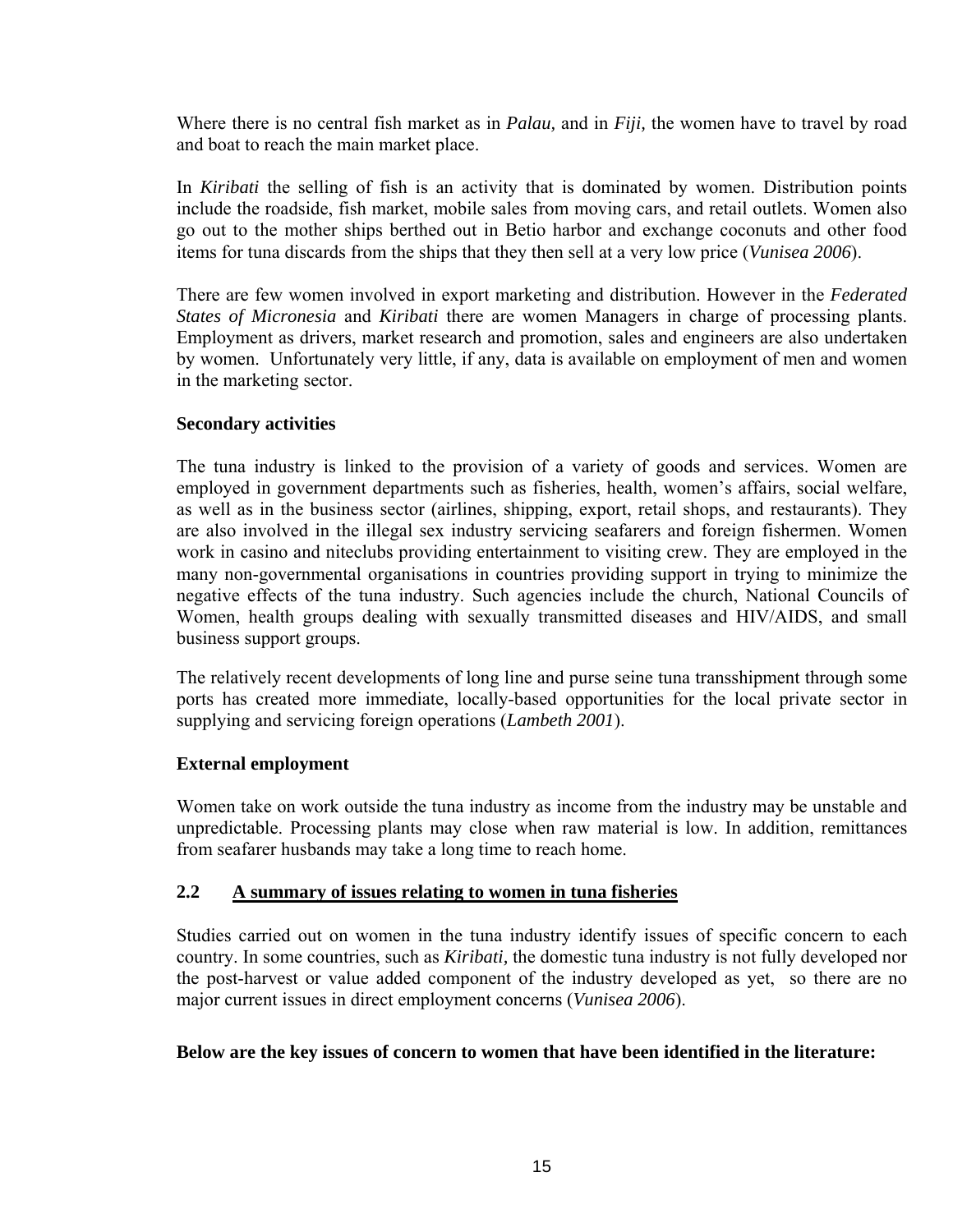Where there is no central fish market as in *Palau,* and in *Fiji,* the women have to travel by road and boat to reach the main market place.

In *Kiribati* the selling of fish is an activity that is dominated by women. Distribution points include the roadside, fish market, mobile sales from moving cars, and retail outlets. Women also go out to the mother ships berthed out in Betio harbor and exchange coconuts and other food items for tuna discards from the ships that they then sell at a very low price (*Vunisea 2006*).

There are few women involved in export marketing and distribution. However in the *Federated States of Micronesia* and *Kiribati* there are women Managers in charge of processing plants. Employment as drivers, market research and promotion, sales and engineers are also undertaken by women. Unfortunately very little, if any, data is available on employment of men and women in the marketing sector.

#### **Secondary activities**

The tuna industry is linked to the provision of a variety of goods and services. Women are employed in government departments such as fisheries, health, women's affairs, social welfare, as well as in the business sector (airlines, shipping, export, retail shops, and restaurants). They are also involved in the illegal sex industry servicing seafarers and foreign fishermen. Women work in casino and niteclubs providing entertainment to visiting crew. They are employed in the many non-governmental organisations in countries providing support in trying to minimize the negative effects of the tuna industry. Such agencies include the church, National Councils of Women, health groups dealing with sexually transmitted diseases and HIV/AIDS, and small business support groups.

The relatively recent developments of long line and purse seine tuna transshipment through some ports has created more immediate, locally-based opportunities for the local private sector in supplying and servicing foreign operations (*Lambeth 2001*).

## **External employment**

Women take on work outside the tuna industry as income from the industry may be unstable and unpredictable. Processing plants may close when raw material is low. In addition, remittances from seafarer husbands may take a long time to reach home.

#### **2.2 A summary of issues relating to women in tuna fisheries**

Studies carried out on women in the tuna industry identify issues of specific concern to each country. In some countries, such as *Kiribati,* the domestic tuna industry is not fully developed nor the post-harvest or value added component of the industry developed as yet, so there are no major current issues in direct employment concerns (*Vunisea 2006*).

#### **Below are the key issues of concern to women that have been identified in the literature:**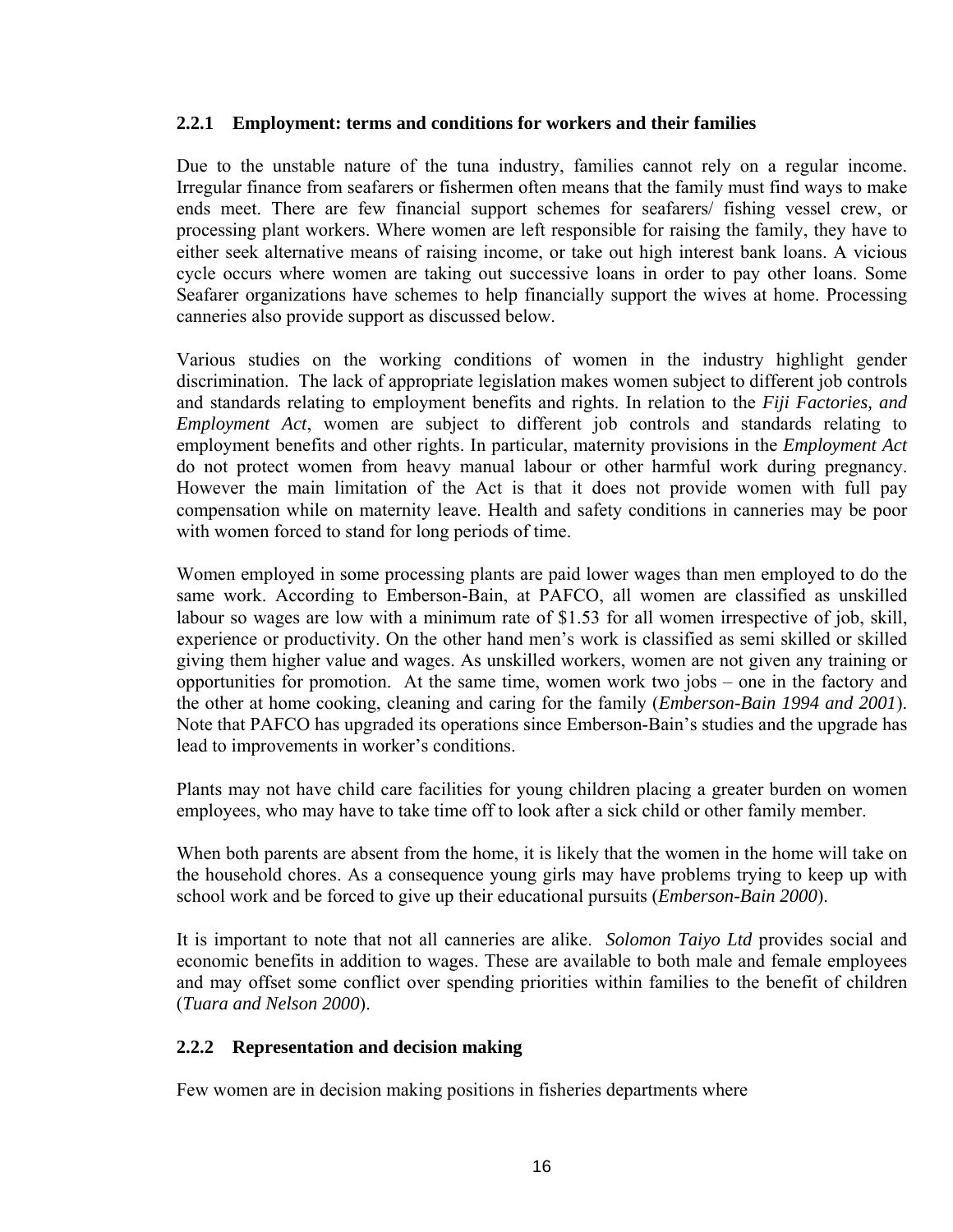#### **2.2.1 Employment: terms and conditions for workers and their families**

Due to the unstable nature of the tuna industry, families cannot rely on a regular income. Irregular finance from seafarers or fishermen often means that the family must find ways to make ends meet. There are few financial support schemes for seafarers/ fishing vessel crew, or processing plant workers. Where women are left responsible for raising the family, they have to either seek alternative means of raising income, or take out high interest bank loans. A vicious cycle occurs where women are taking out successive loans in order to pay other loans. Some Seafarer organizations have schemes to help financially support the wives at home. Processing canneries also provide support as discussed below.

Various studies on the working conditions of women in the industry highlight gender discrimination. The lack of appropriate legislation makes women subject to different job controls and standards relating to employment benefits and rights. In relation to the *Fiji Factories, and Employment Act*, women are subject to different job controls and standards relating to employment benefits and other rights. In particular, maternity provisions in the *Employment Act* do not protect women from heavy manual labour or other harmful work during pregnancy. However the main limitation of the Act is that it does not provide women with full pay compensation while on maternity leave. Health and safety conditions in canneries may be poor with women forced to stand for long periods of time.

Women employed in some processing plants are paid lower wages than men employed to do the same work. According to Emberson-Bain, at PAFCO, all women are classified as unskilled labour so wages are low with a minimum rate of \$1.53 for all women irrespective of job, skill, experience or productivity. On the other hand men's work is classified as semi skilled or skilled giving them higher value and wages. As unskilled workers, women are not given any training or opportunities for promotion. At the same time, women work two jobs – one in the factory and the other at home cooking, cleaning and caring for the family (*Emberson-Bain 1994 and 2001*). Note that PAFCO has upgraded its operations since Emberson-Bain's studies and the upgrade has lead to improvements in worker's conditions.

Plants may not have child care facilities for young children placing a greater burden on women employees, who may have to take time off to look after a sick child or other family member.

When both parents are absent from the home, it is likely that the women in the home will take on the household chores. As a consequence young girls may have problems trying to keep up with school work and be forced to give up their educational pursuits (*Emberson-Bain 2000*).

It is important to note that not all canneries are alike. *Solomon Taiyo Ltd* provides social and economic benefits in addition to wages. These are available to both male and female employees and may offset some conflict over spending priorities within families to the benefit of children (*Tuara and Nelson 2000*).

## **2.2.2 Representation and decision making**

Few women are in decision making positions in fisheries departments where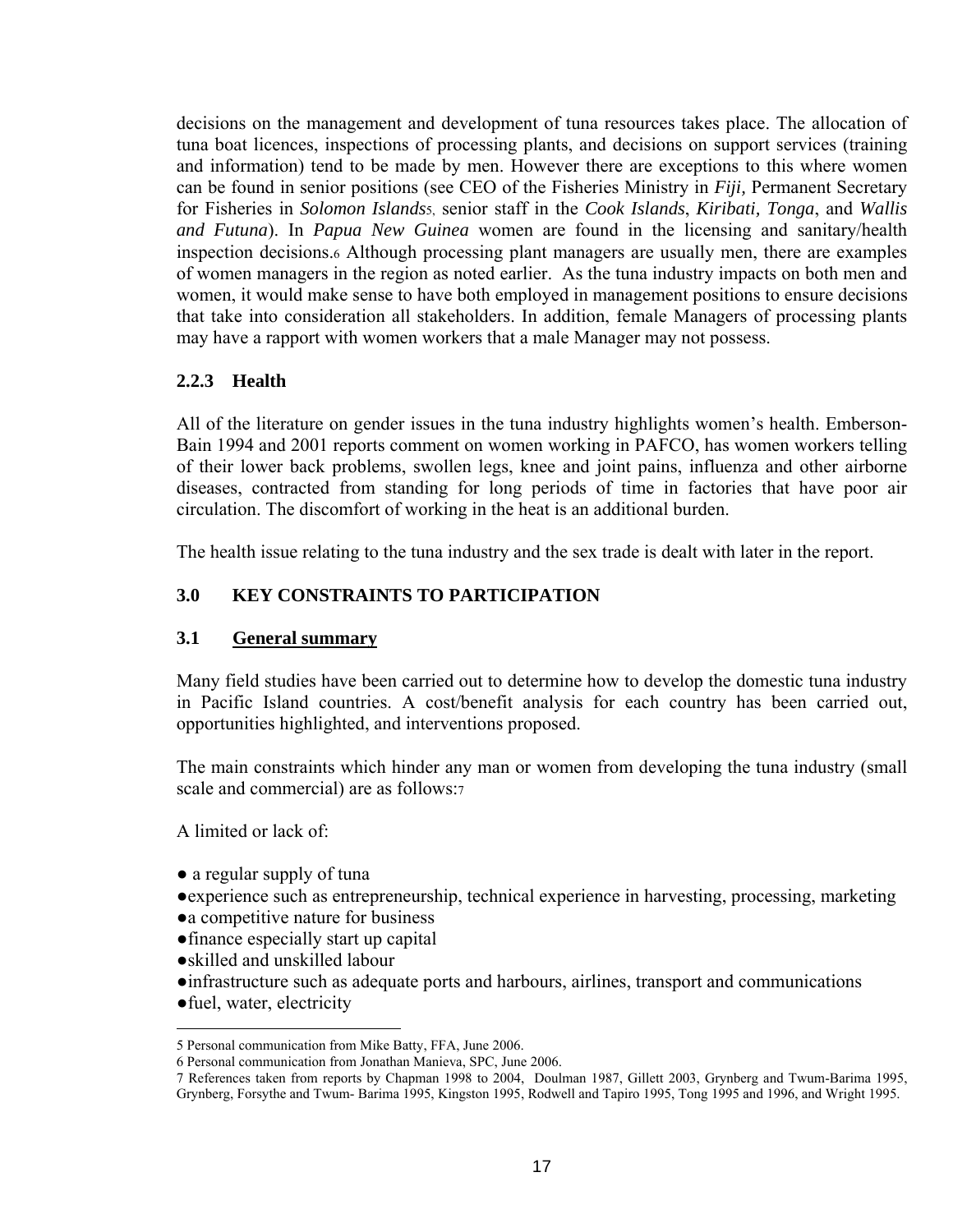decisions on the management and development of tuna resources takes place. The allocation of tuna boat licences, inspections of processing plants, and decisions on support services (training and information) tend to be made by men. However there are exceptions to this where women can be found in senior positions (see CEO of the Fisheries Ministry in *Fiji,* Permanent Secretary for Fisheries in *Solomon Islands*[5,](#page-16-0) senior staff in the *Cook Islands*, *Kiribati, Tonga*, and *Wallis and Futuna*). In *Papua New Guinea* women are found in the licensing and sanitary/health inspection decisions.[6](#page-16-1) Although processing plant managers are usually men, there are examples of women managers in the region as noted earlier. As the tuna industry impacts on both men and women, it would make sense to have both employed in management positions to ensure decisions that take into consideration all stakeholders. In addition, female Managers of processing plants may have a rapport with women workers that a male Manager may not possess.

## **2.2.3 Health**

All of the literature on gender issues in the tuna industry highlights women's health. Emberson-Bain 1994 and 2001 reports comment on women working in PAFCO, has women workers telling of their lower back problems, swollen legs, knee and joint pains, influenza and other airborne diseases, contracted from standing for long periods of time in factories that have poor air circulation. The discomfort of working in the heat is an additional burden.

The health issue relating to the tuna industry and the sex trade is dealt with later in the report.

# **3.0 KEY CONSTRAINTS TO PARTICIPATION**

## **3.1 General summary**

Many field studies have been carried out to determine how to develop the domestic tuna industry in Pacific Island countries. A cost/benefit analysis for each country has been carried out, opportunities highlighted, and interventions proposed.

The main constraints which hinder any man or women from developing the tuna industry (small scale and commercial) are as follows[:7](#page-16-2) 

A limited or lack of:

- a regular supply of tuna
- ●experience such as entrepreneurship, technical experience in harvesting, processing, marketing
- ●a competitive nature for business
- ●finance especially start up capital
- ●skilled and unskilled labour
- ●infrastructure such as adequate ports and harbours, airlines, transport and communications
- ●fuel, water, electricity

<span id="page-16-0"></span> <sup>5</sup> Personal communication from Mike Batty, FFA, June 2006.

<span id="page-16-1"></span><sup>6</sup> Personal communication from Jonathan Manieva, SPC, June 2006.

<span id="page-16-2"></span><sup>7</sup> References taken from reports by Chapman 1998 to 2004, Doulman 1987, Gillett 2003, Grynberg and Twum-Barima 1995, Grynberg, Forsythe and Twum- Barima 1995, Kingston 1995, Rodwell and Tapiro 1995, Tong 1995 and 1996, and Wright 1995.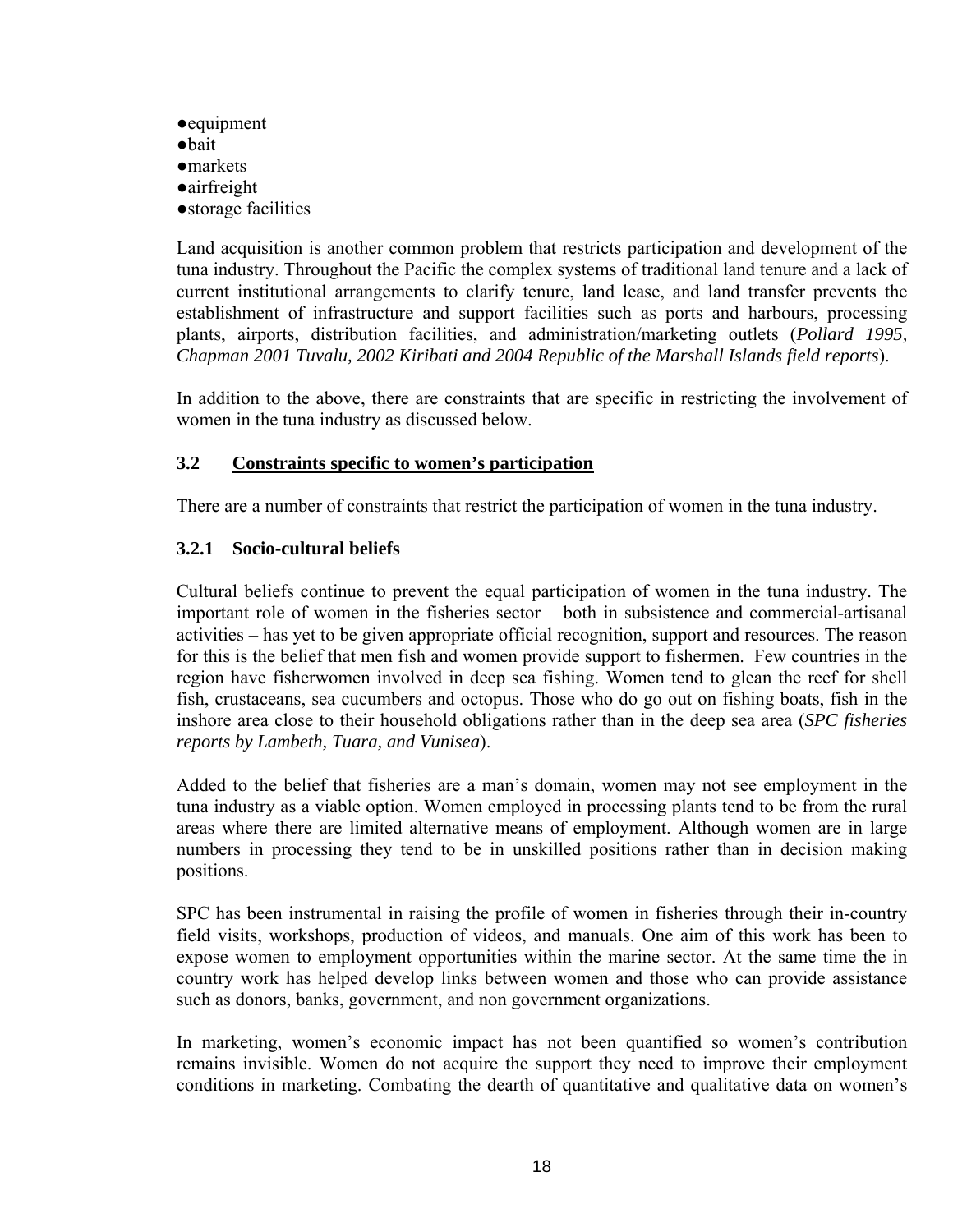- ●equipment
- ●bait
- ●markets
- ●airfreight
- ●storage facilities

Land acquisition is another common problem that restricts participation and development of the tuna industry. Throughout the Pacific the complex systems of traditional land tenure and a lack of current institutional arrangements to clarify tenure, land lease, and land transfer prevents the establishment of infrastructure and support facilities such as ports and harbours, processing plants, airports, distribution facilities, and administration/marketing outlets (*Pollard 1995, Chapman 2001 Tuvalu, 2002 Kiribati and 2004 Republic of the Marshall Islands field reports*).

In addition to the above, there are constraints that are specific in restricting the involvement of women in the tuna industry as discussed below.

## **3.2 Constraints specific to women's participation**

There are a number of constraints that restrict the participation of women in the tuna industry.

## **3.2.1 Socio-cultural beliefs**

Cultural beliefs continue to prevent the equal participation of women in the tuna industry. The important role of women in the fisheries sector – both in subsistence and commercial-artisanal activities – has yet to be given appropriate official recognition, support and resources. The reason for this is the belief that men fish and women provide support to fishermen. Few countries in the region have fisherwomen involved in deep sea fishing. Women tend to glean the reef for shell fish, crustaceans, sea cucumbers and octopus. Those who do go out on fishing boats, fish in the inshore area close to their household obligations rather than in the deep sea area (*SPC fisheries reports by Lambeth, Tuara, and Vunisea*).

Added to the belief that fisheries are a man's domain, women may not see employment in the tuna industry as a viable option. Women employed in processing plants tend to be from the rural areas where there are limited alternative means of employment. Although women are in large numbers in processing they tend to be in unskilled positions rather than in decision making positions.

SPC has been instrumental in raising the profile of women in fisheries through their in-country field visits, workshops, production of videos, and manuals. One aim of this work has been to expose women to employment opportunities within the marine sector. At the same time the in country work has helped develop links between women and those who can provide assistance such as donors, banks, government, and non government organizations.

In marketing, women's economic impact has not been quantified so women's contribution remains invisible. Women do not acquire the support they need to improve their employment conditions in marketing. Combating the dearth of quantitative and qualitative data on women's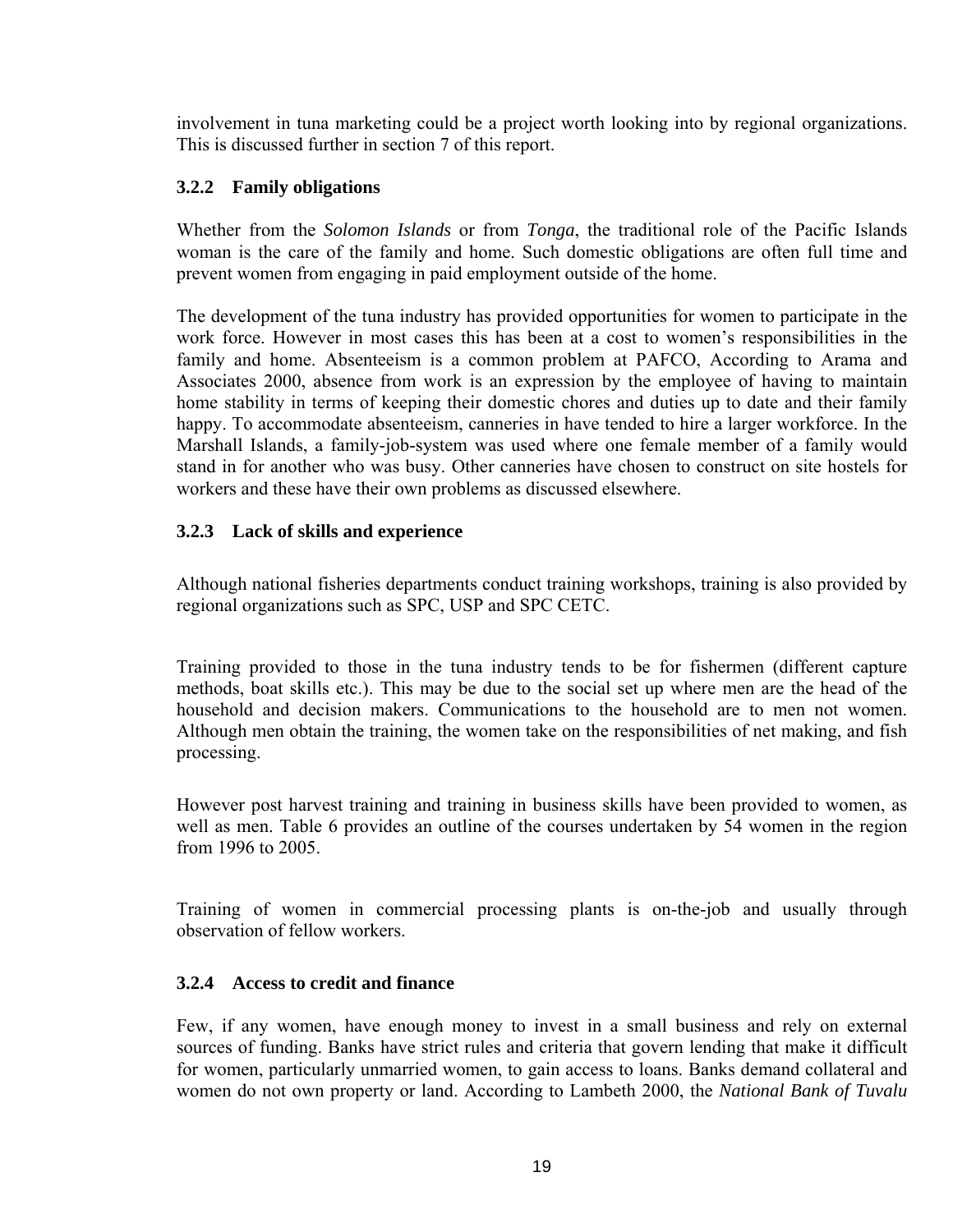involvement in tuna marketing could be a project worth looking into by regional organizations. This is discussed further in section 7 of this report.

# **3.2.2 Family obligations**

Whether from the *Solomon Islands* or from *Tonga*, the traditional role of the Pacific Islands woman is the care of the family and home. Such domestic obligations are often full time and prevent women from engaging in paid employment outside of the home.

The development of the tuna industry has provided opportunities for women to participate in the work force. However in most cases this has been at a cost to women's responsibilities in the family and home. Absenteeism is a common problem at PAFCO, According to Arama and Associates 2000, absence from work is an expression by the employee of having to maintain home stability in terms of keeping their domestic chores and duties up to date and their family happy. To accommodate absenteeism, canneries in have tended to hire a larger workforce. In the Marshall Islands, a family-job-system was used where one female member of a family would stand in for another who was busy. Other canneries have chosen to construct on site hostels for workers and these have their own problems as discussed elsewhere.

# **3.2.3 Lack of skills and experience**

Although national fisheries departments conduct training workshops, training is also provided by regional organizations such as SPC, USP and SPC CETC.

Training provided to those in the tuna industry tends to be for fishermen (different capture methods, boat skills etc.). This may be due to the social set up where men are the head of the household and decision makers. Communications to the household are to men not women. Although men obtain the training, the women take on the responsibilities of net making, and fish processing.

However post harvest training and training in business skills have been provided to women, as well as men. Table 6 provides an outline of the courses undertaken by 54 women in the region from 1996 to 2005.

Training of women in commercial processing plants is on-the-job and usually through observation of fellow workers.

## **3.2.4 Access to credit and finance**

Few, if any women, have enough money to invest in a small business and rely on external sources of funding. Banks have strict rules and criteria that govern lending that make it difficult for women, particularly unmarried women, to gain access to loans. Banks demand collateral and women do not own property or land. According to Lambeth 2000, the *National Bank of Tuvalu*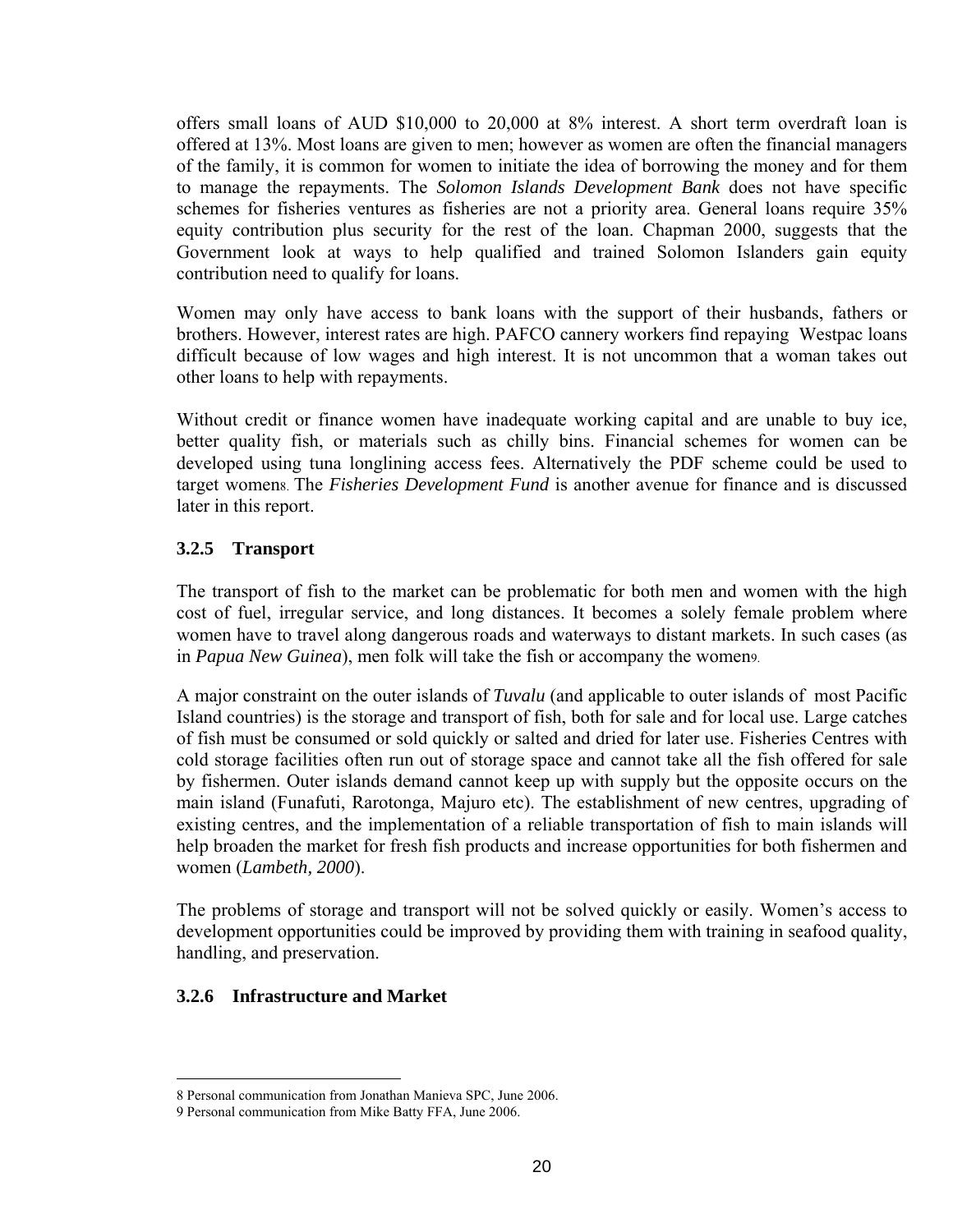offers small loans of AUD \$10,000 to 20,000 at 8% interest. A short term overdraft loan is offered at 13%. Most loans are given to men; however as women are often the financial managers of the family, it is common for women to initiate the idea of borrowing the money and for them to manage the repayments. The *Solomon Islands Development Bank* does not have specific schemes for fisheries ventures as fisheries are not a priority area. General loans require 35% equity contribution plus security for the rest of the loan. Chapman 2000, suggests that the Government look at ways to help qualified and trained Solomon Islanders gain equity contribution need to qualify for loans.

Women may only have access to bank loans with the support of their husbands, fathers or brothers. However, interest rates are high. PAFCO cannery workers find repaying Westpac loans difficult because of low wages and high interest. It is not uncommon that a woman takes out other loans to help with repayments.

Without credit or finance women have inadequate working capital and are unable to buy ice, better quality fish, or materials such as chilly bins. Financial schemes for women can be developed using tuna longlining access fees. Alternatively the PDF scheme could be used to target womens. The *Fisheries Development Fund* is another avenue for finance and is discussed later in this report.

## **3.2.5 Transport**

The transport of fish to the market can be problematic for both men and women with the high cost of fuel, irregular service, and long distances. It becomes a solely female problem where women have to travel along dangerous roads and waterways to distant markets. In such cases (as in *Papua New Guinea*), men folk will take the fish or accompany the women[9.](#page-19-1)

A major constraint on the outer islands of *Tuvalu* (and applicable to outer islands of most Pacific Island countries) is the storage and transport of fish, both for sale and for local use. Large catches of fish must be consumed or sold quickly or salted and dried for later use. Fisheries Centres with cold storage facilities often run out of storage space and cannot take all the fish offered for sale by fishermen. Outer islands demand cannot keep up with supply but the opposite occurs on the main island (Funafuti, Rarotonga, Majuro etc). The establishment of new centres, upgrading of existing centres, and the implementation of a reliable transportation of fish to main islands will help broaden the market for fresh fish products and increase opportunities for both fishermen and women (*Lambeth, 2000*).

The problems of storage and transport will not be solved quickly or easily. Women's access to development opportunities could be improved by providing them with training in seafood quality, handling, and preservation.

## **3.2.6 Infrastructure and Market**

<span id="page-19-0"></span> <sup>8</sup> Personal communication from Jonathan Manieva SPC, June 2006.

<span id="page-19-1"></span><sup>9</sup> Personal communication from Mike Batty FFA, June 2006.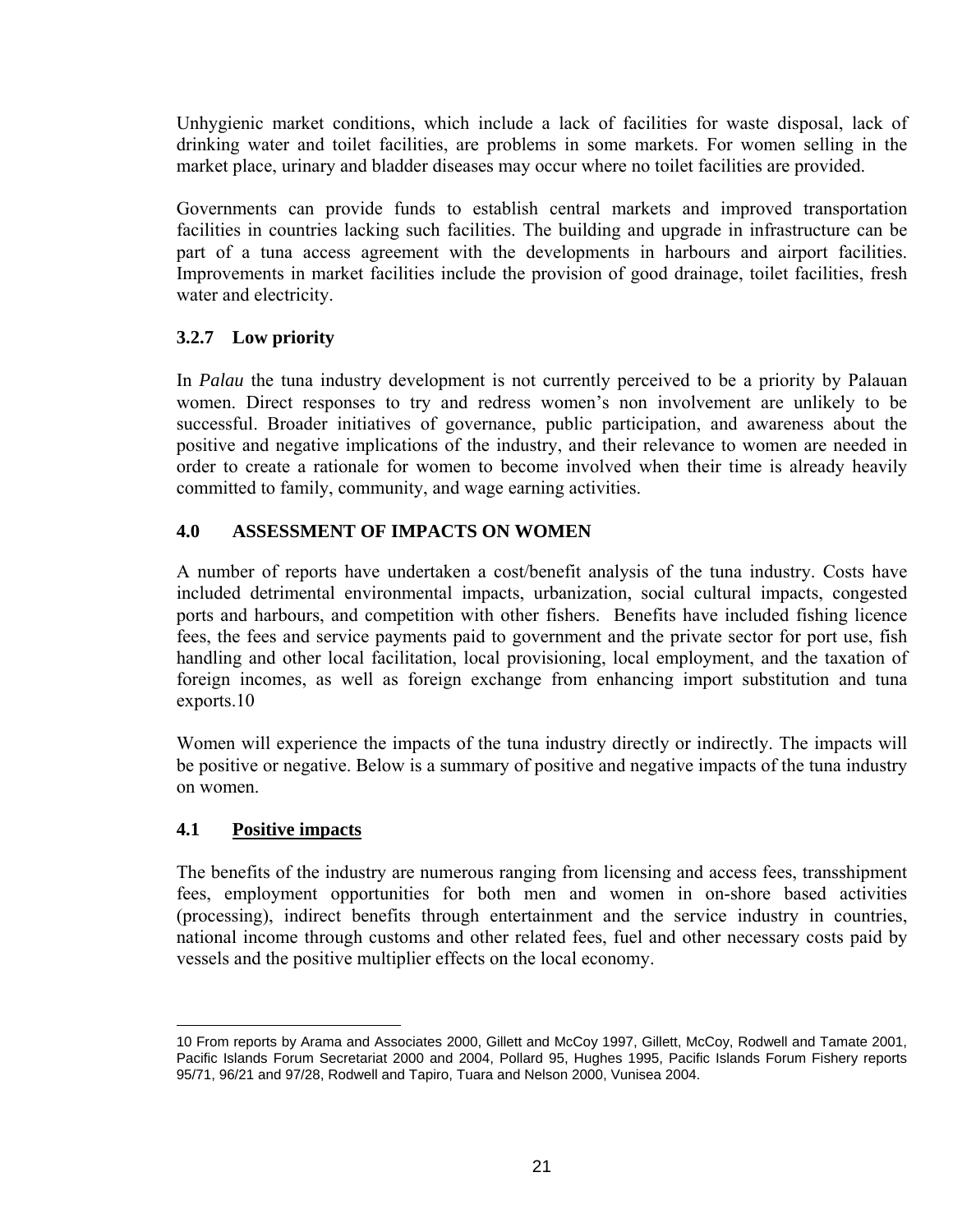Unhygienic market conditions, which include a lack of facilities for waste disposal, lack of drinking water and toilet facilities, are problems in some markets. For women selling in the market place, urinary and bladder diseases may occur where no toilet facilities are provided.

Governments can provide funds to establish central markets and improved transportation facilities in countries lacking such facilities. The building and upgrade in infrastructure can be part of a tuna access agreement with the developments in harbours and airport facilities. Improvements in market facilities include the provision of good drainage, toilet facilities, fresh water and electricity.

# **3.2.7 Low priority**

In *Palau* the tuna industry development is not currently perceived to be a priority by Palauan women. Direct responses to try and redress women's non involvement are unlikely to be successful. Broader initiatives of governance, public participation, and awareness about the positive and negative implications of the industry, and their relevance to women are needed in order to create a rationale for women to become involved when their time is already heavily committed to family, community, and wage earning activities.

# **4.0 ASSESSMENT OF IMPACTS ON WOMEN**

A number of reports have undertaken a cost/benefit analysis of the tuna industry. Costs have included detrimental environmental impacts, urbanization, social cultural impacts, congested ports and harbours, and competition with other fishers. Benefits have included fishing licence fees, the fees and service payments paid to government and the private sector for port use, fish handling and other local facilitation, local provisioning, local employment, and the taxation of foreign incomes, as well as foreign exchange from enhancing import substitution and tuna exports.[10](#page-20-0)

Women will experience the impacts of the tuna industry directly or indirectly. The impacts will be positive or negative. Below is a summary of positive and negative impacts of the tuna industry on women.

## **4.1 Positive impacts**

 $\overline{a}$ 

The benefits of the industry are numerous ranging from licensing and access fees, transshipment fees, employment opportunities for both men and women in on-shore based activities (processing), indirect benefits through entertainment and the service industry in countries, national income through customs and other related fees, fuel and other necessary costs paid by vessels and the positive multiplier effects on the local economy.

<span id="page-20-0"></span><sup>10</sup> From reports by Arama and Associates 2000, Gillett and McCoy 1997, Gillett, McCoy, Rodwell and Tamate 2001, Pacific Islands Forum Secretariat 2000 and 2004, Pollard 95, Hughes 1995, Pacific Islands Forum Fishery reports 95/71, 96/21 and 97/28, Rodwell and Tapiro, Tuara and Nelson 2000, Vunisea 2004.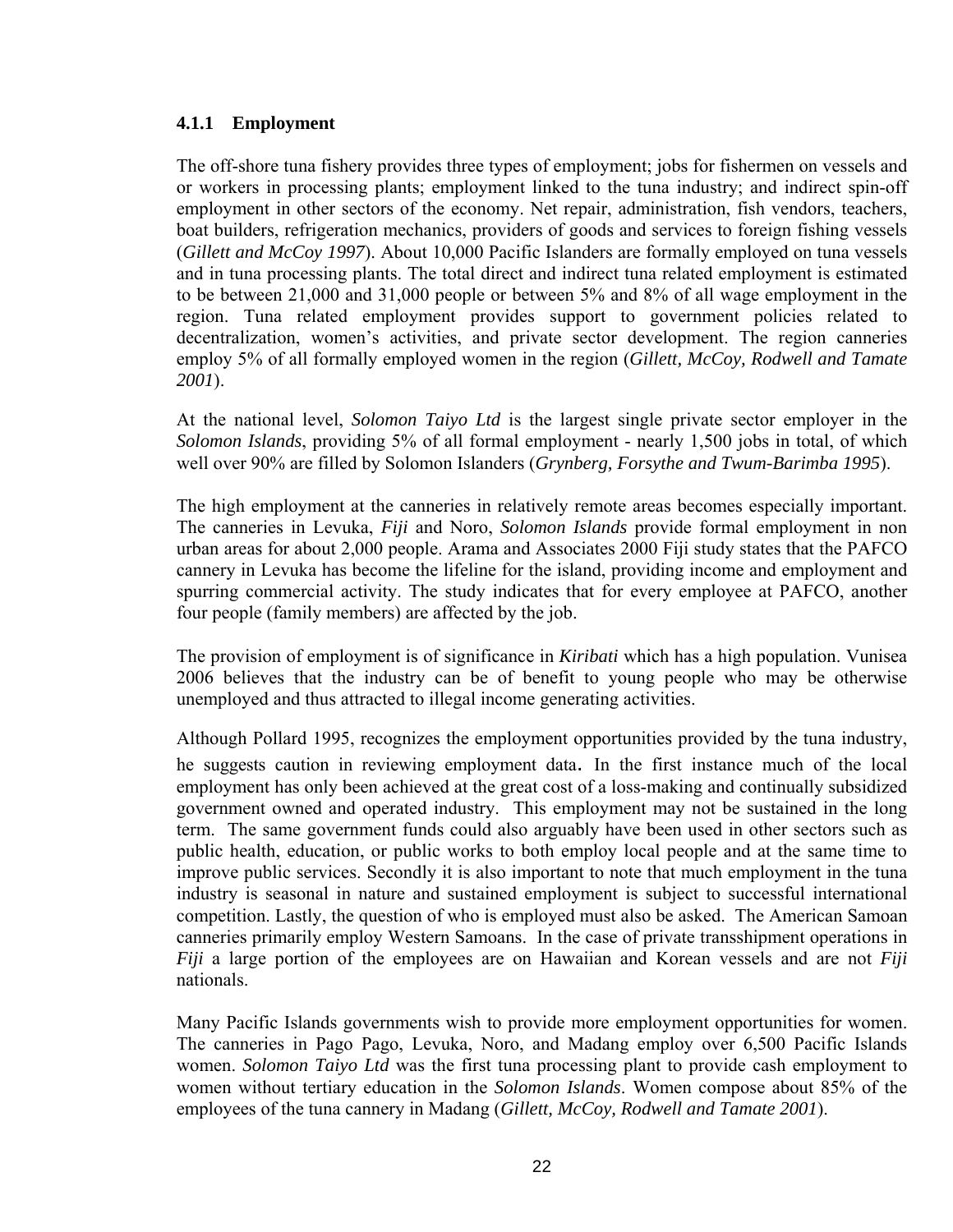#### **4.1.1 Employment**

The off-shore tuna fishery provides three types of employment; jobs for fishermen on vessels and or workers in processing plants; employment linked to the tuna industry; and indirect spin-off employment in other sectors of the economy. Net repair, administration, fish vendors, teachers, boat builders, refrigeration mechanics, providers of goods and services to foreign fishing vessels (*Gillett and McCoy 1997*). About 10,000 Pacific Islanders are formally employed on tuna vessels and in tuna processing plants. The total direct and indirect tuna related employment is estimated to be between 21,000 and 31,000 people or between 5% and 8% of all wage employment in the region. Tuna related employment provides support to government policies related to decentralization, women's activities, and private sector development. The region canneries employ 5% of all formally employed women in the region (*Gillett, McCoy, Rodwell and Tamate 2001*).

At the national level, *Solomon Taiyo Ltd* is the largest single private sector employer in the *Solomon Islands*, providing 5% of all formal employment - nearly 1,500 jobs in total, of which well over 90% are filled by Solomon Islanders (*Grynberg, Forsythe and Twum-Barimba 1995*).

The high employment at the canneries in relatively remote areas becomes especially important. The canneries in Levuka, *Fiji* and Noro, *Solomon Islands* provide formal employment in non urban areas for about 2,000 people. Arama and Associates 2000 Fiji study states that the PAFCO cannery in Levuka has become the lifeline for the island, providing income and employment and spurring commercial activity. The study indicates that for every employee at PAFCO, another four people (family members) are affected by the job.

The provision of employment is of significance in *Kiribati* which has a high population. Vunisea 2006 believes that the industry can be of benefit to young people who may be otherwise unemployed and thus attracted to illegal income generating activities.

Although Pollard 1995, recognizes the employment opportunities provided by the tuna industry, he suggests caution in reviewing employment data. In the first instance much of the local employment has only been achieved at the great cost of a loss-making and continually subsidized government owned and operated industry. This employment may not be sustained in the long term. The same government funds could also arguably have been used in other sectors such as public health, education, or public works to both employ local people and at the same time to improve public services. Secondly it is also important to note that much employment in the tuna industry is seasonal in nature and sustained employment is subject to successful international competition. Lastly, the question of who is employed must also be asked. The American Samoan canneries primarily employ Western Samoans. In the case of private transshipment operations in *Fiji* a large portion of the employees are on Hawaiian and Korean vessels and are not *Fiji* nationals.

Many Pacific Islands governments wish to provide more employment opportunities for women. The canneries in Pago Pago, Levuka, Noro, and Madang employ over 6,500 Pacific Islands women. *Solomon Taiyo Ltd* was the first tuna processing plant to provide cash employment to women without tertiary education in the *Solomon Islands*. Women compose about 85% of the employees of the tuna cannery in Madang (*Gillett, McCoy, Rodwell and Tamate 2001*).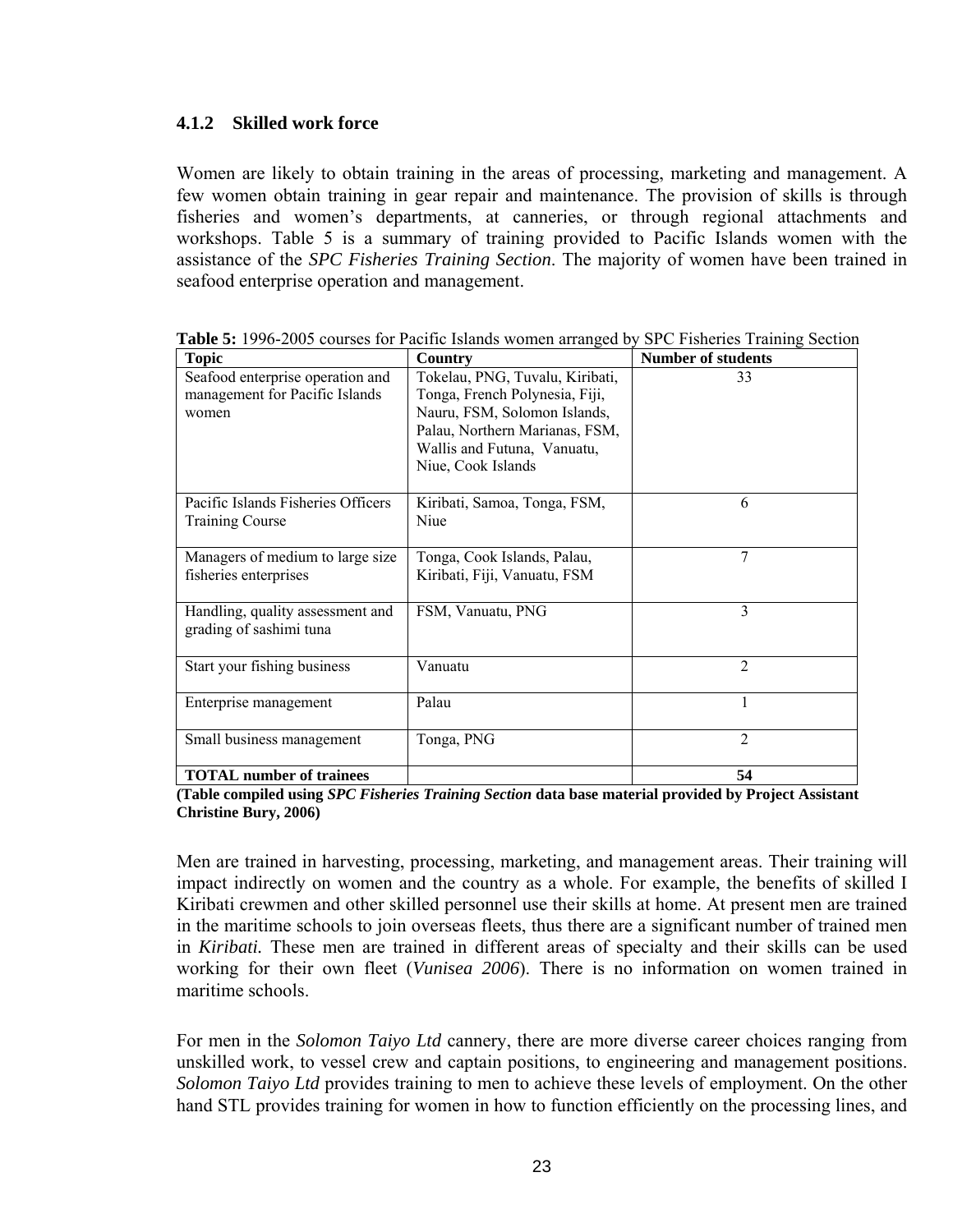#### **4.1.2 Skilled work force**

Women are likely to obtain training in the areas of processing, marketing and management. A few women obtain training in gear repair and maintenance. The provision of skills is through fisheries and women's departments, at canneries, or through regional attachments and workshops. Table 5 is a summary of training provided to Pacific Islands women with the assistance of the *SPC Fisheries Training Section*. The majority of women have been trained in seafood enterprise operation and management.

| <b>Topic</b>                       | <b>Country</b>                  | <b>Number of students</b> |
|------------------------------------|---------------------------------|---------------------------|
| Seafood enterprise operation and   | Tokelau, PNG, Tuvalu, Kiribati, | 33                        |
| management for Pacific Islands     | Tonga, French Polynesia, Fiji,  |                           |
| women                              | Nauru, FSM, Solomon Islands,    |                           |
|                                    | Palau, Northern Marianas, FSM,  |                           |
|                                    | Wallis and Futuna, Vanuatu,     |                           |
|                                    | Niue, Cook Islands              |                           |
|                                    |                                 |                           |
| Pacific Islands Fisheries Officers | Kiribati, Samoa, Tonga, FSM,    | 6                         |
| <b>Training Course</b>             | Niue                            |                           |
|                                    |                                 |                           |
| Managers of medium to large size   | Tonga, Cook Islands, Palau,     | 7                         |
| fisheries enterprises              | Kiribati, Fiji, Vanuatu, FSM    |                           |
|                                    |                                 |                           |
| Handling, quality assessment and   | FSM, Vanuatu, PNG               | 3                         |
| grading of sashimi tuna            |                                 |                           |
|                                    |                                 |                           |
| Start your fishing business        | Vanuatu                         | $\overline{2}$            |
|                                    |                                 |                           |
| Enterprise management              | Palau                           | 1                         |
|                                    |                                 |                           |
| Small business management          | Tonga, PNG                      | $\overline{2}$            |
|                                    |                                 |                           |
| <b>TOTAL</b> number of trainees    |                                 | 54                        |

**Table 5:** 1996-2005 courses for Pacific Islands women arranged by SPC Fisheries Training Section

**(Table compiled using** *SPC Fisheries Training Section* **data base material provided by Project Assistant Christine Bury, 2006)**

Men are trained in harvesting, processing, marketing, and management areas. Their training will impact indirectly on women and the country as a whole. For example, the benefits of skilled I Kiribati crewmen and other skilled personnel use their skills at home. At present men are trained in the maritime schools to join overseas fleets, thus there are a significant number of trained men in *Kiribati.* These men are trained in different areas of specialty and their skills can be used working for their own fleet (*Vunisea 2006*). There is no information on women trained in maritime schools.

For men in the *Solomon Taiyo Ltd* cannery, there are more diverse career choices ranging from unskilled work, to vessel crew and captain positions, to engineering and management positions. *Solomon Taiyo Ltd* provides training to men to achieve these levels of employment. On the other hand STL provides training for women in how to function efficiently on the processing lines, and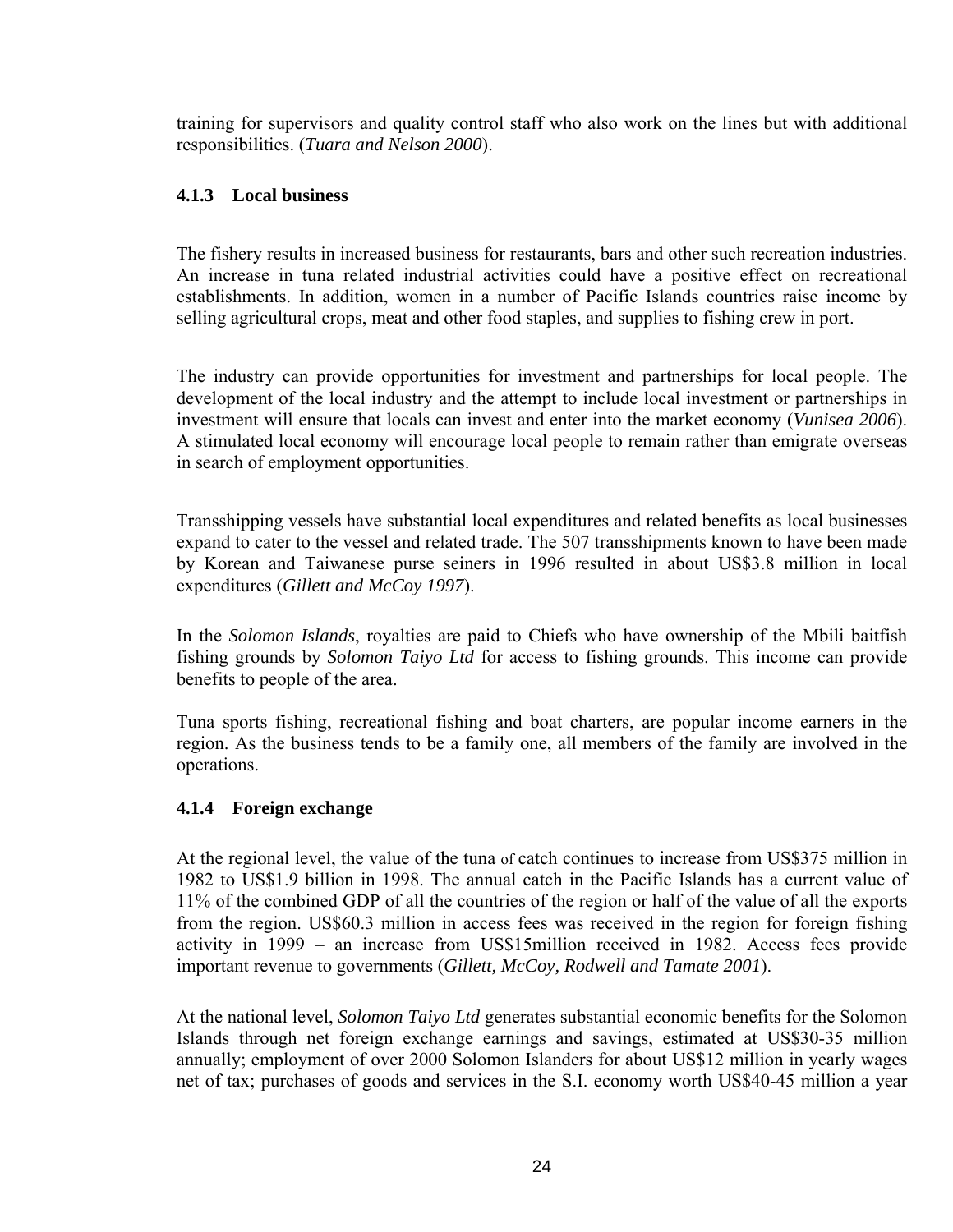training for supervisors and quality control staff who also work on the lines but with additional responsibilities. (*Tuara and Nelson 2000*).

## **4.1.3 Local business**

The fishery results in increased business for restaurants, bars and other such recreation industries. An increase in tuna related industrial activities could have a positive effect on recreational establishments. In addition, women in a number of Pacific Islands countries raise income by selling agricultural crops, meat and other food staples, and supplies to fishing crew in port.

The industry can provide opportunities for investment and partnerships for local people. The development of the local industry and the attempt to include local investment or partnerships in investment will ensure that locals can invest and enter into the market economy (*Vunisea 2006*). A stimulated local economy will encourage local people to remain rather than emigrate overseas in search of employment opportunities.

Transshipping vessels have substantial local expenditures and related benefits as local businesses expand to cater to the vessel and related trade. The 507 transshipments known to have been made by Korean and Taiwanese purse seiners in 1996 resulted in about US\$3.8 million in local expenditures (*Gillett and McCoy 1997*).

In the *Solomon Islands*, royalties are paid to Chiefs who have ownership of the Mbili baitfish fishing grounds by *Solomon Taiyo Ltd* for access to fishing grounds. This income can provide benefits to people of the area.

Tuna sports fishing, recreational fishing and boat charters, are popular income earners in the region. As the business tends to be a family one, all members of the family are involved in the operations.

## **4.1.4 Foreign exchange**

At the regional level, the value of the tuna of catch continues to increase from US\$375 million in 1982 to US\$1.9 billion in 1998. The annual catch in the Pacific Islands has a current value of 11% of the combined GDP of all the countries of the region or half of the value of all the exports from the region. US\$60.3 million in access fees was received in the region for foreign fishing activity in 1999 – an increase from US\$15million received in 1982. Access fees provide important revenue to governments (*Gillett, McCoy, Rodwell and Tamate 2001*).

At the national level, *Solomon Taiyo Ltd* generates substantial economic benefits for the Solomon Islands through net foreign exchange earnings and savings, estimated at US\$30-35 million annually; employment of over 2000 Solomon Islanders for about US\$12 million in yearly wages net of tax; purchases of goods and services in the S.I. economy worth US\$40-45 million a year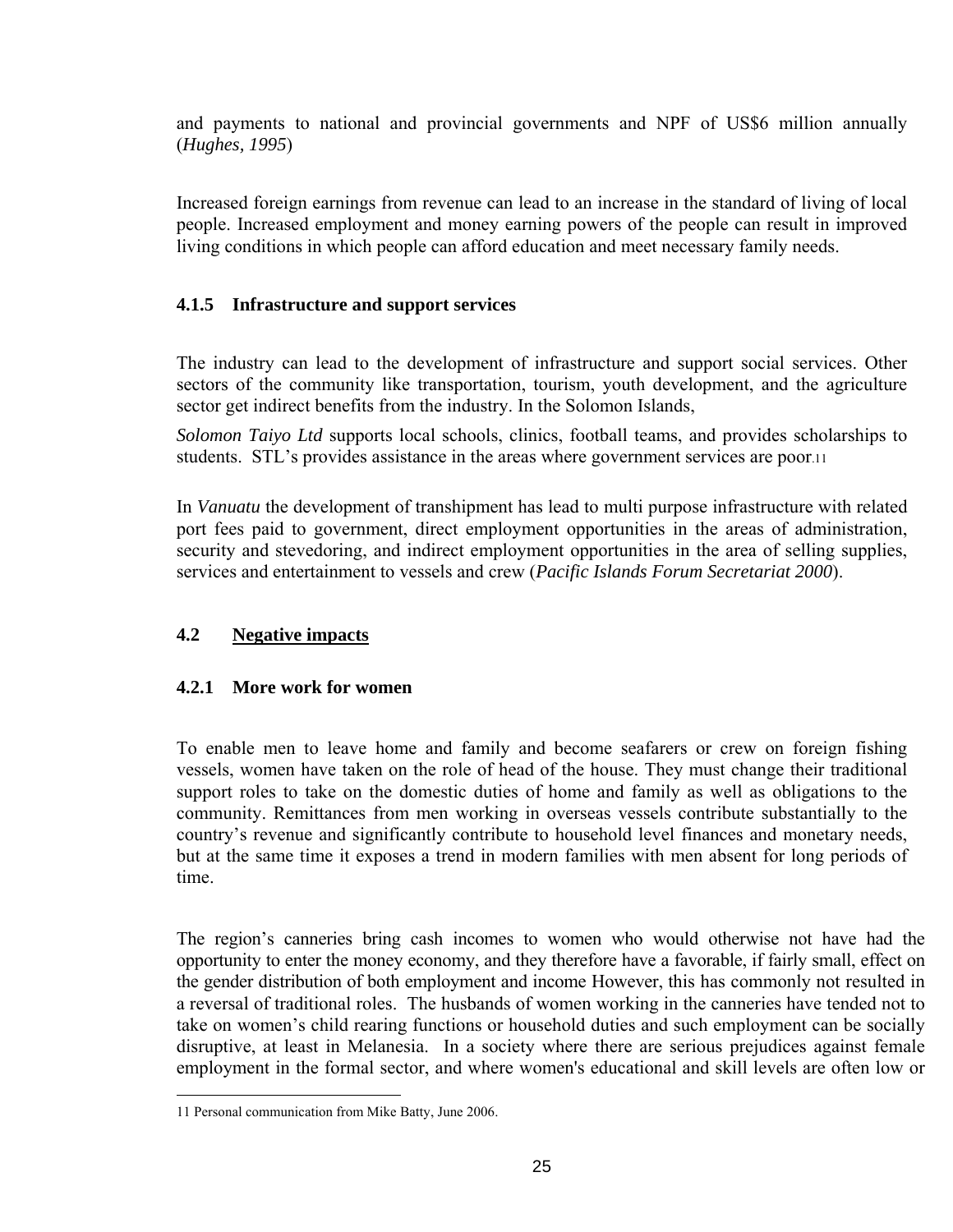and payments to national and provincial governments and NPF of US\$6 million annually (*Hughes, 1995*)

Increased foreign earnings from revenue can lead to an increase in the standard of living of local people. Increased employment and money earning powers of the people can result in improved living conditions in which people can afford education and meet necessary family needs.

# **4.1.5 Infrastructure and support services**

The industry can lead to the development of infrastructure and support social services. Other sectors of the community like transportation, tourism, youth development, and the agriculture sector get indirect benefits from the industry. In the Solomon Islands,

*Solomon Taiyo Ltd* supports local schools, clinics, football teams, and provides scholarships to students. STL's provides assistance in the areas where government services are poor.[11](#page-24-0) 

In *Vanuatu* the development of transhipment has lead to multi purpose infrastructure with related port fees paid to government, direct employment opportunities in the areas of administration, security and stevedoring, and indirect employment opportunities in the area of selling supplies, services and entertainment to vessels and crew (*Pacific Islands Forum Secretariat 2000*).

## **4.2 Negative impacts**

## **4.2.1 More work for women**

To enable men to leave home and family and become seafarers or crew on foreign fishing vessels, women have taken on the role of head of the house. They must change their traditional support roles to take on the domestic duties of home and family as well as obligations to the community. Remittances from men working in overseas vessels contribute substantially to the country's revenue and significantly contribute to household level finances and monetary needs, but at the same time it exposes a trend in modern families with men absent for long periods of time.

The region's canneries bring cash incomes to women who would otherwise not have had the opportunity to enter the money economy, and they therefore have a favorable, if fairly small, effect on the gender distribution of both employment and income However, this has commonly not resulted in a reversal of traditional roles. The husbands of women working in the canneries have tended not to take on women's child rearing functions or household duties and such employment can be socially disruptive, at least in Melanesia. In a society where there are serious prejudices against female employment in the formal sector, and where women's educational and skill levels are often low or

<span id="page-24-0"></span> <sup>11</sup> Personal communication from Mike Batty, June 2006.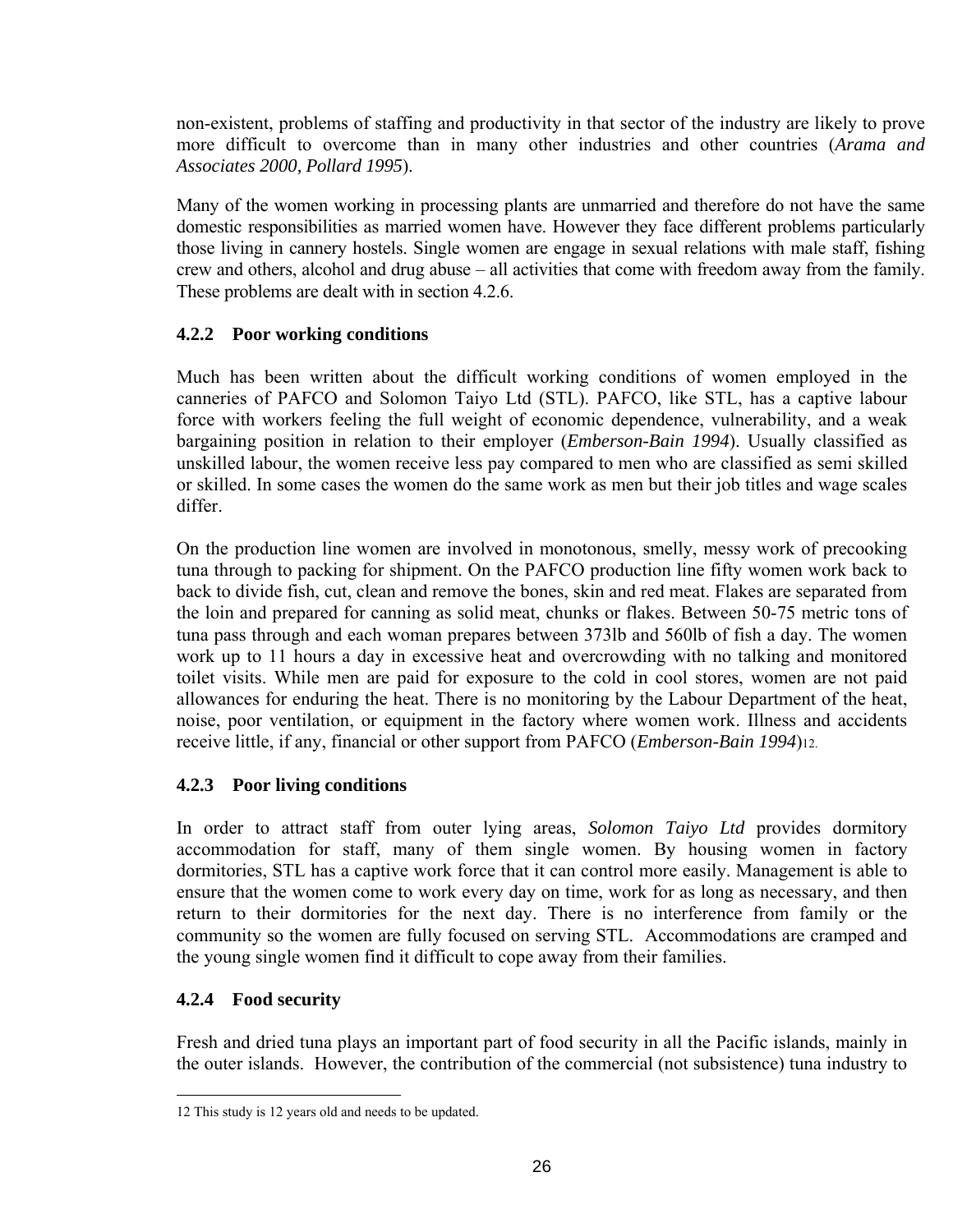non-existent, problems of staffing and productivity in that sector of the industry are likely to prove more difficult to overcome than in many other industries and other countries (*Arama and Associates 2000, Pollard 1995*).

Many of the women working in processing plants are unmarried and therefore do not have the same domestic responsibilities as married women have. However they face different problems particularly those living in cannery hostels. Single women are engage in sexual relations with male staff, fishing crew and others, alcohol and drug abuse – all activities that come with freedom away from the family. These problems are dealt with in section 4.2.6.

## **4.2.2 Poor working conditions**

Much has been written about the difficult working conditions of women employed in the canneries of PAFCO and Solomon Taiyo Ltd (STL). PAFCO, like STL, has a captive labour force with workers feeling the full weight of economic dependence, vulnerability, and a weak bargaining position in relation to their employer (*Emberson-Bain 1994*). Usually classified as unskilled labour, the women receive less pay compared to men who are classified as semi skilled or skilled. In some cases the women do the same work as men but their job titles and wage scales differ.

On the production line women are involved in monotonous, smelly, messy work of precooking tuna through to packing for shipment. On the PAFCO production line fifty women work back to back to divide fish, cut, clean and remove the bones, skin and red meat. Flakes are separated from the loin and prepared for canning as solid meat, chunks or flakes. Between 50-75 metric tons of tuna pass through and each woman prepares between 373lb and 560lb of fish a day. The women work up to 11 hours a day in excessive heat and overcrowding with no talking and monitored toilet visits. While men are paid for exposure to the cold in cool stores, women are not paid allowances for enduring the heat. There is no monitoring by the Labour Department of the heat, noise, poor ventilation, or equipment in the factory where women work. Illness and accidents receive little, if any, financial or other support from PAFCO (*Emberson-Bain 1994*)[12.](#page-25-0)

## **4.2.3 Poor living conditions**

In order to attract staff from outer lying areas, *Solomon Taiyo Ltd* provides dormitory accommodation for staff, many of them single women. By housing women in factory dormitories, STL has a captive work force that it can control more easily. Management is able to ensure that the women come to work every day on time, work for as long as necessary, and then return to their dormitories for the next day. There is no interference from family or the community so the women are fully focused on serving STL. Accommodations are cramped and the young single women find it difficult to cope away from their families.

## **4.2.4 Food security**

Fresh and dried tuna plays an important part of food security in all the Pacific islands, mainly in the outer islands. However, the contribution of the commercial (not subsistence) tuna industry to

<span id="page-25-0"></span> <sup>12</sup> This study is 12 years old and needs to be updated.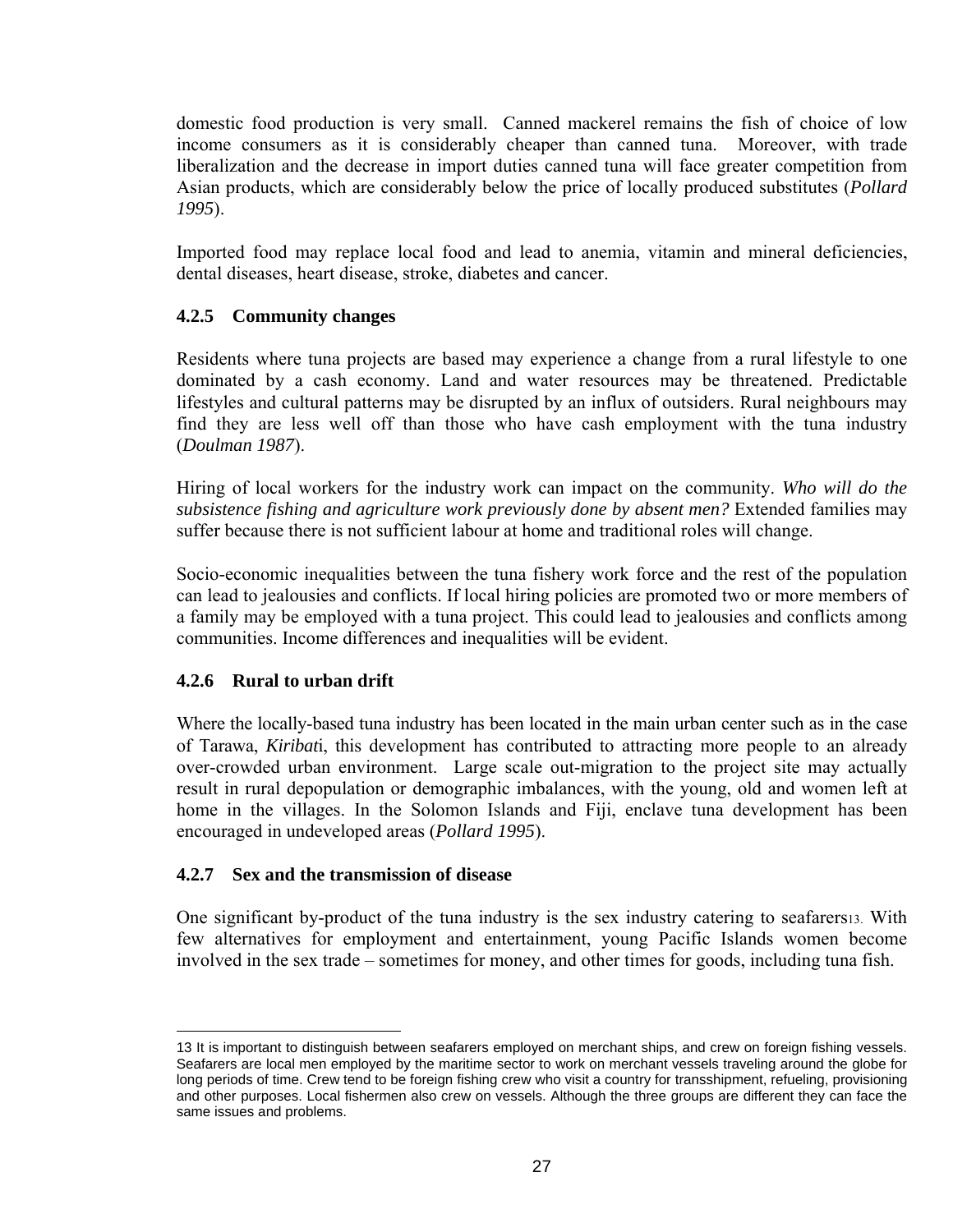domestic food production is very small. Canned mackerel remains the fish of choice of low income consumers as it is considerably cheaper than canned tuna. Moreover, with trade liberalization and the decrease in import duties canned tuna will face greater competition from Asian products, which are considerably below the price of locally produced substitutes (*Pollard 1995*).

Imported food may replace local food and lead to anemia, vitamin and mineral deficiencies, dental diseases, heart disease, stroke, diabetes and cancer.

## **4.2.5 Community changes**

Residents where tuna projects are based may experience a change from a rural lifestyle to one dominated by a cash economy. Land and water resources may be threatened. Predictable lifestyles and cultural patterns may be disrupted by an influx of outsiders. Rural neighbours may find they are less well off than those who have cash employment with the tuna industry (*Doulman 1987*).

Hiring of local workers for the industry work can impact on the community. *Who will do the subsistence fishing and agriculture work previously done by absent men?* Extended families may suffer because there is not sufficient labour at home and traditional roles will change.

Socio-economic inequalities between the tuna fishery work force and the rest of the population can lead to jealousies and conflicts. If local hiring policies are promoted two or more members of a family may be employed with a tuna project. This could lead to jealousies and conflicts among communities. Income differences and inequalities will be evident.

#### **4.2.6 Rural to urban drift**

Where the locally-based tuna industry has been located in the main urban center such as in the case of Tarawa, *Kiribat*i, this development has contributed to attracting more people to an already over-crowded urban environment. Large scale out-migration to the project site may actually result in rural depopulation or demographic imbalances, with the young, old and women left at home in the villages. In the Solomon Islands and Fiji, enclave tuna development has been encouraged in undeveloped areas (*Pollard 1995*).

#### **4.2.7 Sex and the transmission of disease**

One significant by-product of the tuna industry is the sex industry catering to seafarers[13.](#page-26-0) With few alternatives for employment and entertainment, young Pacific Islands women become involved in the sex trade – sometimes for money, and other times for goods, including tuna fish.

<span id="page-26-0"></span><sup>13</sup> It is important to distinguish between seafarers employed on merchant ships, and crew on foreign fishing vessels. Seafarers are local men employed by the maritime sector to work on merchant vessels traveling around the globe for long periods of time. Crew tend to be foreign fishing crew who visit a country for transshipment, refueling, provisioning and other purposes. Local fishermen also crew on vessels. Although the three groups are different they can face the same issues and problems.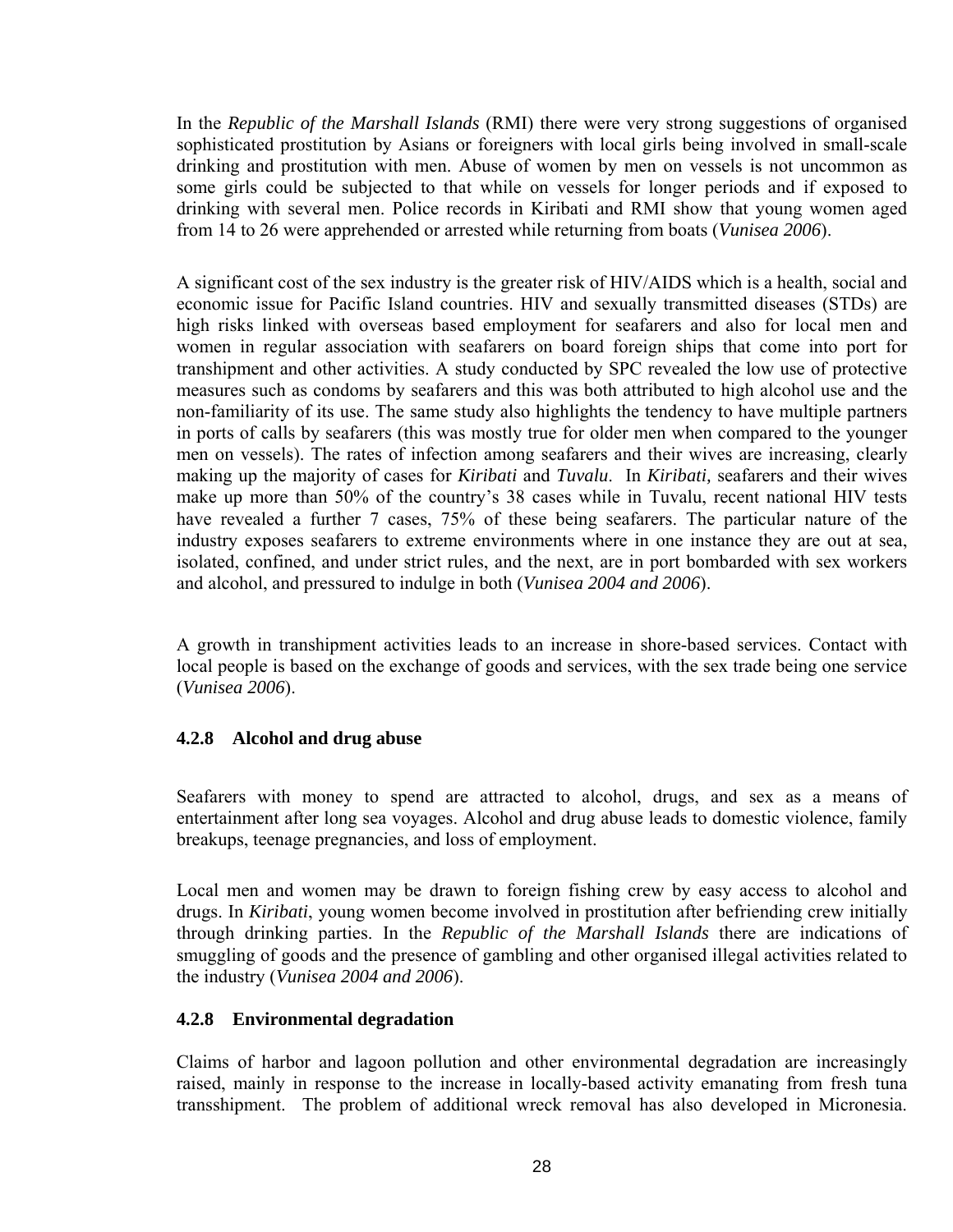In the *Republic of the Marshall Islands* (RMI) there were very strong suggestions of organised sophisticated prostitution by Asians or foreigners with local girls being involved in small-scale drinking and prostitution with men. Abuse of women by men on vessels is not uncommon as some girls could be subjected to that while on vessels for longer periods and if exposed to drinking with several men. Police records in Kiribati and RMI show that young women aged from 14 to 26 were apprehended or arrested while returning from boats (*Vunisea 2006*).

A significant cost of the sex industry is the greater risk of HIV/AIDS which is a health, social and economic issue for Pacific Island countries. HIV and sexually transmitted diseases (STDs) are high risks linked with overseas based employment for seafarers and also for local men and women in regular association with seafarers on board foreign ships that come into port for transhipment and other activities. A study conducted by SPC revealed the low use of protective measures such as condoms by seafarers and this was both attributed to high alcohol use and the non-familiarity of its use. The same study also highlights the tendency to have multiple partners in ports of calls by seafarers (this was mostly true for older men when compared to the younger men on vessels). The rates of infection among seafarers and their wives are increasing, clearly making up the majority of cases for *Kiribati* and *Tuvalu*. In *Kiribati,* seafarers and their wives make up more than 50% of the country's 38 cases while in Tuvalu, recent national HIV tests have revealed a further 7 cases, 75% of these being seafarers. The particular nature of the industry exposes seafarers to extreme environments where in one instance they are out at sea, isolated, confined, and under strict rules, and the next, are in port bombarded with sex workers and alcohol, and pressured to indulge in both (*Vunisea 2004 and 2006*).

A growth in transhipment activities leads to an increase in shore-based services. Contact with local people is based on the exchange of goods and services, with the sex trade being one service (*Vunisea 2006*).

## **4.2.8 Alcohol and drug abuse**

Seafarers with money to spend are attracted to alcohol, drugs, and sex as a means of entertainment after long sea voyages. Alcohol and drug abuse leads to domestic violence, family breakups, teenage pregnancies, and loss of employment.

Local men and women may be drawn to foreign fishing crew by easy access to alcohol and drugs. In *Kiribati*, young women become involved in prostitution after befriending crew initially through drinking parties. In the *Republic of the Marshall Islands* there are indications of smuggling of goods and the presence of gambling and other organised illegal activities related to the industry (*Vunisea 2004 and 2006*).

## **4.2.8 Environmental degradation**

Claims of harbor and lagoon pollution and other environmental degradation are increasingly raised, mainly in response to the increase in locally-based activity emanating from fresh tuna transshipment. The problem of additional wreck removal has also developed in Micronesia.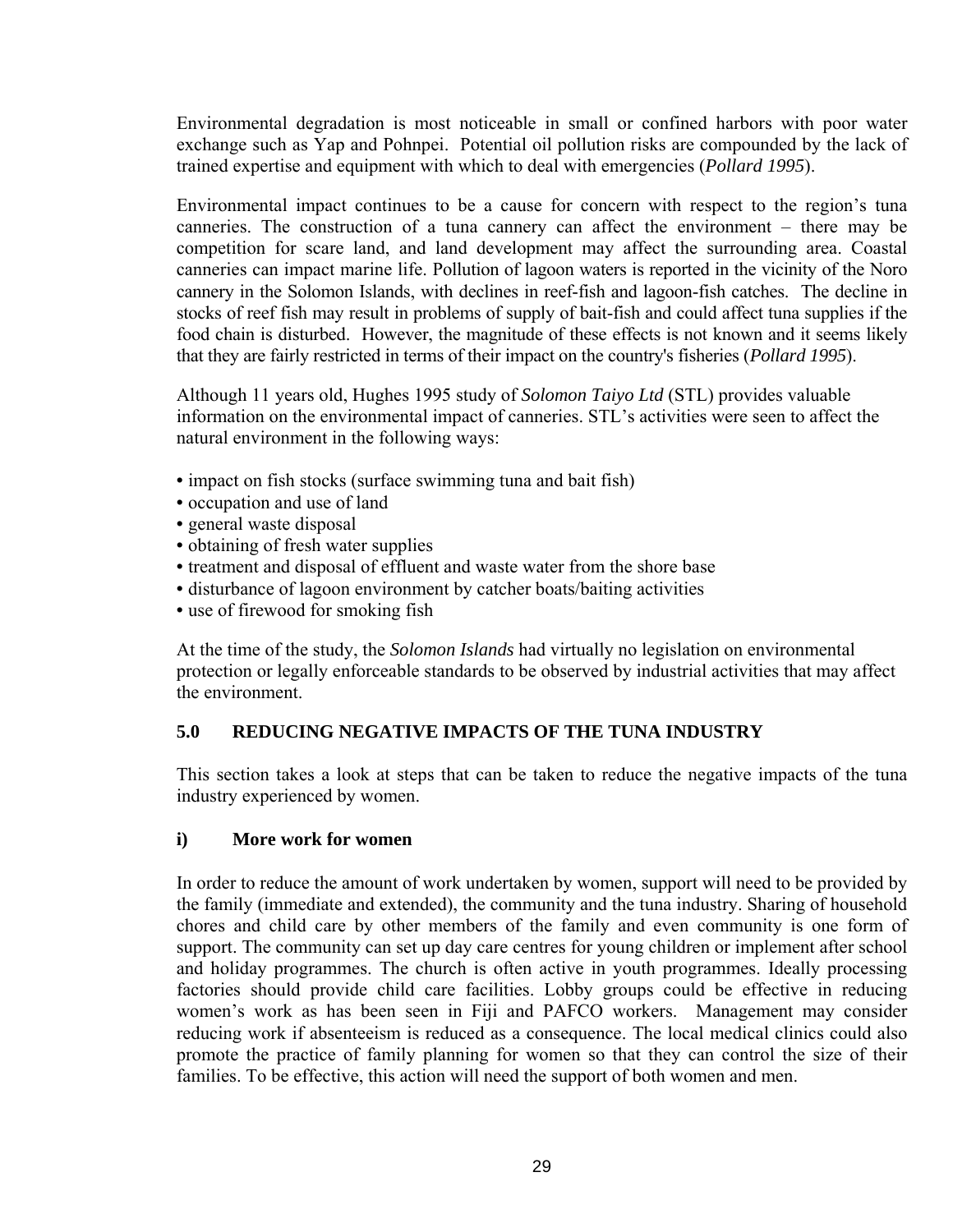Environmental degradation is most noticeable in small or confined harbors with poor water exchange such as Yap and Pohnpei. Potential oil pollution risks are compounded by the lack of trained expertise and equipment with which to deal with emergencies (*Pollard 1995*).

Environmental impact continues to be a cause for concern with respect to the region's tuna canneries. The construction of a tuna cannery can affect the environment – there may be competition for scare land, and land development may affect the surrounding area. Coastal canneries can impact marine life. Pollution of lagoon waters is reported in the vicinity of the Noro cannery in the Solomon Islands, with declines in reef-fish and lagoon-fish catches. The decline in stocks of reef fish may result in problems of supply of bait-fish and could affect tuna supplies if the food chain is disturbed. However, the magnitude of these effects is not known and it seems likely that they are fairly restricted in terms of their impact on the country's fisheries (*Pollard 1995*).

Although 11 years old, Hughes 1995 study of *Solomon Taiyo Ltd* (STL) provides valuable information on the environmental impact of canneries. STL's activities were seen to affect the natural environment in the following ways:

- impact on fish stocks (surface swimming tuna and bait fish)
- occupation and use of land
- general waste disposal
- obtaining of fresh water supplies
- treatment and disposal of effluent and waste water from the shore base
- disturbance of lagoon environment by catcher boats/baiting activities
- use of firewood for smoking fish

At the time of the study, the *Solomon Islands* had virtually no legislation on environmental protection or legally enforceable standards to be observed by industrial activities that may affect the environment.

# **5.0 REDUCING NEGATIVE IMPACTS OF THE TUNA INDUSTRY**

This section takes a look at steps that can be taken to reduce the negative impacts of the tuna industry experienced by women.

#### **i) More work for women**

In order to reduce the amount of work undertaken by women, support will need to be provided by the family (immediate and extended), the community and the tuna industry. Sharing of household chores and child care by other members of the family and even community is one form of support. The community can set up day care centres for young children or implement after school and holiday programmes. The church is often active in youth programmes. Ideally processing factories should provide child care facilities. Lobby groups could be effective in reducing women's work as has been seen in Fiji and PAFCO workers. Management may consider reducing work if absenteeism is reduced as a consequence. The local medical clinics could also promote the practice of family planning for women so that they can control the size of their families. To be effective, this action will need the support of both women and men.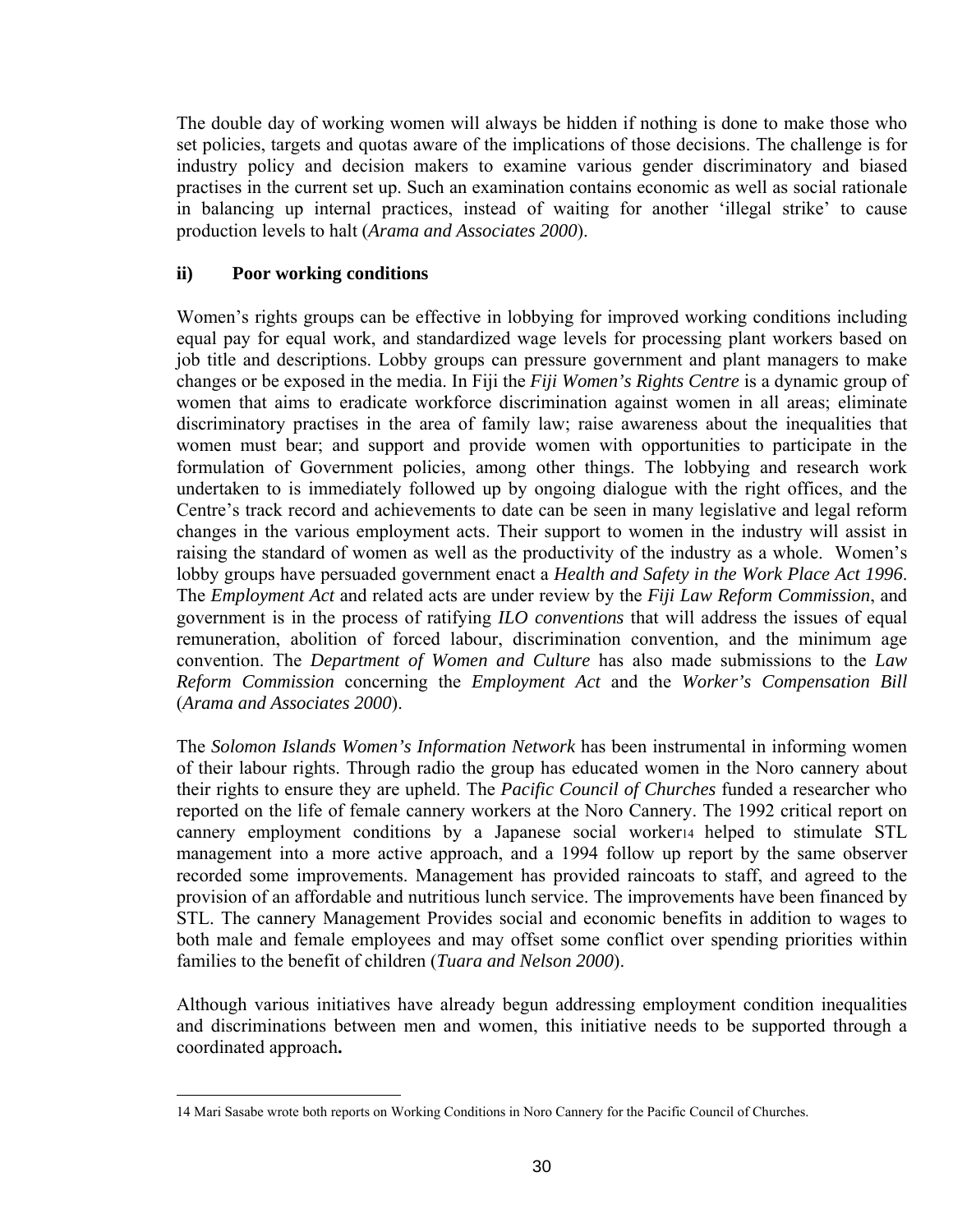The double day of working women will always be hidden if nothing is done to make those who set policies, targets and quotas aware of the implications of those decisions. The challenge is for industry policy and decision makers to examine various gender discriminatory and biased practises in the current set up. Such an examination contains economic as well as social rationale in balancing up internal practices, instead of waiting for another 'illegal strike' to cause production levels to halt (*Arama and Associates 2000*).

#### **ii) Poor working conditions**

Women's rights groups can be effective in lobbying for improved working conditions including equal pay for equal work, and standardized wage levels for processing plant workers based on job title and descriptions. Lobby groups can pressure government and plant managers to make changes or be exposed in the media. In Fiji the *Fiji Women's Rights Centre* is a dynamic group of women that aims to eradicate workforce discrimination against women in all areas; eliminate discriminatory practises in the area of family law; raise awareness about the inequalities that women must bear; and support and provide women with opportunities to participate in the formulation of Government policies, among other things. The lobbying and research work undertaken to is immediately followed up by ongoing dialogue with the right offices, and the Centre's track record and achievements to date can be seen in many legislative and legal reform changes in the various employment acts. Their support to women in the industry will assist in raising the standard of women as well as the productivity of the industry as a whole. Women's lobby groups have persuaded government enact a *Health and Safety in the Work Place Act 1996*. The *Employment Act* and related acts are under review by the *Fiji Law Reform Commission*, and government is in the process of ratifying *ILO conventions* that will address the issues of equal remuneration, abolition of forced labour, discrimination convention, and the minimum age convention. The *Department of Women and Culture* has also made submissions to the *Law Reform Commission* concerning the *Employment Act* and the *Worker's Compensation Bill* (*Arama and Associates 2000*).

The *Solomon Islands Women's Information Network* has been instrumental in informing women of their labour rights. Through radio the group has educated women in the Noro cannery about their rights to ensure they are upheld. The *Pacific Council of Churches* funded a researcher who reported on the life of female cannery workers at the Noro Cannery. The 1992 critical report on cannery employment conditions by a Japanese social worke[r14](#page-29-0) helped to stimulate STL management into a more active approach, and a 1994 follow up report by the same observer recorded some improvements. Management has provided raincoats to staff, and agreed to the provision of an affordable and nutritious lunch service. The improvements have been financed by STL. The cannery Management Provides social and economic benefits in addition to wages to both male and female employees and may offset some conflict over spending priorities within families to the benefit of children (*Tuara and Nelson 2000*).

Although various initiatives have already begun addressing employment condition inequalities and discriminations between men and women, this initiative needs to be supported through a coordinated approach**.** 

<span id="page-29-0"></span> <sup>14</sup> Mari Sasabe wrote both reports on Working Conditions in Noro Cannery for the Pacific Council of Churches.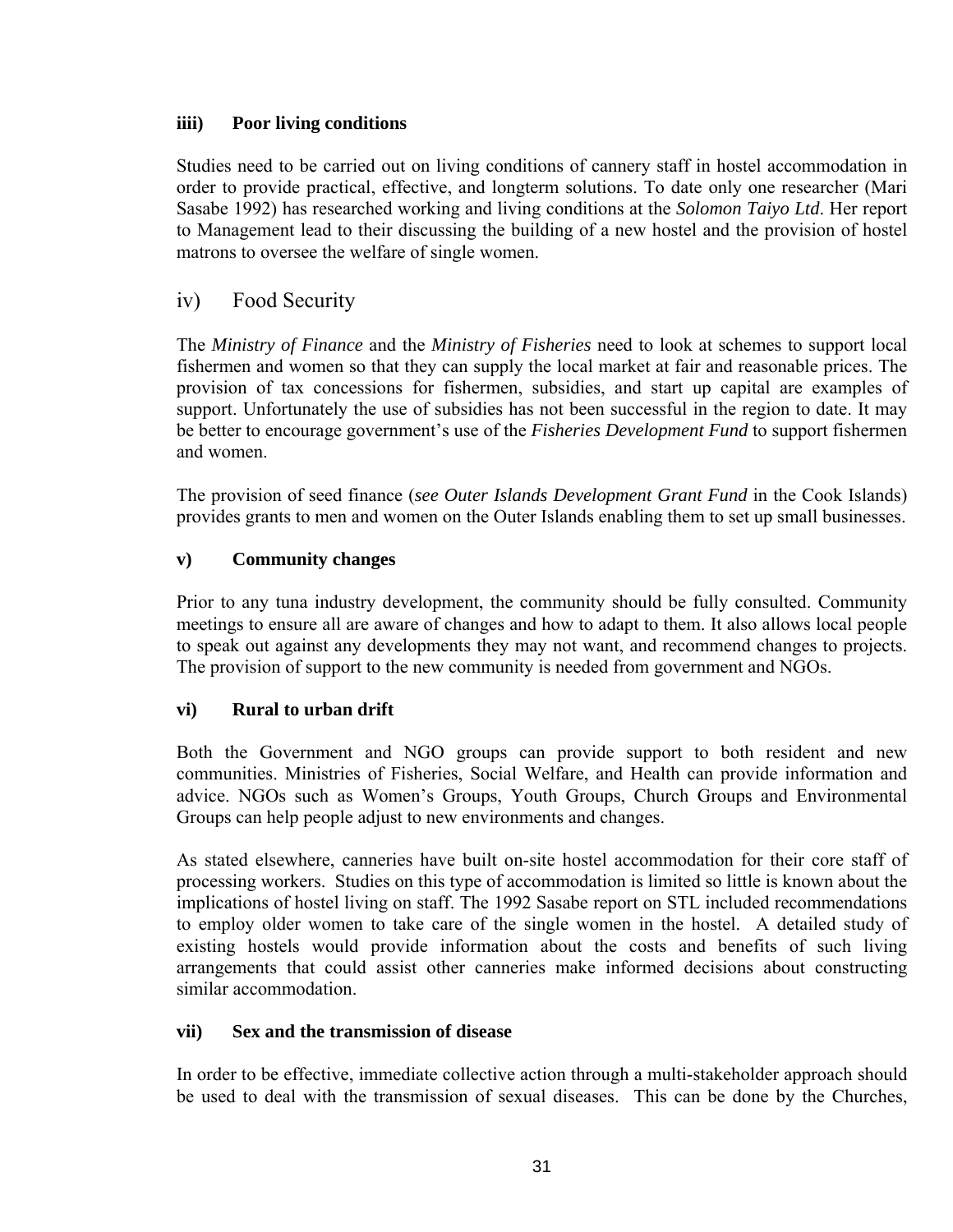#### **iiii) Poor living conditions**

Studies need to be carried out on living conditions of cannery staff in hostel accommodation in order to provide practical, effective, and longterm solutions. To date only one researcher (Mari Sasabe 1992) has researched working and living conditions at the *Solomon Taiyo Ltd*. Her report to Management lead to their discussing the building of a new hostel and the provision of hostel matrons to oversee the welfare of single women.

# iv) Food Security

The *Ministry of Finance* and the *Ministry of Fisheries* need to look at schemes to support local fishermen and women so that they can supply the local market at fair and reasonable prices. The provision of tax concessions for fishermen, subsidies, and start up capital are examples of support. Unfortunately the use of subsidies has not been successful in the region to date. It may be better to encourage government's use of the *Fisheries Development Fund* to support fishermen and women.

The provision of seed finance (*see Outer Islands Development Grant Fund* in the Cook Islands) provides grants to men and women on the Outer Islands enabling them to set up small businesses.

#### **v) Community changes**

Prior to any tuna industry development, the community should be fully consulted. Community meetings to ensure all are aware of changes and how to adapt to them. It also allows local people to speak out against any developments they may not want, and recommend changes to projects. The provision of support to the new community is needed from government and NGOs.

## **vi) Rural to urban drift**

Both the Government and NGO groups can provide support to both resident and new communities. Ministries of Fisheries, Social Welfare, and Health can provide information and advice. NGOs such as Women's Groups, Youth Groups, Church Groups and Environmental Groups can help people adjust to new environments and changes.

As stated elsewhere, canneries have built on-site hostel accommodation for their core staff of processing workers. Studies on this type of accommodation is limited so little is known about the implications of hostel living on staff. The 1992 Sasabe report on STL included recommendations to employ older women to take care of the single women in the hostel. A detailed study of existing hostels would provide information about the costs and benefits of such living arrangements that could assist other canneries make informed decisions about constructing similar accommodation.

#### **vii) Sex and the transmission of disease**

In order to be effective, immediate collective action through a multi-stakeholder approach should be used to deal with the transmission of sexual diseases. This can be done by the Churches,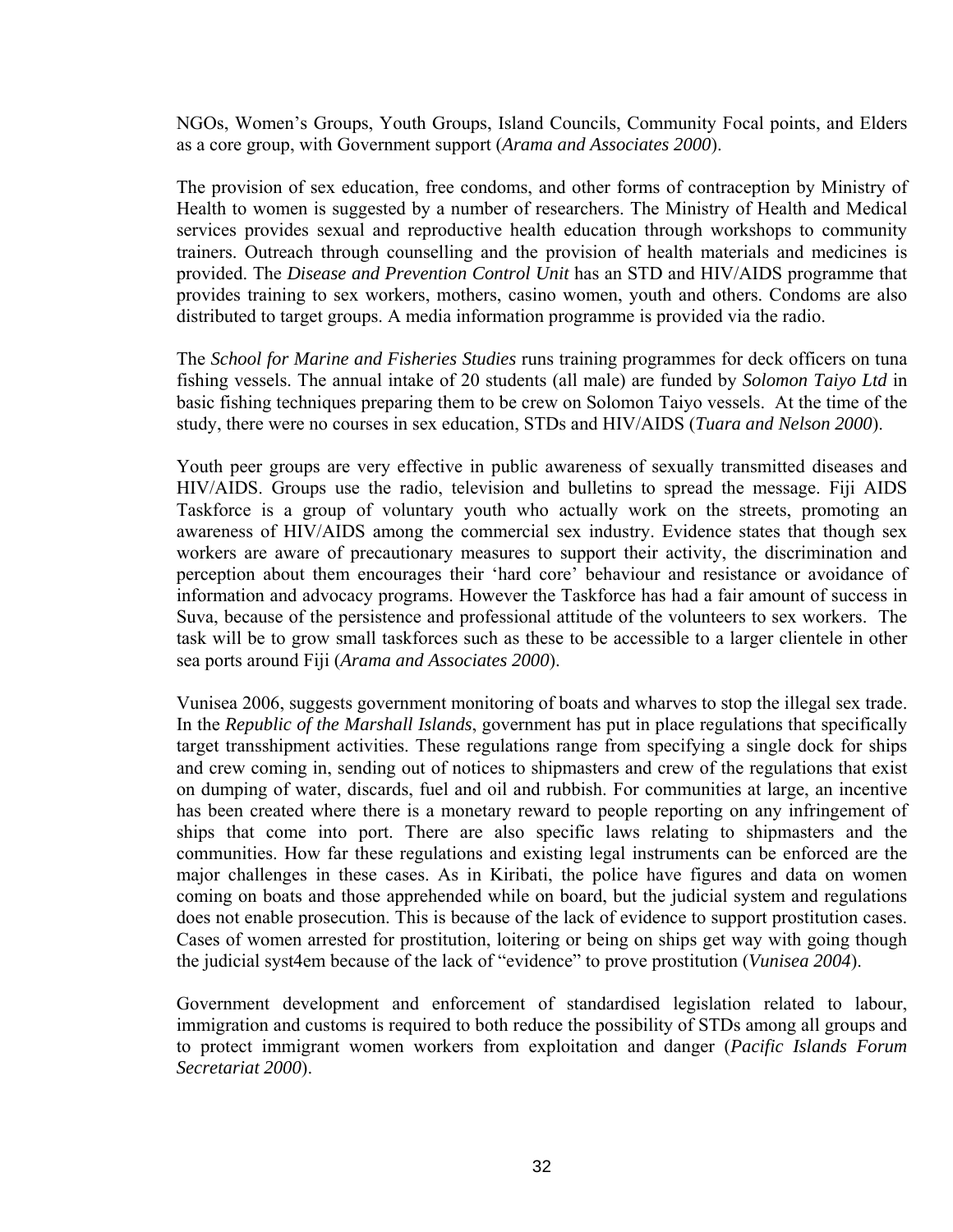NGOs, Women's Groups, Youth Groups, Island Councils, Community Focal points, and Elders as a core group, with Government support (*Arama and Associates 2000*).

The provision of sex education, free condoms, and other forms of contraception by Ministry of Health to women is suggested by a number of researchers. The Ministry of Health and Medical services provides sexual and reproductive health education through workshops to community trainers. Outreach through counselling and the provision of health materials and medicines is provided. The *Disease and Prevention Control Unit* has an STD and HIV/AIDS programme that provides training to sex workers, mothers, casino women, youth and others. Condoms are also distributed to target groups. A media information programme is provided via the radio.

The *School for Marine and Fisheries Studies* runs training programmes for deck officers on tuna fishing vessels. The annual intake of 20 students (all male) are funded by *Solomon Taiyo Ltd* in basic fishing techniques preparing them to be crew on Solomon Taiyo vessels. At the time of the study, there were no courses in sex education, STDs and HIV/AIDS (*Tuara and Nelson 2000*).

Youth peer groups are very effective in public awareness of sexually transmitted diseases and HIV/AIDS. Groups use the radio, television and bulletins to spread the message. Fiji AIDS Taskforce is a group of voluntary youth who actually work on the streets, promoting an awareness of HIV/AIDS among the commercial sex industry. Evidence states that though sex workers are aware of precautionary measures to support their activity, the discrimination and perception about them encourages their 'hard core' behaviour and resistance or avoidance of information and advocacy programs. However the Taskforce has had a fair amount of success in Suva, because of the persistence and professional attitude of the volunteers to sex workers. The task will be to grow small taskforces such as these to be accessible to a larger clientele in other sea ports around Fiji (*Arama and Associates 2000*).

Vunisea 2006, suggests government monitoring of boats and wharves to stop the illegal sex trade. In the *Republic of the Marshall Islands*, government has put in place regulations that specifically target transshipment activities. These regulations range from specifying a single dock for ships and crew coming in, sending out of notices to shipmasters and crew of the regulations that exist on dumping of water, discards, fuel and oil and rubbish. For communities at large, an incentive has been created where there is a monetary reward to people reporting on any infringement of ships that come into port. There are also specific laws relating to shipmasters and the communities. How far these regulations and existing legal instruments can be enforced are the major challenges in these cases. As in Kiribati, the police have figures and data on women coming on boats and those apprehended while on board, but the judicial system and regulations does not enable prosecution. This is because of the lack of evidence to support prostitution cases. Cases of women arrested for prostitution, loitering or being on ships get way with going though the judicial syst4em because of the lack of "evidence" to prove prostitution (*Vunisea 2004*).

Government development and enforcement of standardised legislation related to labour, immigration and customs is required to both reduce the possibility of STDs among all groups and to protect immigrant women workers from exploitation and danger (*Pacific Islands Forum Secretariat 2000*).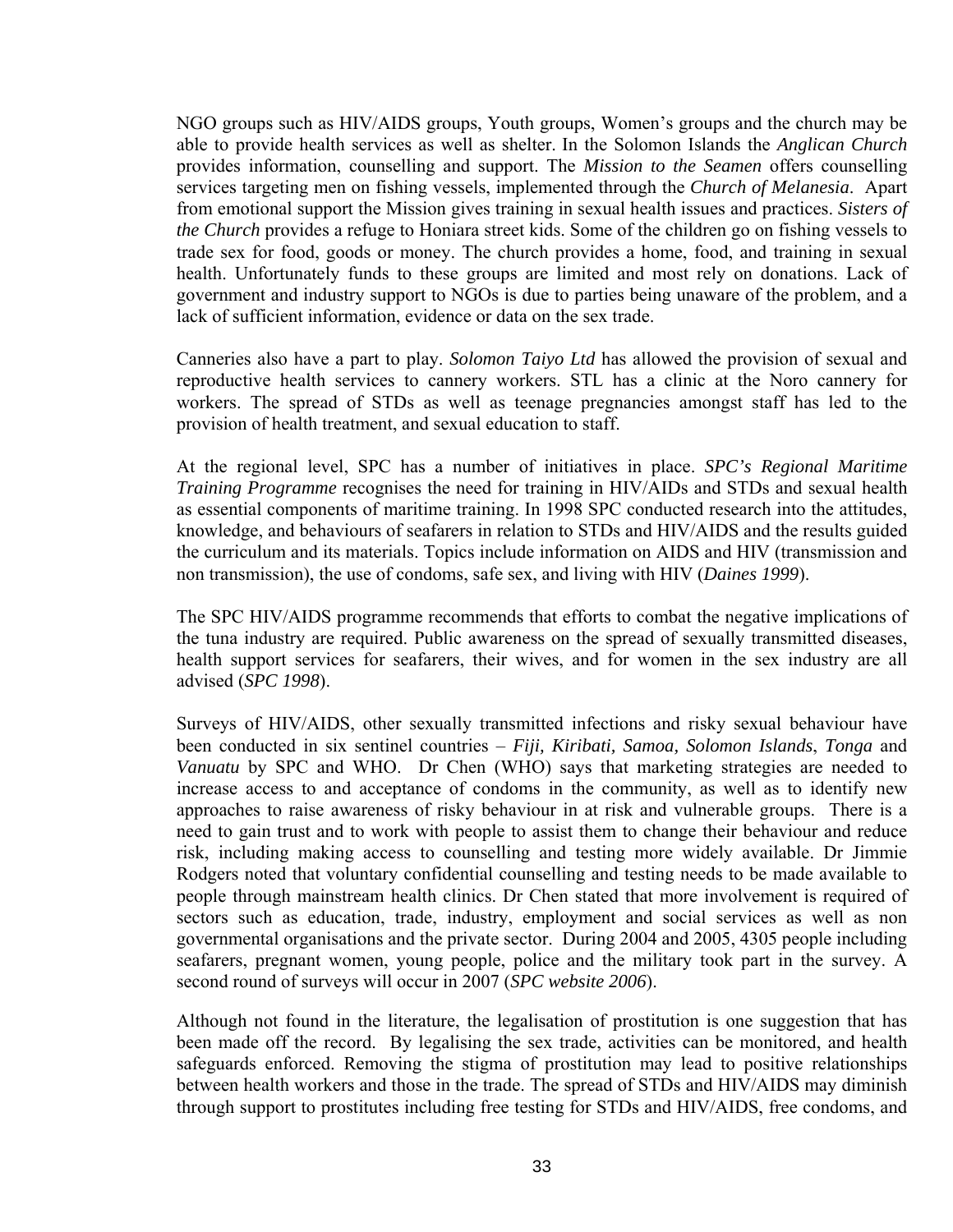NGO groups such as HIV/AIDS groups, Youth groups, Women's groups and the church may be able to provide health services as well as shelter. In the Solomon Islands the *Anglican Church* provides information, counselling and support. The *Mission to the Seamen* offers counselling services targeting men on fishing vessels, implemented through the *Church of Melanesia*. Apart from emotional support the Mission gives training in sexual health issues and practices. *Sisters of the Church* provides a refuge to Honiara street kids. Some of the children go on fishing vessels to trade sex for food, goods or money. The church provides a home, food, and training in sexual health. Unfortunately funds to these groups are limited and most rely on donations. Lack of government and industry support to NGOs is due to parties being unaware of the problem, and a lack of sufficient information, evidence or data on the sex trade.

Canneries also have a part to play. *Solomon Taiyo Ltd* has allowed the provision of sexual and reproductive health services to cannery workers. STL has a clinic at the Noro cannery for workers. The spread of STDs as well as teenage pregnancies amongst staff has led to the provision of health treatment, and sexual education to staff.

At the regional level, SPC has a number of initiatives in place. *SPC's Regional Maritime Training Programme* recognises the need for training in HIV/AIDs and STDs and sexual health as essential components of maritime training. In 1998 SPC conducted research into the attitudes, knowledge, and behaviours of seafarers in relation to STDs and HIV/AIDS and the results guided the curriculum and its materials. Topics include information on AIDS and HIV (transmission and non transmission), the use of condoms, safe sex, and living with HIV (*Daines 1999*).

The SPC HIV/AIDS programme recommends that efforts to combat the negative implications of the tuna industry are required. Public awareness on the spread of sexually transmitted diseases, health support services for seafarers, their wives, and for women in the sex industry are all advised (*SPC 1998*).

Surveys of HIV/AIDS, other sexually transmitted infections and risky sexual behaviour have been conducted in six sentinel countries – *Fiji, Kiribati, Samoa, Solomon Islands*, *Tonga* and *Vanuatu* by SPC and WHO. Dr Chen (WHO) says that marketing strategies are needed to increase access to and acceptance of condoms in the community, as well as to identify new approaches to raise awareness of risky behaviour in at risk and vulnerable groups. There is a need to gain trust and to work with people to assist them to change their behaviour and reduce risk, including making access to counselling and testing more widely available. Dr Jimmie Rodgers noted that voluntary confidential counselling and testing needs to be made available to people through mainstream health clinics. Dr Chen stated that more involvement is required of sectors such as education, trade, industry, employment and social services as well as non governmental organisations and the private sector. During 2004 and 2005, 4305 people including seafarers, pregnant women, young people, police and the military took part in the survey. A second round of surveys will occur in 2007 (*SPC website 2006*).

Although not found in the literature, the legalisation of prostitution is one suggestion that has been made off the record. By legalising the sex trade, activities can be monitored, and health safeguards enforced. Removing the stigma of prostitution may lead to positive relationships between health workers and those in the trade. The spread of STDs and HIV/AIDS may diminish through support to prostitutes including free testing for STDs and HIV/AIDS, free condoms, and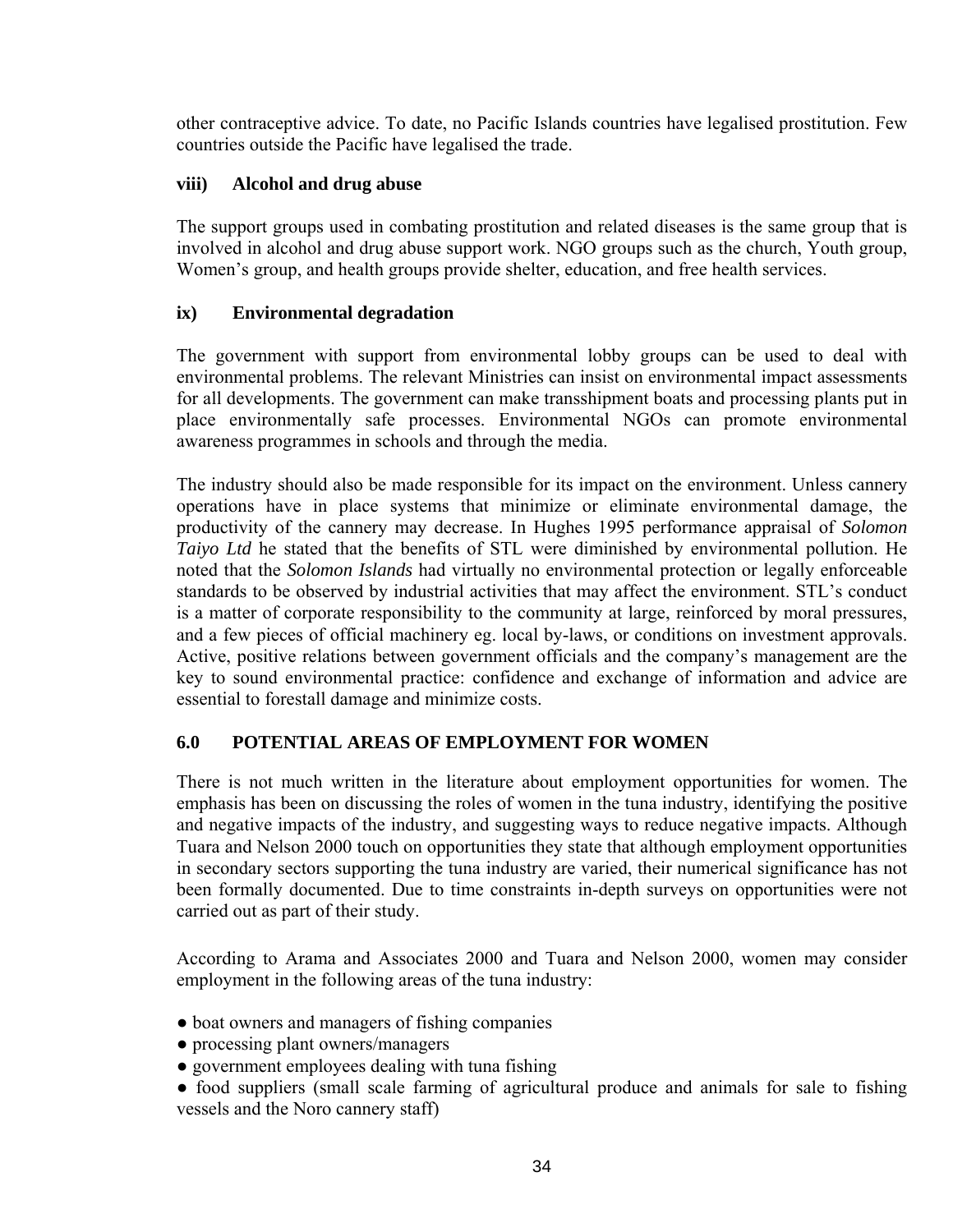other contraceptive advice. To date, no Pacific Islands countries have legalised prostitution. Few countries outside the Pacific have legalised the trade.

## **viii) Alcohol and drug abuse**

The support groups used in combating prostitution and related diseases is the same group that is involved in alcohol and drug abuse support work. NGO groups such as the church, Youth group, Women's group, and health groups provide shelter, education, and free health services.

## **ix) Environmental degradation**

The government with support from environmental lobby groups can be used to deal with environmental problems. The relevant Ministries can insist on environmental impact assessments for all developments. The government can make transshipment boats and processing plants put in place environmentally safe processes. Environmental NGOs can promote environmental awareness programmes in schools and through the media.

The industry should also be made responsible for its impact on the environment. Unless cannery operations have in place systems that minimize or eliminate environmental damage, the productivity of the cannery may decrease. In Hughes 1995 performance appraisal of *Solomon Taiyo Ltd* he stated that the benefits of STL were diminished by environmental pollution. He noted that the *Solomon Islands* had virtually no environmental protection or legally enforceable standards to be observed by industrial activities that may affect the environment. STL's conduct is a matter of corporate responsibility to the community at large, reinforced by moral pressures, and a few pieces of official machinery eg. local by-laws, or conditions on investment approvals. Active, positive relations between government officials and the company's management are the key to sound environmental practice: confidence and exchange of information and advice are essential to forestall damage and minimize costs.

# **6.0 POTENTIAL AREAS OF EMPLOYMENT FOR WOMEN**

There is not much written in the literature about employment opportunities for women. The emphasis has been on discussing the roles of women in the tuna industry, identifying the positive and negative impacts of the industry, and suggesting ways to reduce negative impacts. Although Tuara and Nelson 2000 touch on opportunities they state that although employment opportunities in secondary sectors supporting the tuna industry are varied, their numerical significance has not been formally documented. Due to time constraints in-depth surveys on opportunities were not carried out as part of their study.

According to Arama and Associates 2000 and Tuara and Nelson 2000, women may consider employment in the following areas of the tuna industry:

- boat owners and managers of fishing companies
- processing plant owners/managers
- government employees dealing with tuna fishing
- food suppliers (small scale farming of agricultural produce and animals for sale to fishing vessels and the Noro cannery staff)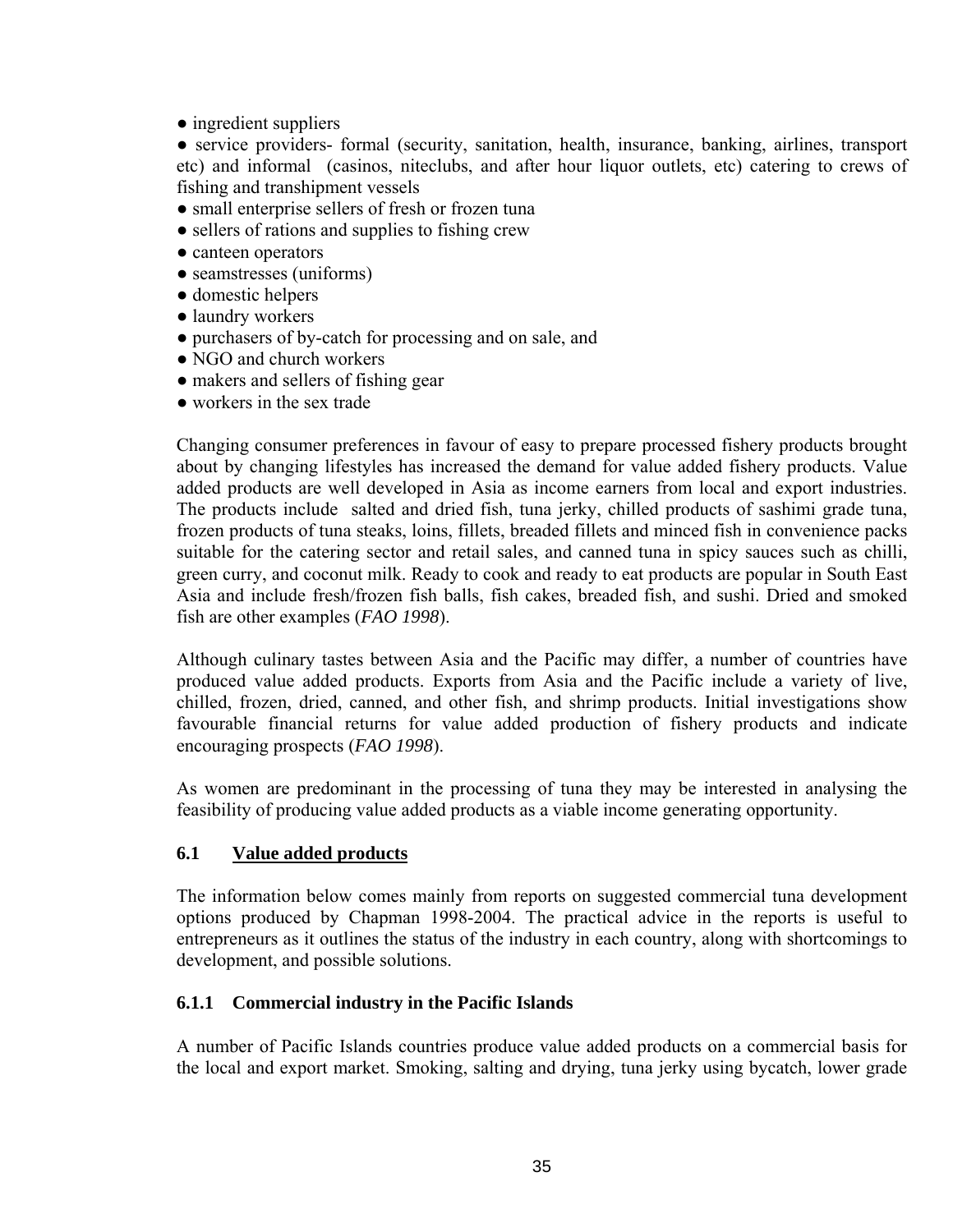• ingredient suppliers

• service providers- formal (security, sanitation, health, insurance, banking, airlines, transport etc) and informal (casinos, niteclubs, and after hour liquor outlets, etc) catering to crews of fishing and transhipment vessels

- small enterprise sellers of fresh or frozen tuna
- sellers of rations and supplies to fishing crew
- canteen operators
- seamstresses (uniforms)
- domestic helpers
- laundry workers
- purchasers of by-catch for processing and on sale, and
- NGO and church workers
- makers and sellers of fishing gear
- workers in the sex trade

Changing consumer preferences in favour of easy to prepare processed fishery products brought about by changing lifestyles has increased the demand for value added fishery products. Value added products are well developed in Asia as income earners from local and export industries. The products include salted and dried fish, tuna jerky, chilled products of sashimi grade tuna, frozen products of tuna steaks, loins, fillets, breaded fillets and minced fish in convenience packs suitable for the catering sector and retail sales, and canned tuna in spicy sauces such as chilli, green curry, and coconut milk. Ready to cook and ready to eat products are popular in South East Asia and include fresh/frozen fish balls, fish cakes, breaded fish, and sushi. Dried and smoked fish are other examples (*FAO 1998*).

Although culinary tastes between Asia and the Pacific may differ, a number of countries have produced value added products. Exports from Asia and the Pacific include a variety of live, chilled, frozen, dried, canned, and other fish, and shrimp products. Initial investigations show favourable financial returns for value added production of fishery products and indicate encouraging prospects (*FAO 1998*).

As women are predominant in the processing of tuna they may be interested in analysing the feasibility of producing value added products as a viable income generating opportunity.

#### **6.1 Value added products**

The information below comes mainly from reports on suggested commercial tuna development options produced by Chapman 1998-2004. The practical advice in the reports is useful to entrepreneurs as it outlines the status of the industry in each country, along with shortcomings to development, and possible solutions.

#### **6.1.1 Commercial industry in the Pacific Islands**

A number of Pacific Islands countries produce value added products on a commercial basis for the local and export market. Smoking, salting and drying, tuna jerky using bycatch, lower grade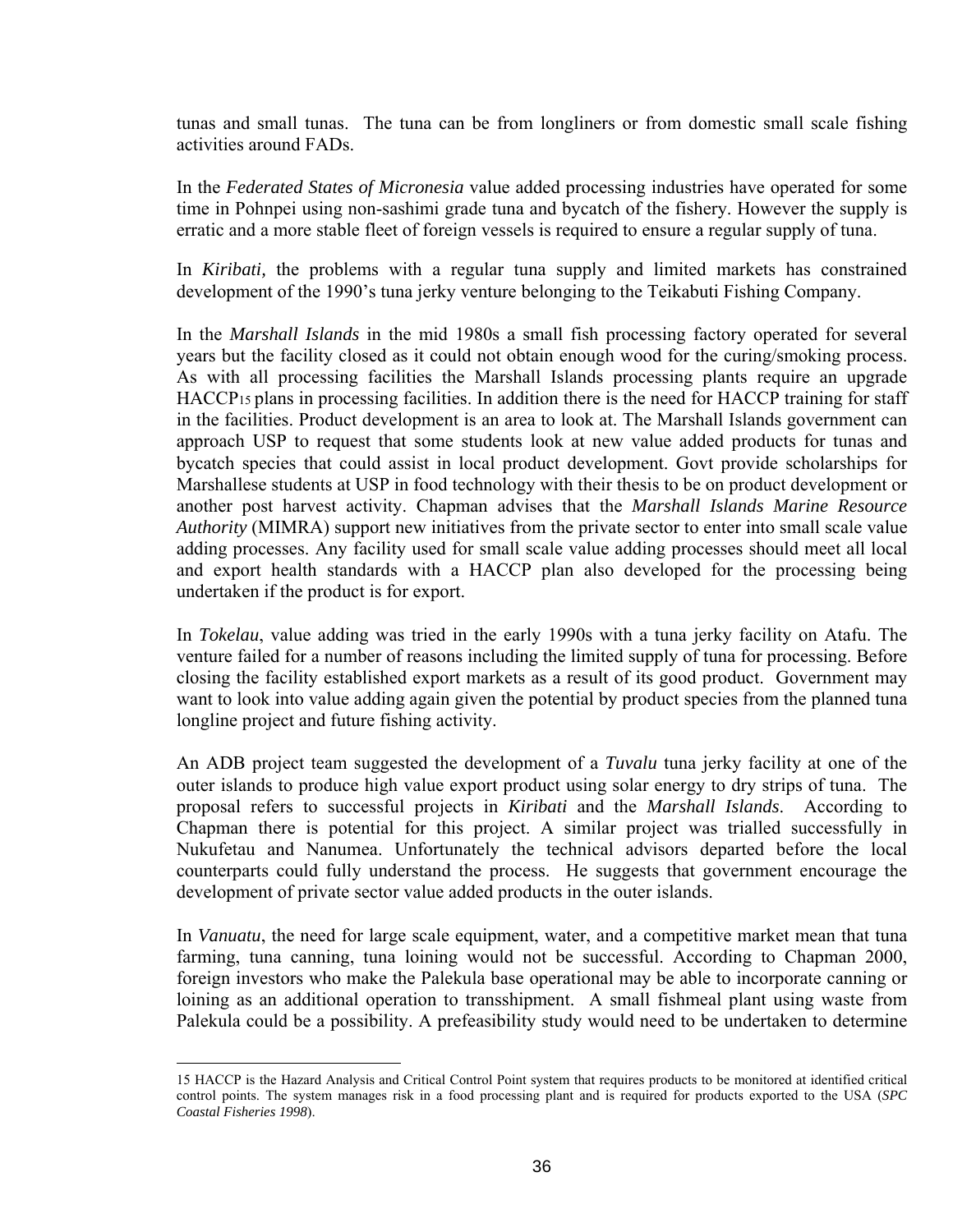tunas and small tunas. The tuna can be from longliners or from domestic small scale fishing activities around FADs.

In the *Federated States of Micronesia* value added processing industries have operated for some time in Pohnpei using non-sashimi grade tuna and bycatch of the fishery. However the supply is erratic and a more stable fleet of foreign vessels is required to ensure a regular supply of tuna.

In *Kiribati,* the problems with a regular tuna supply and limited markets has constrained development of the 1990's tuna jerky venture belonging to the Teikabuti Fishing Company.

In the *Marshall Islands* in the mid 1980s a small fish processing factory operated for several years but the facility closed as it could not obtain enough wood for the curing/smoking process. As with all processing facilities the Marshall Islands processing plants require an upgrade HACC[P15](#page-35-0) plans in processing facilities. In addition there is the need for HACCP training for staff in the facilities. Product development is an area to look at. The Marshall Islands government can approach USP to request that some students look at new value added products for tunas and bycatch species that could assist in local product development. Govt provide scholarships for Marshallese students at USP in food technology with their thesis to be on product development or another post harvest activity. Chapman advises that the *Marshall Islands Marine Resource Authority* (MIMRA) support new initiatives from the private sector to enter into small scale value adding processes. Any facility used for small scale value adding processes should meet all local and export health standards with a HACCP plan also developed for the processing being undertaken if the product is for export.

In *Tokelau*, value adding was tried in the early 1990s with a tuna jerky facility on Atafu. The venture failed for a number of reasons including the limited supply of tuna for processing. Before closing the facility established export markets as a result of its good product. Government may want to look into value adding again given the potential by product species from the planned tuna longline project and future fishing activity.

An ADB project team suggested the development of a *Tuvalu* tuna jerky facility at one of the outer islands to produce high value export product using solar energy to dry strips of tuna. The proposal refers to successful projects in *Kiribati* and the *Marshall Islands*. According to Chapman there is potential for this project. A similar project was trialled successfully in Nukufetau and Nanumea. Unfortunately the technical advisors departed before the local counterparts could fully understand the process. He suggests that government encourage the development of private sector value added products in the outer islands.

In *Vanuatu*, the need for large scale equipment, water, and a competitive market mean that tuna farming, tuna canning, tuna loining would not be successful. According to Chapman 2000, foreign investors who make the Palekula base operational may be able to incorporate canning or loining as an additional operation to transshipment. A small fishmeal plant using waste from Palekula could be a possibility. A prefeasibility study would need to be undertaken to determine

<span id="page-35-0"></span> <sup>15</sup> HACCP is the Hazard Analysis and Critical Control Point system that requires products to be monitored at identified critical control points. The system manages risk in a food processing plant and is required for products exported to the USA (*SPC Coastal Fisheries 1998*).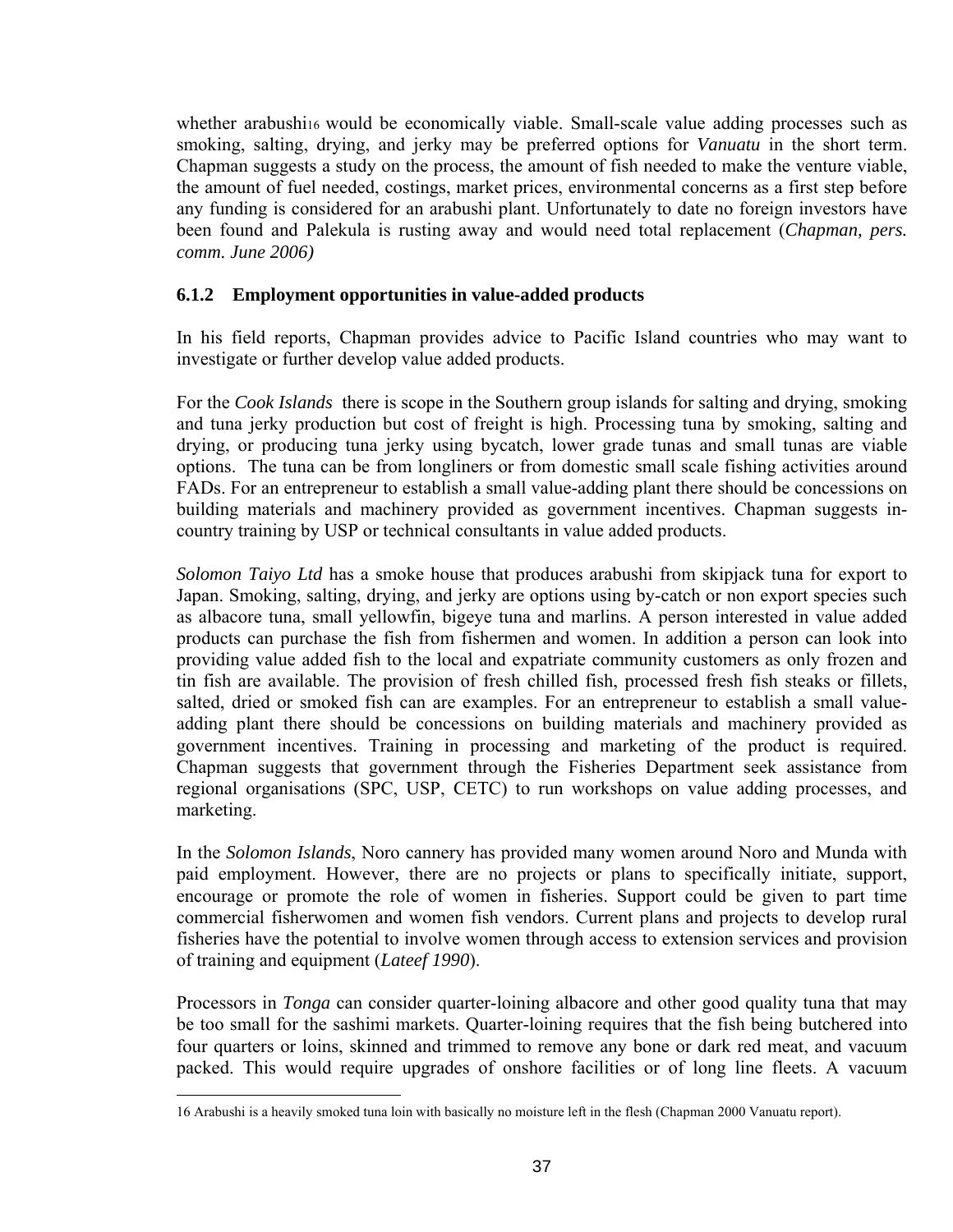whether arabush[i16](#page-36-0) would be economically viable. Small-scale value adding processes such as smoking, salting, drying, and jerky may be preferred options for *Vanuatu* in the short term. Chapman suggests a study on the process, the amount of fish needed to make the venture viable, the amount of fuel needed, costings, market prices, environmental concerns as a first step before any funding is considered for an arabushi plant. Unfortunately to date no foreign investors have been found and Palekula is rusting away and would need total replacement (*Chapman, pers. comm. June 2006)*

## **6.1.2 Employment opportunities in value-added products**

In his field reports, Chapman provides advice to Pacific Island countries who may want to investigate or further develop value added products.

For the *Cook Islands*there is scope in the Southern group islands for salting and drying, smoking and tuna jerky production but cost of freight is high. Processing tuna by smoking, salting and drying, or producing tuna jerky using bycatch, lower grade tunas and small tunas are viable options. The tuna can be from longliners or from domestic small scale fishing activities around FADs. For an entrepreneur to establish a small value-adding plant there should be concessions on building materials and machinery provided as government incentives. Chapman suggests incountry training by USP or technical consultants in value added products.

*Solomon Taiyo Ltd* has a smoke house that produces arabushi from skipjack tuna for export to Japan. Smoking, salting, drying, and jerky are options using by-catch or non export species such as albacore tuna, small yellowfin, bigeye tuna and marlins. A person interested in value added products can purchase the fish from fishermen and women. In addition a person can look into providing value added fish to the local and expatriate community customers as only frozen and tin fish are available. The provision of fresh chilled fish, processed fresh fish steaks or fillets, salted, dried or smoked fish can are examples. For an entrepreneur to establish a small valueadding plant there should be concessions on building materials and machinery provided as government incentives. Training in processing and marketing of the product is required. Chapman suggests that government through the Fisheries Department seek assistance from regional organisations (SPC, USP, CETC) to run workshops on value adding processes, and marketing.

In the *Solomon Islands*, Noro cannery has provided many women around Noro and Munda with paid employment. However, there are no projects or plans to specifically initiate, support, encourage or promote the role of women in fisheries. Support could be given to part time commercial fisherwomen and women fish vendors. Current plans and projects to develop rural fisheries have the potential to involve women through access to extension services and provision of training and equipment (*Lateef 1990*).

Processors in *Tonga* can consider quarter-loining albacore and other good quality tuna that may be too small for the sashimi markets. Quarter-loining requires that the fish being butchered into four quarters or loins, skinned and trimmed to remove any bone or dark red meat, and vacuum packed. This would require upgrades of onshore facilities or of long line fleets. A vacuum

<span id="page-36-0"></span> <sup>16</sup> Arabushi is a heavily smoked tuna loin with basically no moisture left in the flesh (Chapman 2000 Vanuatu report).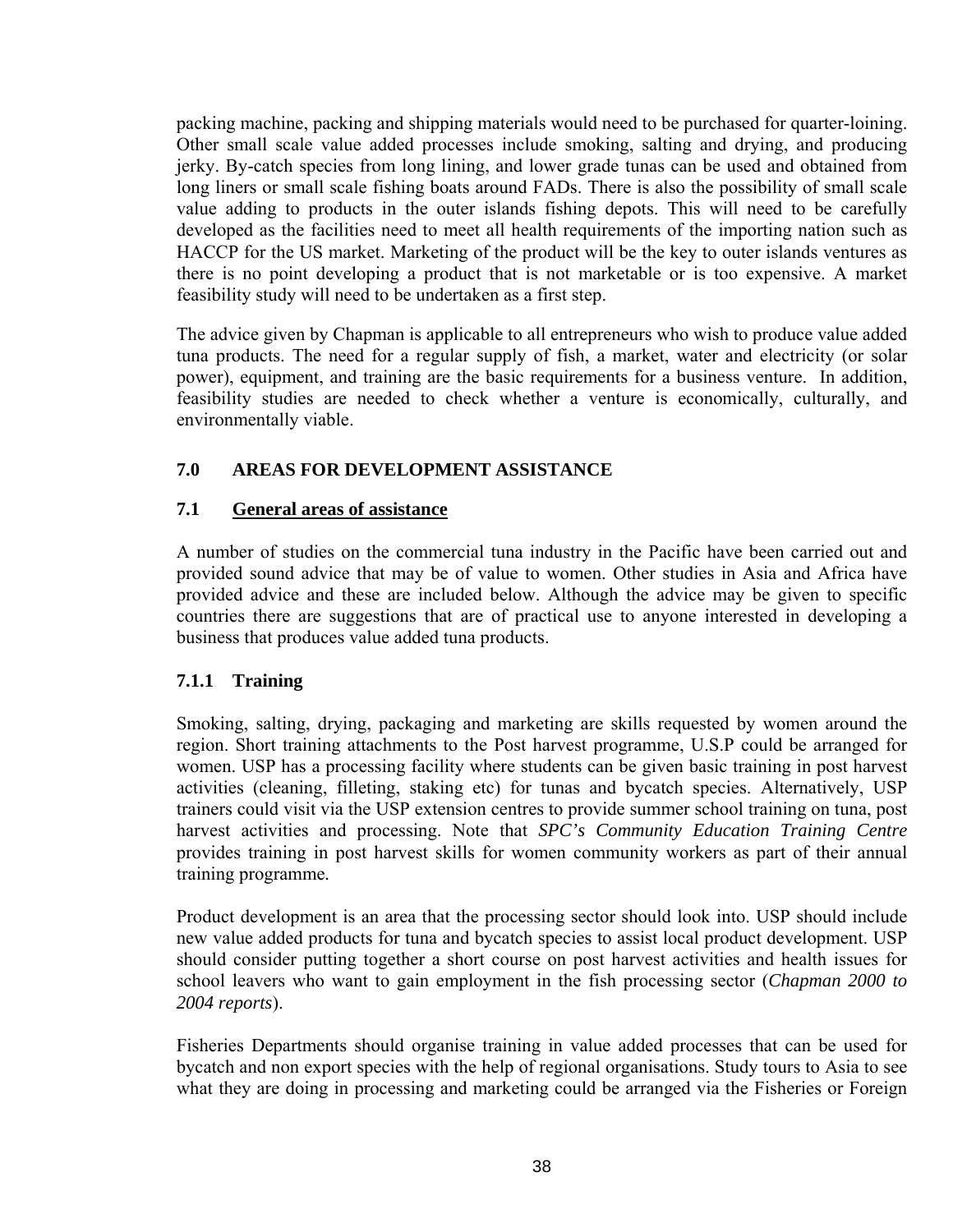packing machine, packing and shipping materials would need to be purchased for quarter-loining. Other small scale value added processes include smoking, salting and drying, and producing jerky. By-catch species from long lining, and lower grade tunas can be used and obtained from long liners or small scale fishing boats around FADs. There is also the possibility of small scale value adding to products in the outer islands fishing depots. This will need to be carefully developed as the facilities need to meet all health requirements of the importing nation such as HACCP for the US market. Marketing of the product will be the key to outer islands ventures as there is no point developing a product that is not marketable or is too expensive. A market feasibility study will need to be undertaken as a first step.

The advice given by Chapman is applicable to all entrepreneurs who wish to produce value added tuna products. The need for a regular supply of fish, a market, water and electricity (or solar power), equipment, and training are the basic requirements for a business venture. In addition, feasibility studies are needed to check whether a venture is economically, culturally, and environmentally viable.

# **7.0 AREAS FOR DEVELOPMENT ASSISTANCE**

# **7.1 General areas of assistance**

A number of studies on the commercial tuna industry in the Pacific have been carried out and provided sound advice that may be of value to women. Other studies in Asia and Africa have provided advice and these are included below. Although the advice may be given to specific countries there are suggestions that are of practical use to anyone interested in developing a business that produces value added tuna products.

# **7.1.1 Training**

Smoking, salting, drying, packaging and marketing are skills requested by women around the region. Short training attachments to the Post harvest programme, U.S.P could be arranged for women. USP has a processing facility where students can be given basic training in post harvest activities (cleaning, filleting, staking etc) for tunas and bycatch species. Alternatively, USP trainers could visit via the USP extension centres to provide summer school training on tuna, post harvest activities and processing. Note that *SPC's Community Education Training Centre* provides training in post harvest skills for women community workers as part of their annual training programme*.* 

Product development is an area that the processing sector should look into. USP should include new value added products for tuna and bycatch species to assist local product development. USP should consider putting together a short course on post harvest activities and health issues for school leavers who want to gain employment in the fish processing sector (*Chapman 2000 to 2004 reports*).

Fisheries Departments should organise training in value added processes that can be used for bycatch and non export species with the help of regional organisations. Study tours to Asia to see what they are doing in processing and marketing could be arranged via the Fisheries or Foreign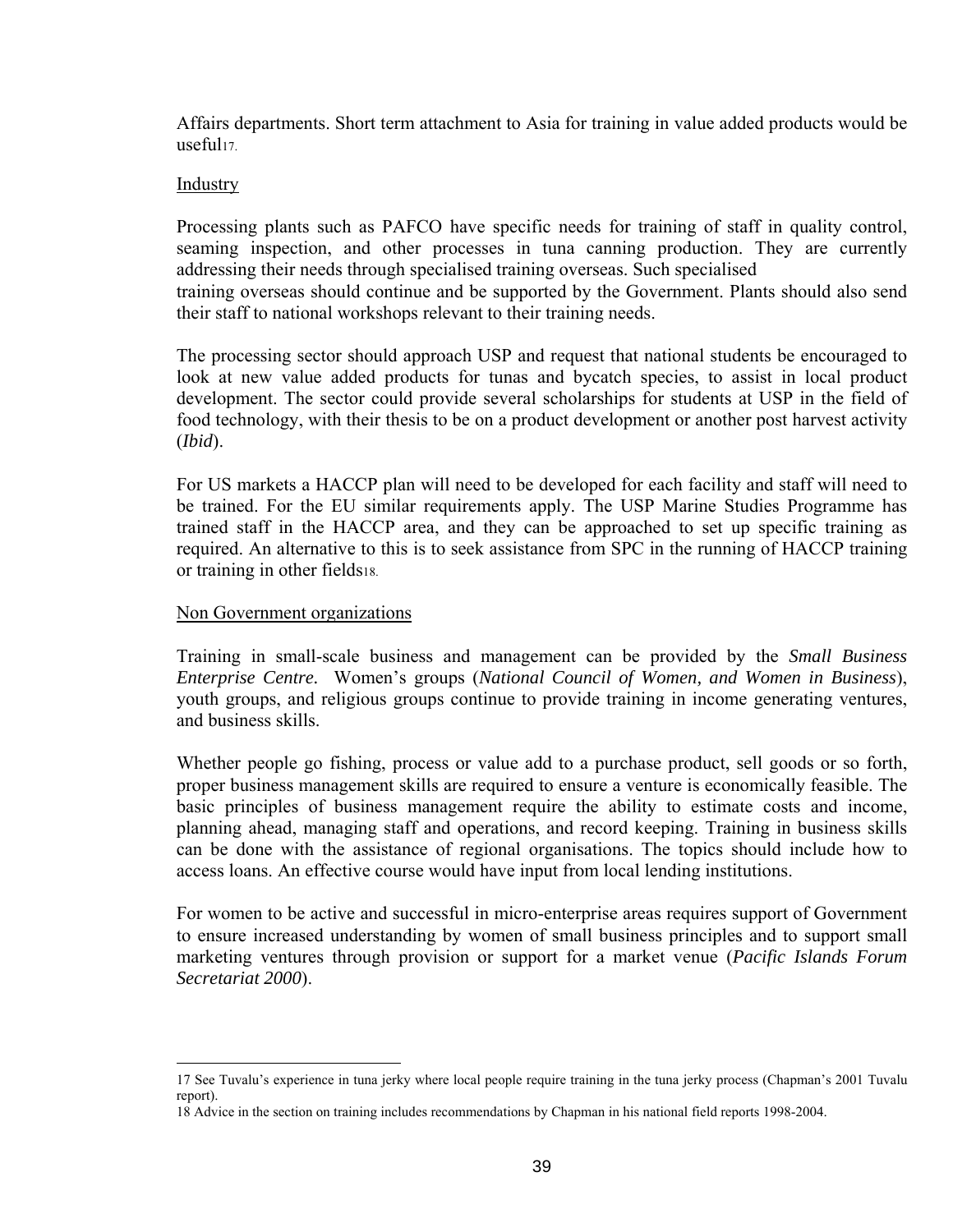Affairs departments. Short term attachment to Asia for training in value added products would be  $useful17$ 

#### Industry

Processing plants such as PAFCO have specific needs for training of staff in quality control, seaming inspection, and other processes in tuna canning production. They are currently addressing their needs through specialised training overseas. Such specialised training overseas should continue and be supported by the Government. Plants should also send their staff to national workshops relevant to their training needs.

The processing sector should approach USP and request that national students be encouraged to look at new value added products for tunas and bycatch species, to assist in local product development. The sector could provide several scholarships for students at USP in the field of food technology, with their thesis to be on a product development or another post harvest activity (*Ibid*).

For US markets a HACCP plan will need to be developed for each facility and staff will need to be trained. For the EU similar requirements apply. The USP Marine Studies Programme has trained staff in the HACCP area, and they can be approached to set up specific training as required. An alternative to this is to seek assistance from SPC in the running of HACCP training or training in other field[s18.](#page-38-1) 

#### Non Government organizations

Training in small-scale business and management can be provided by the *Small Business Enterprise Centre.* Women's groups (*National Council of Women, and Women in Business*), youth groups, and religious groups continue to provide training in income generating ventures, and business skills.

Whether people go fishing, process or value add to a purchase product, sell goods or so forth, proper business management skills are required to ensure a venture is economically feasible. The basic principles of business management require the ability to estimate costs and income, planning ahead, managing staff and operations, and record keeping. Training in business skills can be done with the assistance of regional organisations. The topics should include how to access loans. An effective course would have input from local lending institutions.

For women to be active and successful in micro-enterprise areas requires support of Government to ensure increased understanding by women of small business principles and to support small marketing ventures through provision or support for a market venue (*Pacific Islands Forum Secretariat 2000*).

<span id="page-38-0"></span> <sup>17</sup> See Tuvalu's experience in tuna jerky where local people require training in the tuna jerky process (Chapman's 2001 Tuvalu report).

<span id="page-38-1"></span><sup>18</sup> Advice in the section on training includes recommendations by Chapman in his national field reports 1998-2004.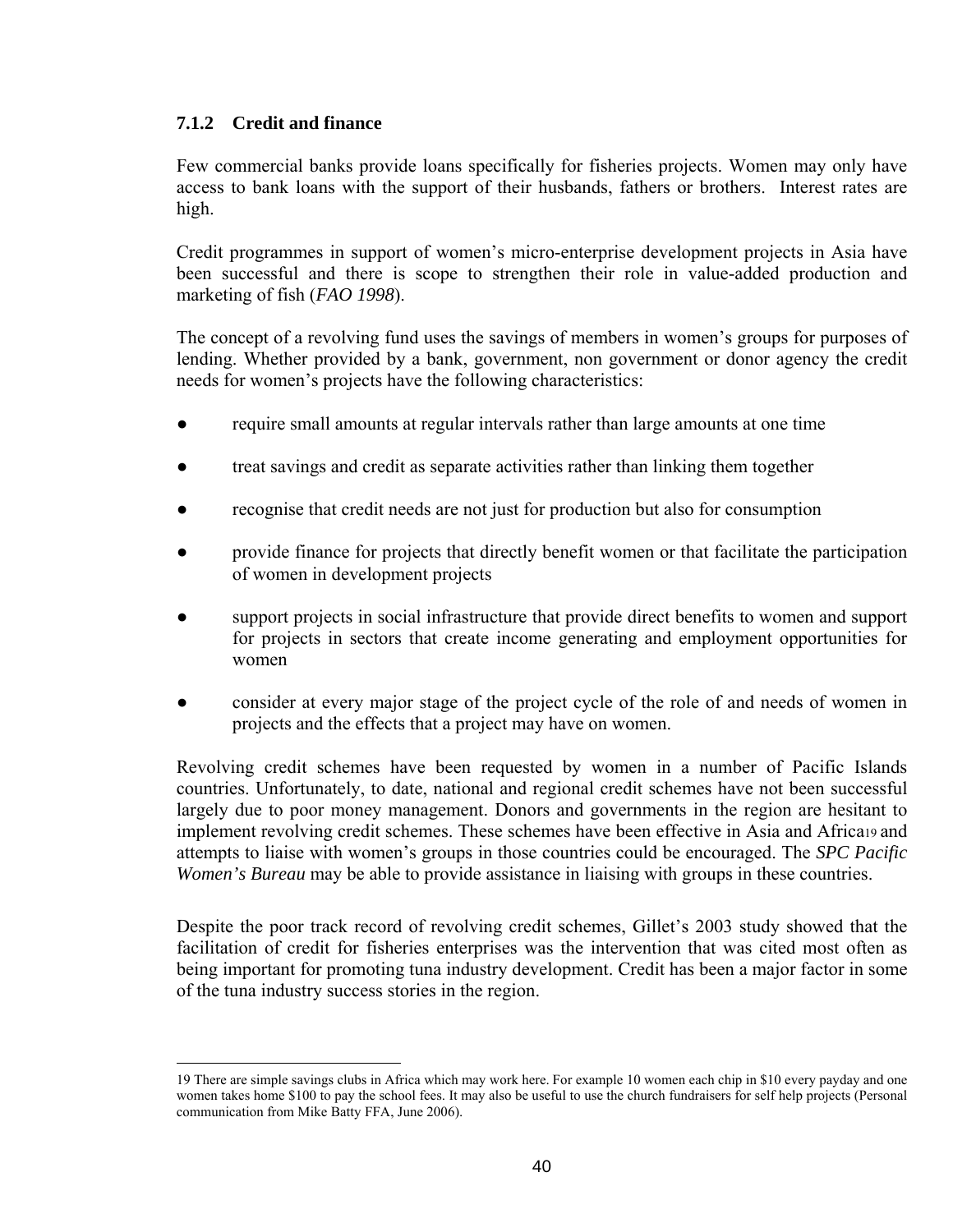## **7.1.2 Credit and finance**

Few commercial banks provide loans specifically for fisheries projects. Women may only have access to bank loans with the support of their husbands, fathers or brothers. Interest rates are high.

Credit programmes in support of women's micro-enterprise development projects in Asia have been successful and there is scope to strengthen their role in value-added production and marketing of fish (*FAO 1998*).

The concept of a revolving fund uses the savings of members in women's groups for purposes of lending. Whether provided by a bank, government, non government or donor agency the credit needs for women's projects have the following characteristics:

- require small amounts at regular intervals rather than large amounts at one time
- treat savings and credit as separate activities rather than linking them together
- recognise that credit needs are not just for production but also for consumption
- provide finance for projects that directly benefit women or that facilitate the participation of women in development projects
- support projects in social infrastructure that provide direct benefits to women and support for projects in sectors that create income generating and employment opportunities for women
- consider at every major stage of the project cycle of the role of and needs of women in projects and the effects that a project may have on women.

Revolving credit schemes have been requested by women in a number of Pacific Islands countries. Unfortunately, to date, national and regional credit schemes have not been successful largely due to poor money management. Donors and governments in the region are hesitant to implement revolving credit schemes. These schemes have been effective in Asia and Africa[19](#page-39-0) and attempts to liaise with women's groups in those countries could be encouraged. The *SPC Pacific Women's Bureau* may be able to provide assistance in liaising with groups in these countries.

Despite the poor track record of revolving credit schemes, Gillet's 2003 study showed that the facilitation of credit for fisheries enterprises was the intervention that was cited most often as being important for promoting tuna industry development. Credit has been a major factor in some of the tuna industry success stories in the region.

<span id="page-39-0"></span> <sup>19</sup> There are simple savings clubs in Africa which may work here. For example 10 women each chip in \$10 every payday and one women takes home \$100 to pay the school fees. It may also be useful to use the church fundraisers for self help projects (Personal communication from Mike Batty FFA, June 2006).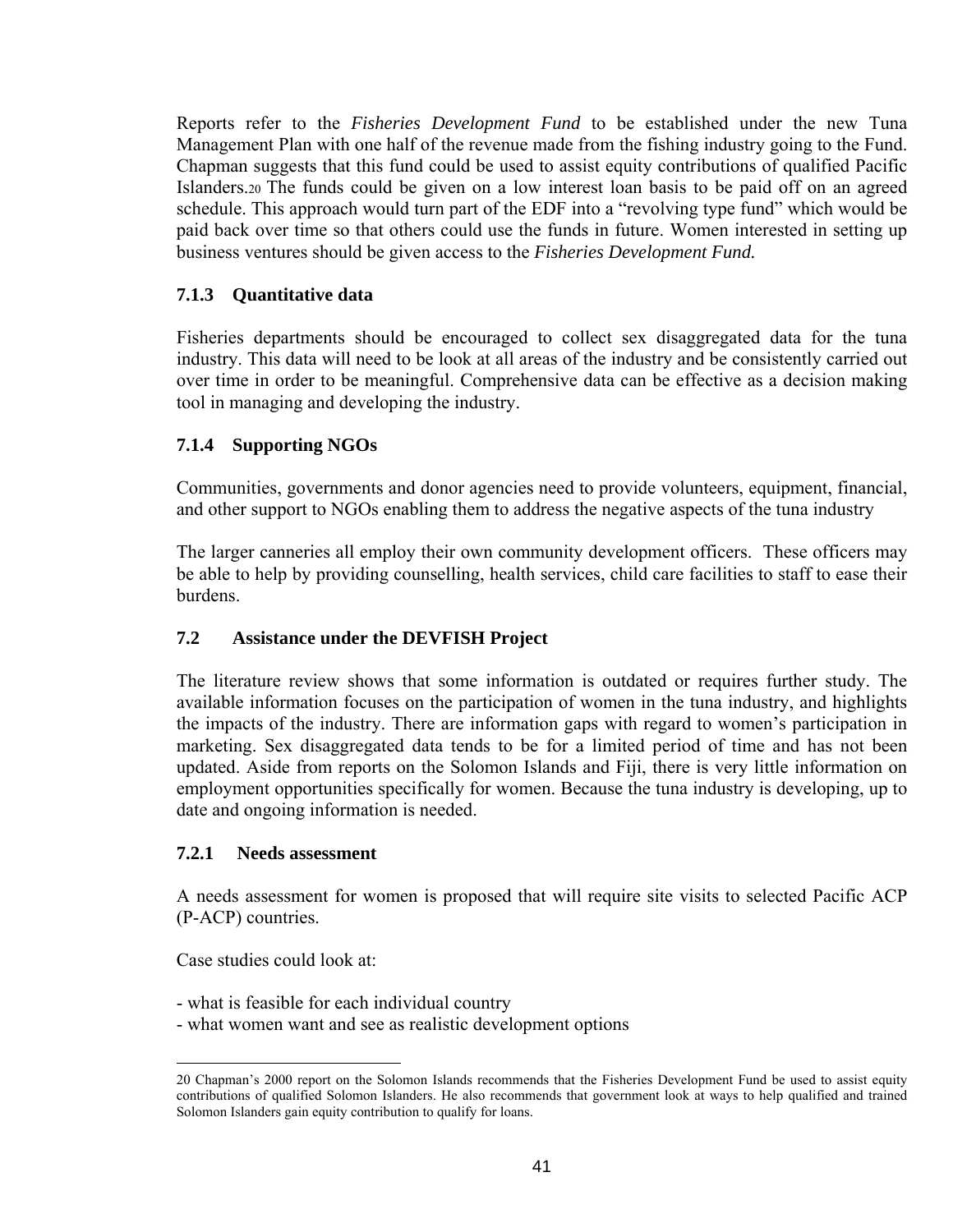Reports refer to the *Fisheries Development Fund* to be established under the new Tuna Management Plan with one half of the revenue made from the fishing industry going to the Fund. Chapman suggests that this fund could be used to assist equity contributions of qualified Pacific Islanders.[20](#page-40-0) The funds could be given on a low interest loan basis to be paid off on an agreed schedule. This approach would turn part of the EDF into a "revolving type fund" which would be paid back over time so that others could use the funds in future. Women interested in setting up business ventures should be given access to the *Fisheries Development Fund.* 

# **7.1.3 Quantitative data**

Fisheries departments should be encouraged to collect sex disaggregated data for the tuna industry. This data will need to be look at all areas of the industry and be consistently carried out over time in order to be meaningful. Comprehensive data can be effective as a decision making tool in managing and developing the industry.

# **7.1.4 Supporting NGOs**

Communities, governments and donor agencies need to provide volunteers, equipment, financial, and other support to NGOs enabling them to address the negative aspects of the tuna industry

The larger canneries all employ their own community development officers. These officers may be able to help by providing counselling, health services, child care facilities to staff to ease their burdens.

## **7.2 Assistance under the DEVFISH Project**

The literature review shows that some information is outdated or requires further study. The available information focuses on the participation of women in the tuna industry, and highlights the impacts of the industry. There are information gaps with regard to women's participation in marketing. Sex disaggregated data tends to be for a limited period of time and has not been updated. Aside from reports on the Solomon Islands and Fiji, there is very little information on employment opportunities specifically for women. Because the tuna industry is developing, up to date and ongoing information is needed.

## **7.2.1 Needs assessment**

A needs assessment for women is proposed that will require site visits to selected Pacific ACP (P-ACP) countries.

Case studies could look at:

- what is feasible for each individual country
- what women want and see as realistic development options

<span id="page-40-0"></span> <sup>20</sup> Chapman's 2000 report on the Solomon Islands recommends that the Fisheries Development Fund be used to assist equity contributions of qualified Solomon Islanders. He also recommends that government look at ways to help qualified and trained Solomon Islanders gain equity contribution to qualify for loans.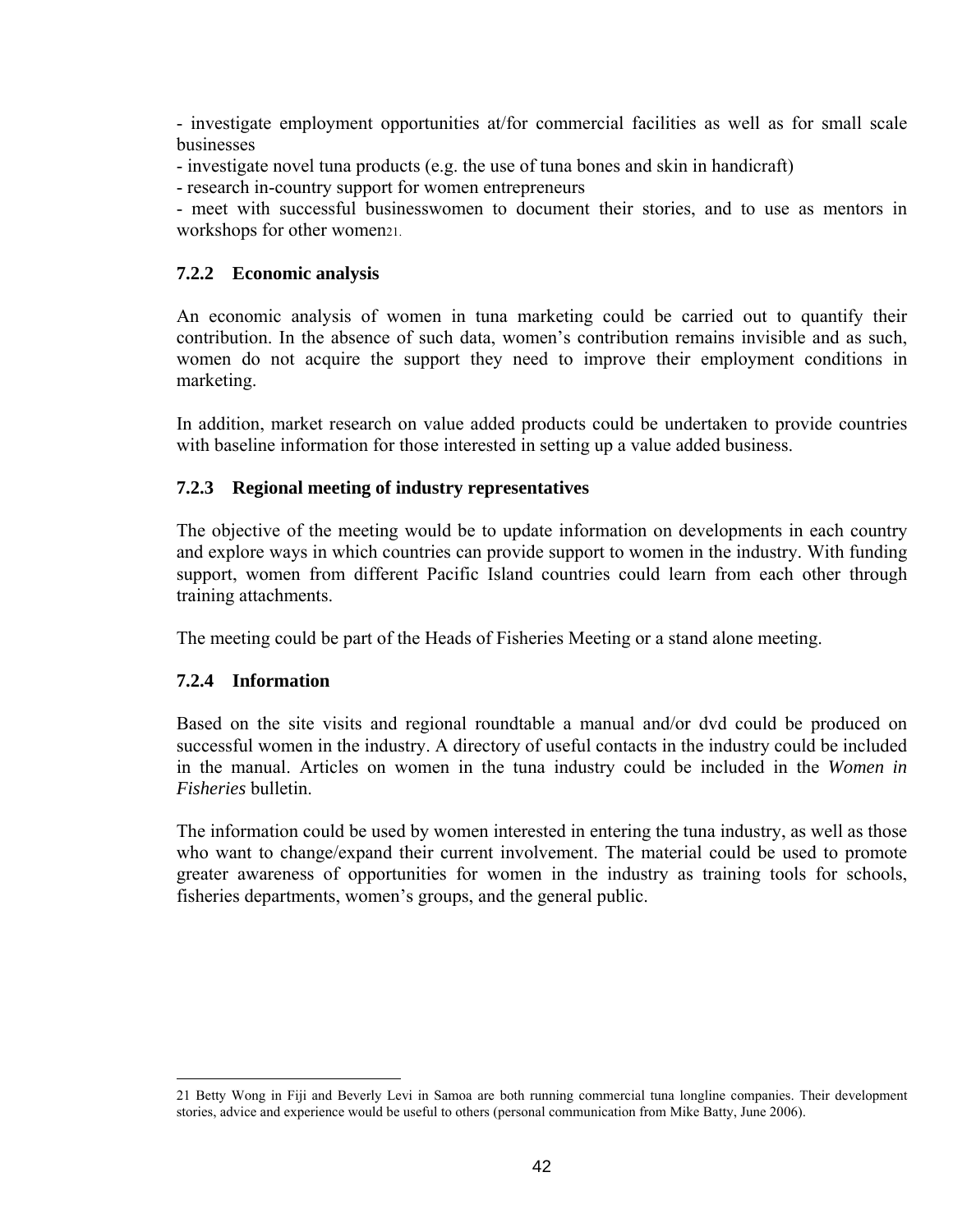- investigate employment opportunities at/for commercial facilities as well as for small scale businesses

- investigate novel tuna products (e.g. the use of tuna bones and skin in handicraft)
- research in-country support for women entrepreneurs

- meet with successful businesswomen to document their stories, and to use as mentors in workshops for other women21.

#### **7.2.2 Economic analysis**

An economic analysis of women in tuna marketing could be carried out to quantify their contribution. In the absence of such data, women's contribution remains invisible and as such, women do not acquire the support they need to improve their employment conditions in marketing.

In addition, market research on value added products could be undertaken to provide countries with baseline information for those interested in setting up a value added business.

#### **7.2.3 Regional meeting of industry representatives**

The objective of the meeting would be to update information on developments in each country and explore ways in which countries can provide support to women in the industry. With funding support, women from different Pacific Island countries could learn from each other through training attachments.

The meeting could be part of the Heads of Fisheries Meeting or a stand alone meeting.

#### **7.2.4 Information**

Based on the site visits and regional roundtable a manual and/or dvd could be produced on successful women in the industry. A directory of useful contacts in the industry could be included in the manual. Articles on women in the tuna industry could be included in the *Women in Fisheries* bulletin.

The information could be used by women interested in entering the tuna industry, as well as those who want to change/expand their current involvement. The material could be used to promote greater awareness of opportunities for women in the industry as training tools for schools, fisheries departments, women's groups, and the general public.

<span id="page-41-0"></span> <sup>21</sup> Betty Wong in Fiji and Beverly Levi in Samoa are both running commercial tuna longline companies. Their development stories, advice and experience would be useful to others (personal communication from Mike Batty, June 2006).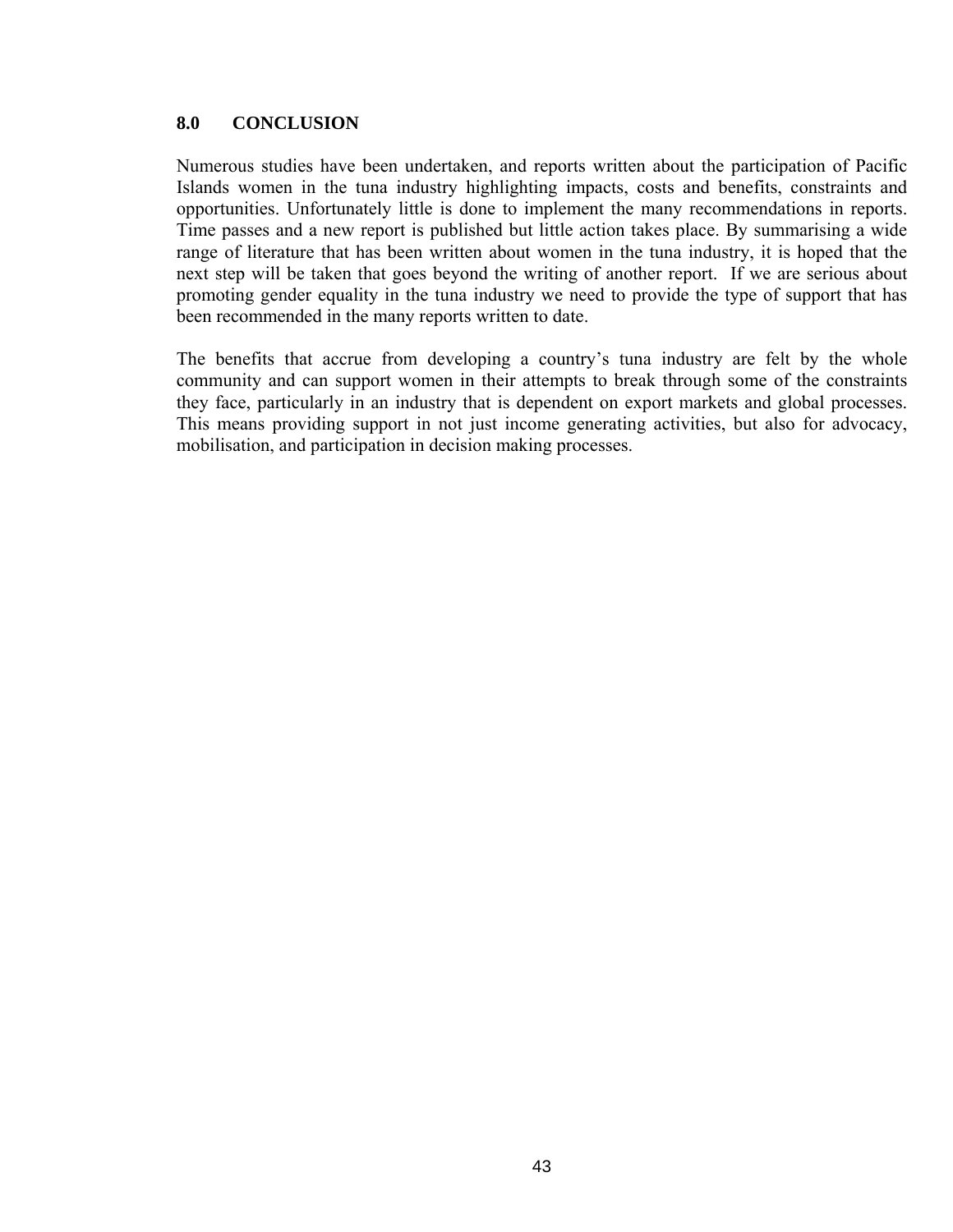#### **8.0 CONCLUSION**

Numerous studies have been undertaken, and reports written about the participation of Pacific Islands women in the tuna industry highlighting impacts, costs and benefits, constraints and opportunities. Unfortunately little is done to implement the many recommendations in reports. Time passes and a new report is published but little action takes place. By summarising a wide range of literature that has been written about women in the tuna industry, it is hoped that the next step will be taken that goes beyond the writing of another report. If we are serious about promoting gender equality in the tuna industry we need to provide the type of support that has been recommended in the many reports written to date.

The benefits that accrue from developing a country's tuna industry are felt by the whole community and can support women in their attempts to break through some of the constraints they face, particularly in an industry that is dependent on export markets and global processes. This means providing support in not just income generating activities, but also for advocacy, mobilisation, and participation in decision making processes.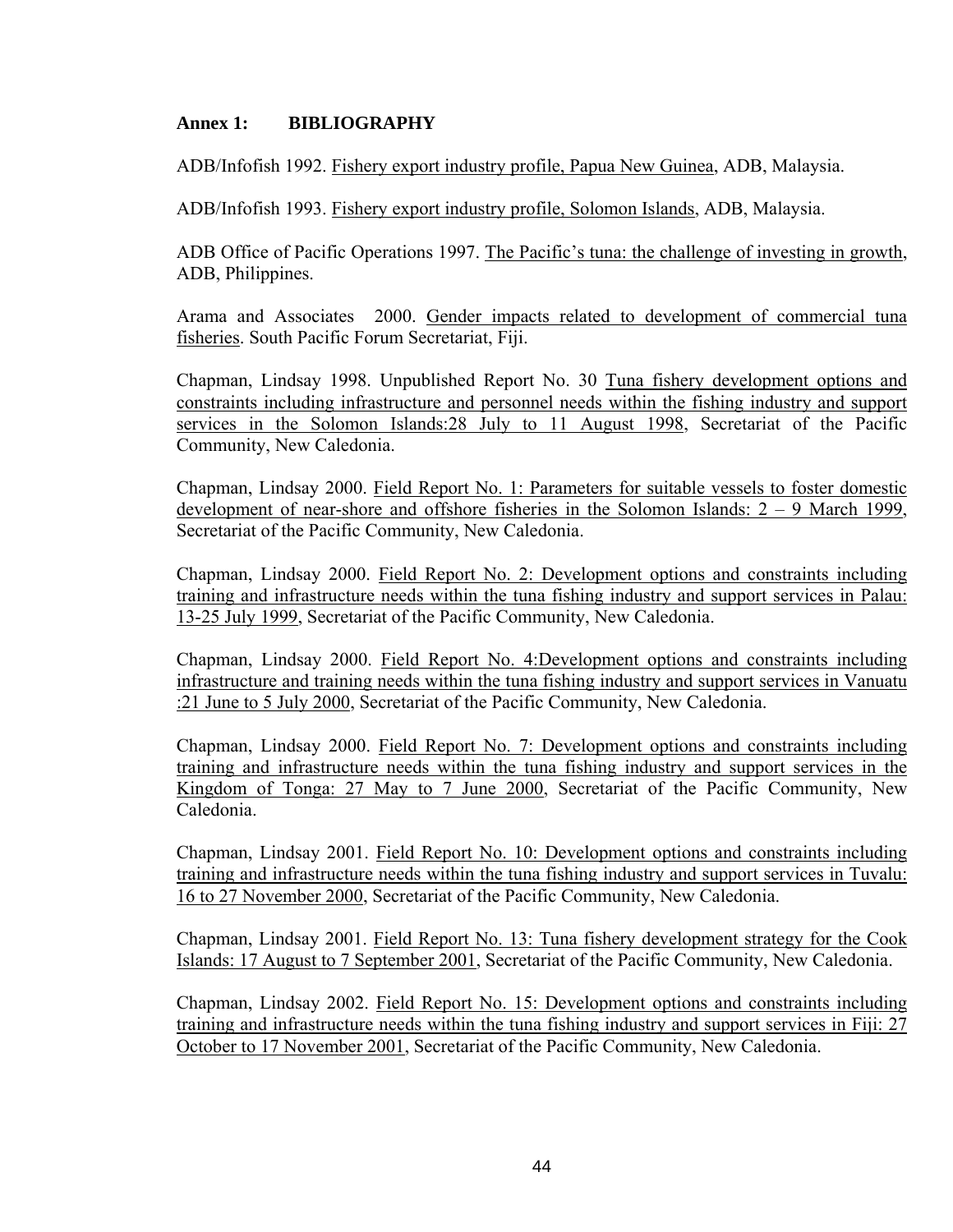#### **Annex 1: BIBLIOGRAPHY**

ADB/Infofish 1992. Fishery export industry profile, Papua New Guinea, ADB, Malaysia.

ADB/Infofish 1993. Fishery export industry profile, Solomon Islands, ADB, Malaysia.

ADB Office of Pacific Operations 1997. The Pacific's tuna: the challenge of investing in growth, ADB, Philippines.

Arama and Associates 2000. Gender impacts related to development of commercial tuna fisheries. South Pacific Forum Secretariat, Fiji.

Chapman, Lindsay 1998. Unpublished Report No. 30 Tuna fishery development options and constraints including infrastructure and personnel needs within the fishing industry and support services in the Solomon Islands:28 July to 11 August 1998, Secretariat of the Pacific Community, New Caledonia.

Chapman, Lindsay 2000. Field Report No. 1: Parameters for suitable vessels to foster domestic development of near-shore and offshore fisheries in the Solomon Islands: 2 – 9 March 1999, Secretariat of the Pacific Community, New Caledonia.

Chapman, Lindsay 2000. Field Report No. 2: Development options and constraints including training and infrastructure needs within the tuna fishing industry and support services in Palau: 13-25 July 1999, Secretariat of the Pacific Community, New Caledonia.

Chapman, Lindsay 2000. Field Report No. 4:Development options and constraints including infrastructure and training needs within the tuna fishing industry and support services in Vanuatu :21 June to 5 July 2000, Secretariat of the Pacific Community, New Caledonia.

Chapman, Lindsay 2000. Field Report No. 7: Development options and constraints including training and infrastructure needs within the tuna fishing industry and support services in the Kingdom of Tonga: 27 May to 7 June 2000, Secretariat of the Pacific Community, New Caledonia.

Chapman, Lindsay 2001. Field Report No. 10: Development options and constraints including training and infrastructure needs within the tuna fishing industry and support services in Tuvalu: 16 to 27 November 2000, Secretariat of the Pacific Community, New Caledonia.

Chapman, Lindsay 2001. Field Report No. 13: Tuna fishery development strategy for the Cook Islands: 17 August to 7 September 2001, Secretariat of the Pacific Community, New Caledonia.

Chapman, Lindsay 2002. Field Report No. 15: Development options and constraints including training and infrastructure needs within the tuna fishing industry and support services in Fiji: 27 October to 17 November 2001, Secretariat of the Pacific Community, New Caledonia.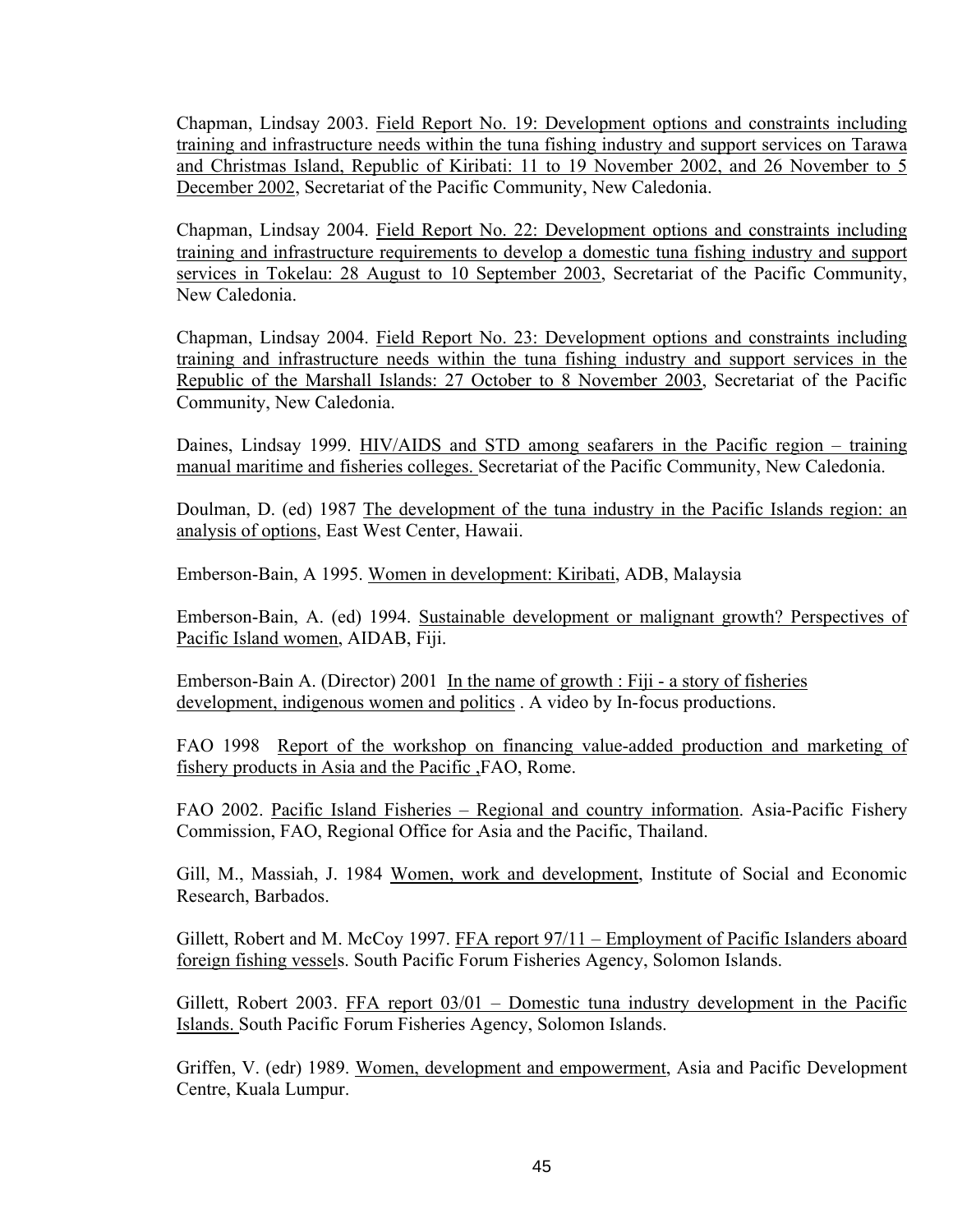Chapman, Lindsay 2003. Field Report No. 19: Development options and constraints including training and infrastructure needs within the tuna fishing industry and support services on Tarawa and Christmas Island, Republic of Kiribati: 11 to 19 November 2002, and 26 November to 5 December 2002, Secretariat of the Pacific Community, New Caledonia.

Chapman, Lindsay 2004. Field Report No. 22: Development options and constraints including training and infrastructure requirements to develop a domestic tuna fishing industry and support services in Tokelau: 28 August to 10 September 2003, Secretariat of the Pacific Community, New Caledonia.

Chapman, Lindsay 2004. Field Report No. 23: Development options and constraints including training and infrastructure needs within the tuna fishing industry and support services in the Republic of the Marshall Islands: 27 October to 8 November 2003, Secretariat of the Pacific Community, New Caledonia.

Daines, Lindsay 1999. HIV/AIDS and STD among seafarers in the Pacific region – training manual maritime and fisheries colleges. Secretariat of the Pacific Community, New Caledonia.

Doulman, D. (ed) 1987 The development of the tuna industry in the Pacific Islands region: an analysis of options, East West Center, Hawaii.

Emberson-Bain, A 1995. Women in development: Kiribati, ADB, Malaysia

Emberson-Bain, A. (ed) 1994. Sustainable development or malignant growth? Perspectives of Pacific Island women, AIDAB, Fiji.

Emberson-Bain A. (Director) 2001 In the name of growth : Fiji - a story of fisheries development, indigenous women and politics . A video by In-focus productions.

FAO 1998 Report of the workshop on financing value-added production and marketing of fishery products in Asia and the Pacific ,FAO, Rome.

FAO 2002. Pacific Island Fisheries – Regional and country information. Asia-Pacific Fishery Commission, FAO, Regional Office for Asia and the Pacific, Thailand.

Gill, M., Massiah, J. 1984 Women, work and development, Institute of Social and Economic Research, Barbados.

Gillett, Robert and M. McCoy 1997. FFA report 97/11 – Employment of Pacific Islanders aboard foreign fishing vessels. South Pacific Forum Fisheries Agency, Solomon Islands.

Gillett, Robert 2003. FFA report 03/01 – Domestic tuna industry development in the Pacific Islands. South Pacific Forum Fisheries Agency, Solomon Islands.

Griffen, V. (edr) 1989. Women, development and empowerment, Asia and Pacific Development Centre, Kuala Lumpur.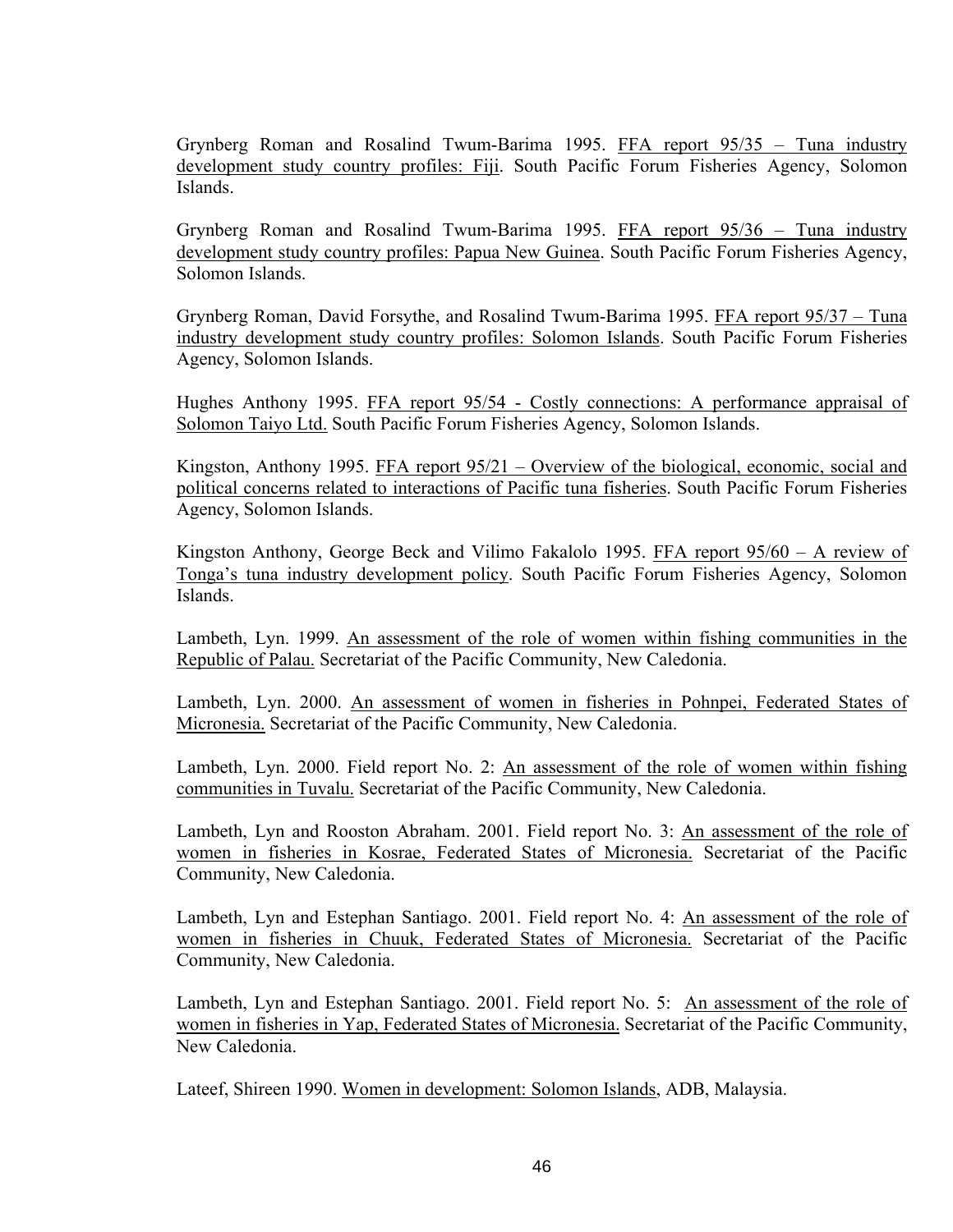Grynberg Roman and Rosalind Twum-Barima 1995. FFA report 95/35 – Tuna industry development study country profiles: Fiji. South Pacific Forum Fisheries Agency, Solomon Islands.

Grynberg Roman and Rosalind Twum-Barima 1995. FFA report 95/36 – Tuna industry development study country profiles: Papua New Guinea. South Pacific Forum Fisheries Agency, Solomon Islands.

Grynberg Roman, David Forsythe, and Rosalind Twum-Barima 1995. FFA report 95/37 – Tuna industry development study country profiles: Solomon Islands. South Pacific Forum Fisheries Agency, Solomon Islands.

Hughes Anthony 1995. FFA report 95/54 - Costly connections: A performance appraisal of Solomon Taiyo Ltd. South Pacific Forum Fisheries Agency, Solomon Islands.

Kingston, Anthony 1995. FFA report 95/21 – Overview of the biological, economic, social and political concerns related to interactions of Pacific tuna fisheries. South Pacific Forum Fisheries Agency, Solomon Islands.

Kingston Anthony, George Beck and Vilimo Fakalolo 1995. FFA report 95/60 – A review of Tonga's tuna industry development policy. South Pacific Forum Fisheries Agency, Solomon Islands.

Lambeth, Lyn. 1999. An assessment of the role of women within fishing communities in the Republic of Palau. Secretariat of the Pacific Community, New Caledonia.

Lambeth, Lyn. 2000. An assessment of women in fisheries in Pohnpei, Federated States of Micronesia. Secretariat of the Pacific Community, New Caledonia.

Lambeth, Lyn. 2000. Field report No. 2: An assessment of the role of women within fishing communities in Tuvalu. Secretariat of the Pacific Community, New Caledonia.

Lambeth, Lyn and Rooston Abraham. 2001. Field report No. 3: An assessment of the role of women in fisheries in Kosrae, Federated States of Micronesia. Secretariat of the Pacific Community, New Caledonia.

Lambeth, Lyn and Estephan Santiago. 2001. Field report No. 4: An assessment of the role of women in fisheries in Chuuk, Federated States of Micronesia. Secretariat of the Pacific Community, New Caledonia.

Lambeth, Lyn and Estephan Santiago. 2001. Field report No. 5: An assessment of the role of women in fisheries in Yap, Federated States of Micronesia. Secretariat of the Pacific Community, New Caledonia.

Lateef, Shireen 1990. Women in development: Solomon Islands, ADB, Malaysia.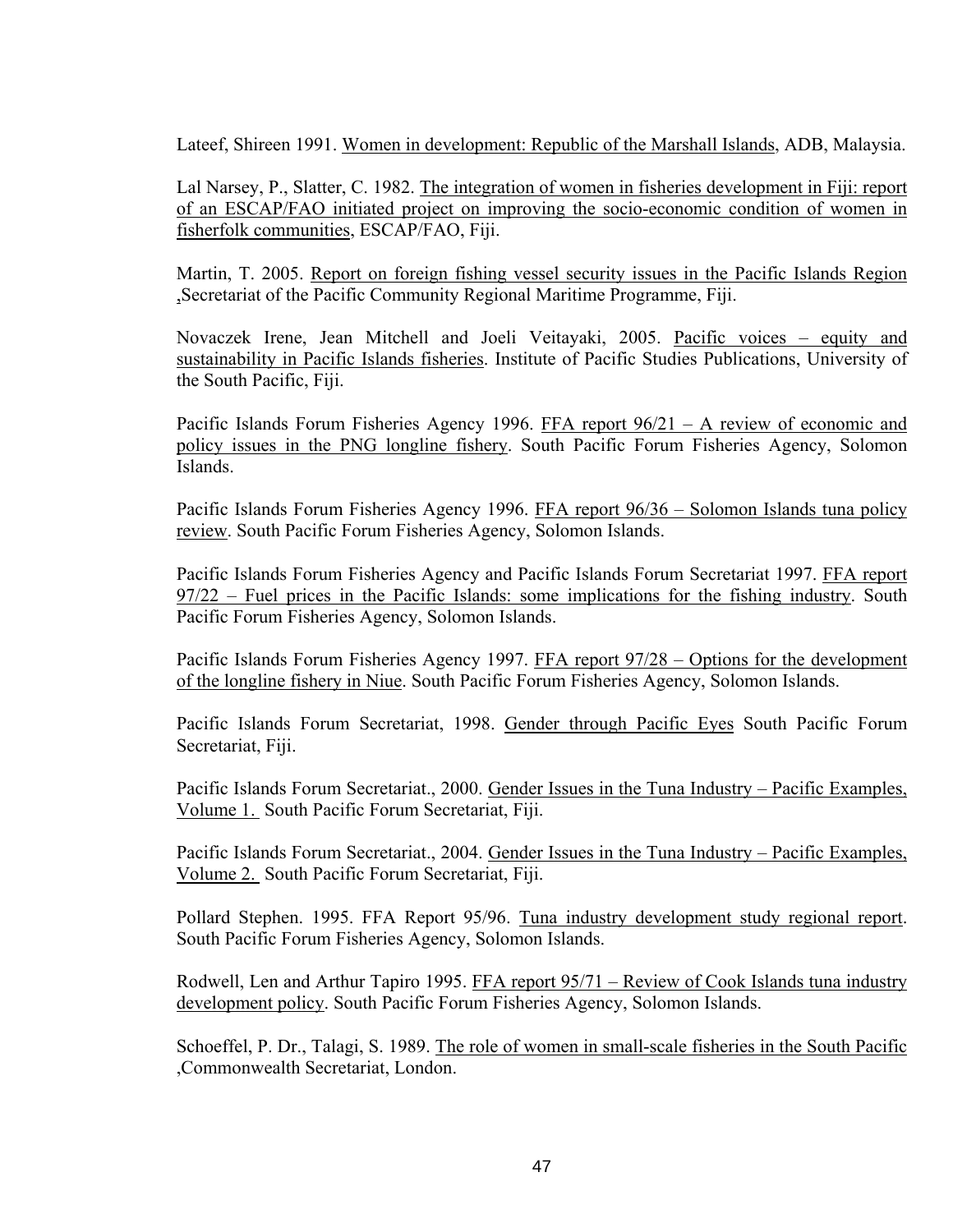Lateef, Shireen 1991. Women in development: Republic of the Marshall Islands, ADB, Malaysia.

Lal Narsey, P., Slatter, C. 1982. The integration of women in fisheries development in Fiji: report of an ESCAP/FAO initiated project on improving the socio-economic condition of women in fisherfolk communities, ESCAP/FAO, Fiji.

Martin, T. 2005. Report on foreign fishing vessel security issues in the Pacific Islands Region ,Secretariat of the Pacific Community Regional Maritime Programme, Fiji.

Novaczek Irene, Jean Mitchell and Joeli Veitayaki, 2005. Pacific voices – equity and sustainability in Pacific Islands fisheries. Institute of Pacific Studies Publications, University of the South Pacific, Fiji.

Pacific Islands Forum Fisheries Agency 1996. FFA report 96/21 – A review of economic and policy issues in the PNG longline fishery. South Pacific Forum Fisheries Agency, Solomon Islands.

Pacific Islands Forum Fisheries Agency 1996. FFA report 96/36 – Solomon Islands tuna policy review. South Pacific Forum Fisheries Agency, Solomon Islands.

Pacific Islands Forum Fisheries Agency and Pacific Islands Forum Secretariat 1997. FFA report 97/22 – Fuel prices in the Pacific Islands: some implications for the fishing industry. South Pacific Forum Fisheries Agency, Solomon Islands.

Pacific Islands Forum Fisheries Agency 1997. FFA report 97/28 – Options for the development of the longline fishery in Niue. South Pacific Forum Fisheries Agency, Solomon Islands.

Pacific Islands Forum Secretariat, 1998. Gender through Pacific Eyes South Pacific Forum Secretariat, Fiji.

Pacific Islands Forum Secretariat., 2000. Gender Issues in the Tuna Industry – Pacific Examples, Volume 1. South Pacific Forum Secretariat, Fiji.

Pacific Islands Forum Secretariat., 2004. Gender Issues in the Tuna Industry – Pacific Examples, Volume 2. South Pacific Forum Secretariat, Fiji.

Pollard Stephen. 1995. FFA Report 95/96. Tuna industry development study regional report. South Pacific Forum Fisheries Agency, Solomon Islands.

Rodwell, Len and Arthur Tapiro 1995. FFA report 95/71 – Review of Cook Islands tuna industry development policy. South Pacific Forum Fisheries Agency, Solomon Islands.

Schoeffel, P. Dr., Talagi, S. 1989. The role of women in small-scale fisheries in the South Pacific ,Commonwealth Secretariat, London.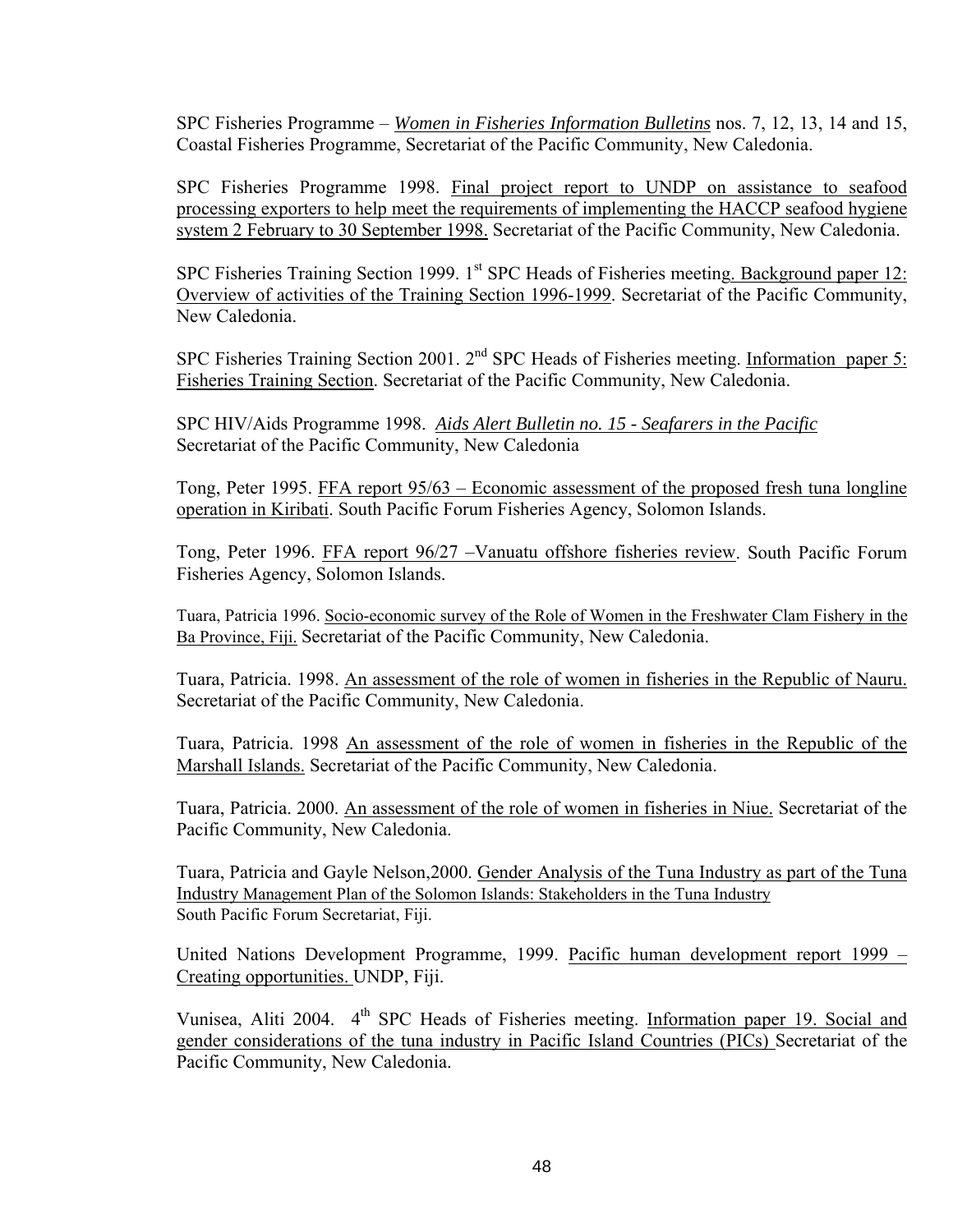SPC Fisheries Programme – *Women in Fisheries Information Bulletins* nos. 7, 12, 13, 14 and 15, Coastal Fisheries Programme, Secretariat of the Pacific Community, New Caledonia.

SPC Fisheries Programme 1998. Final project report to UNDP on assistance to seafood processing exporters to help meet the requirements of implementing the HACCP seafood hygiene system 2 February to 30 September 1998. Secretariat of the Pacific Community, New Caledonia.

SPC Fisheries Training Section 1999.  $1<sup>st</sup>$  SPC Heads of Fisheries meeting. Background paper 12: Overview of activities of the Training Section 1996-1999. Secretariat of the Pacific Community, New Caledonia.

SPC Fisheries Training Section 2001. 2<sup>nd</sup> SPC Heads of Fisheries meeting. Information paper 5: Fisheries Training Section. Secretariat of the Pacific Community, New Caledonia.

SPC HIV/Aids Programme 1998. *Aids Alert Bulletin no. 15 - Seafarers in the Pacific* Secretariat of the Pacific Community, New Caledonia

Tong, Peter 1995. FFA report 95/63 – Economic assessment of the proposed fresh tuna longline operation in Kiribati. South Pacific Forum Fisheries Agency, Solomon Islands.

Tong, Peter 1996. FFA report 96/27 –Vanuatu offshore fisheries review. South Pacific Forum Fisheries Agency, Solomon Islands.

Tuara, Patricia 1996. Socio-economic survey of the Role of Women in the Freshwater Clam Fishery in the Ba Province, Fiji. Secretariat of the Pacific Community, New Caledonia.

Tuara, Patricia. 1998. An assessment of the role of women in fisheries in the Republic of Nauru. Secretariat of the Pacific Community, New Caledonia.

Tuara, Patricia. 1998 An assessment of the role of women in fisheries in the Republic of the Marshall Islands. Secretariat of the Pacific Community, New Caledonia.

Tuara, Patricia. 2000. An assessment of the role of women in fisheries in Niue. Secretariat of the Pacific Community, New Caledonia.

Tuara, Patricia and Gayle Nelson,2000. Gender Analysis of the Tuna Industry as part of the Tuna Industry Management Plan of the Solomon Islands: Stakeholders in the Tuna Industry South Pacific Forum Secretariat, Fiji.

United Nations Development Programme, 1999. Pacific human development report 1999 – Creating opportunities. UNDP, Fiji.

Vunisea, Aliti 2004. 4<sup>th</sup> SPC Heads of Fisheries meeting. Information paper 19. Social and gender considerations of the tuna industry in Pacific Island Countries (PICs) Secretariat of the Pacific Community, New Caledonia.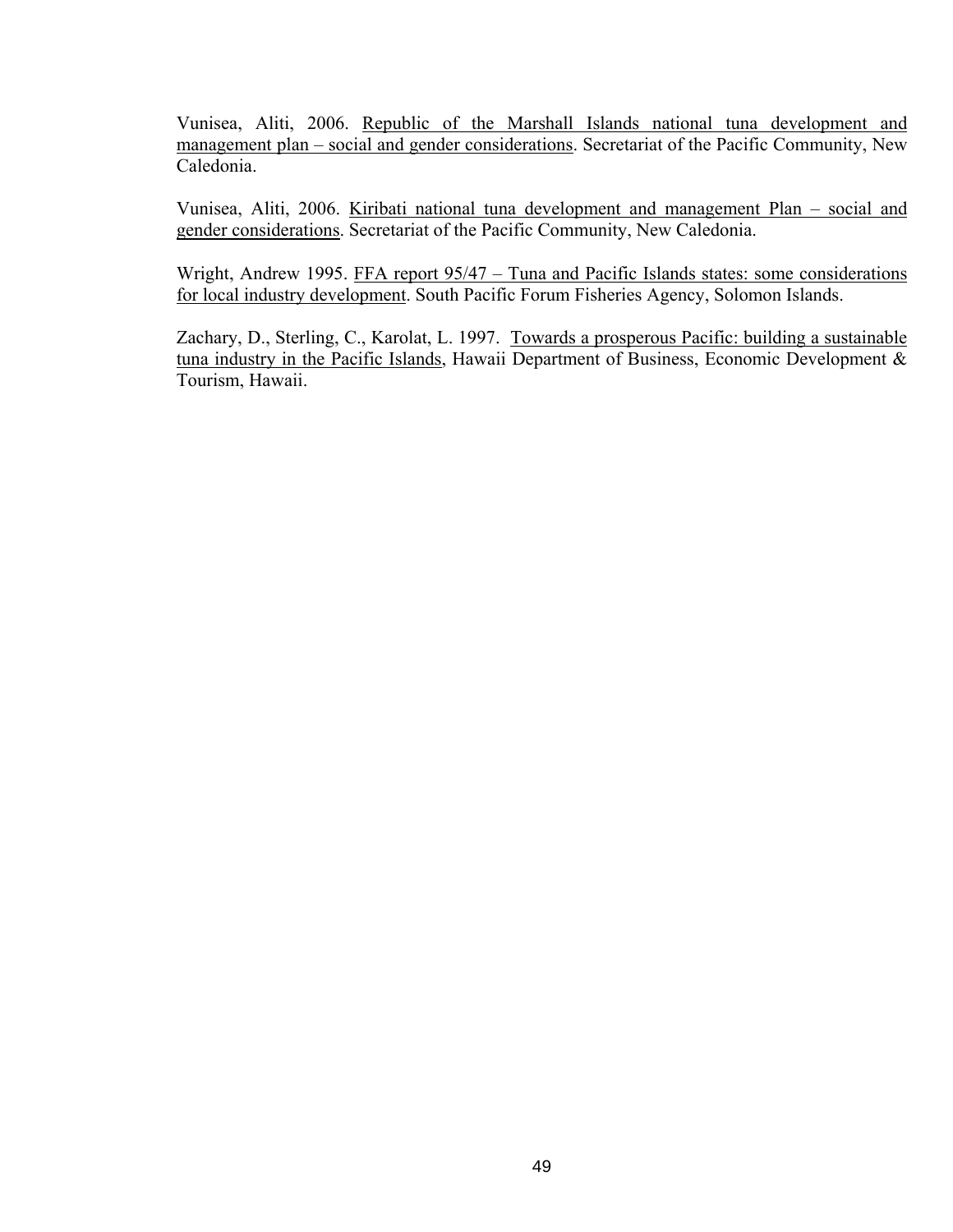Vunisea, Aliti, 2006. Republic of the Marshall Islands national tuna development and management plan – social and gender considerations. Secretariat of the Pacific Community, New Caledonia.

Vunisea, Aliti, 2006. Kiribati national tuna development and management Plan – social and gender considerations. Secretariat of the Pacific Community, New Caledonia.

Wright, Andrew 1995. FFA report 95/47 – Tuna and Pacific Islands states: some considerations for local industry development. South Pacific Forum Fisheries Agency, Solomon Islands.

Zachary, D., Sterling, C., Karolat, L. 1997. Towards a prosperous Pacific: building a sustainable tuna industry in the Pacific Islands, Hawaii Department of Business, Economic Development & Tourism, Hawaii.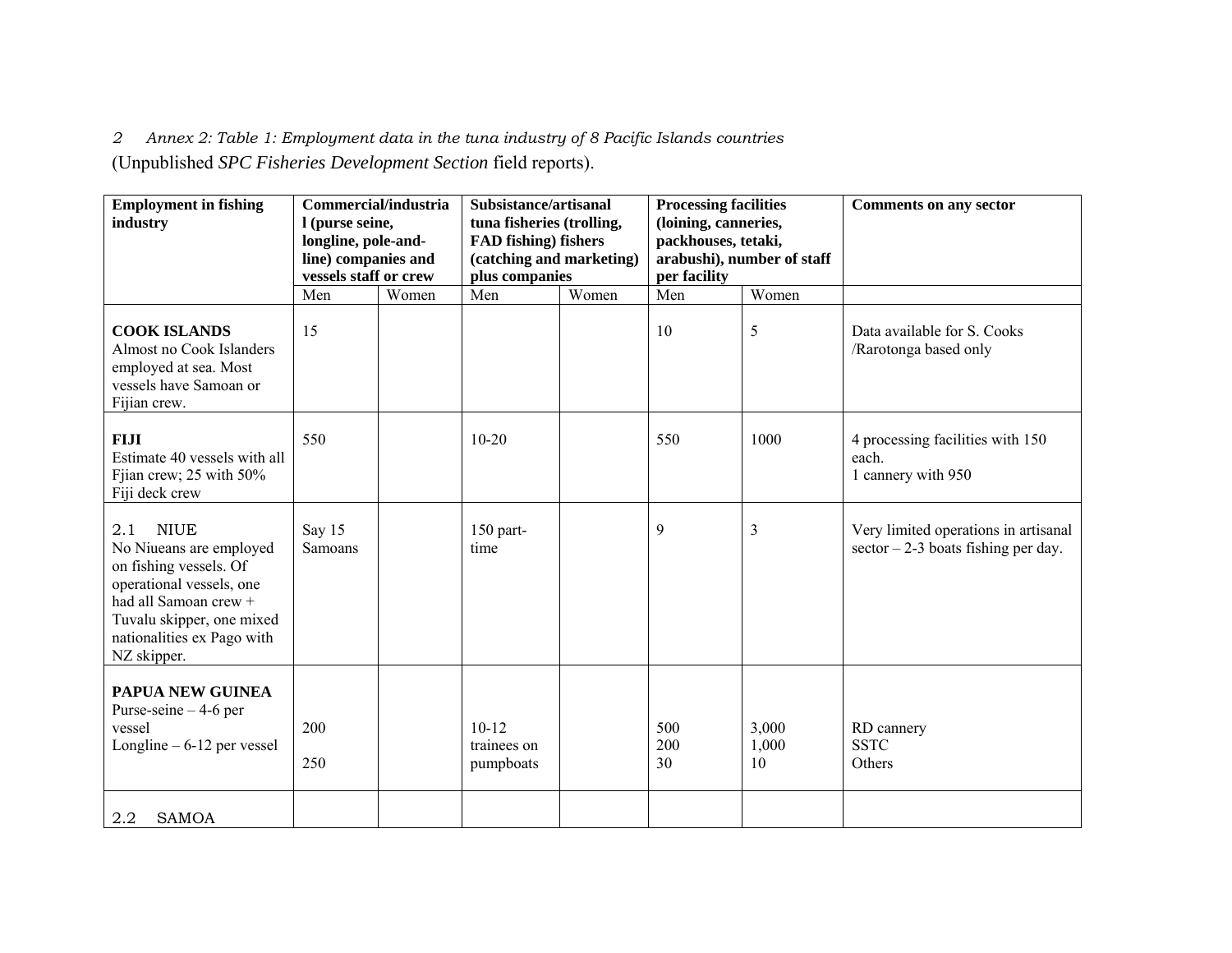*2 Annex 2: Table 1: Employment data in the tuna industry of 8 Pacific Islands countries* 

(Unpublished *SPC Fisheries Development Section* field reports).

| <b>Employment in fishing</b><br>industry                                                                                                                                                               | Commercial/industria<br>I (purse seine,<br>longline, pole-and-<br>line) companies and<br>vessels staff or crew |       | Subsistance/artisanal<br>tuna fisheries (trolling,<br>FAD fishing) fishers<br>(catching and marketing)<br>plus companies |       | <b>Processing facilities</b><br>(loining, canneries,<br>packhouses, tetaki,<br>arabushi), number of staff<br>per facility |                      | <b>Comments on any sector</b>                                                |
|--------------------------------------------------------------------------------------------------------------------------------------------------------------------------------------------------------|----------------------------------------------------------------------------------------------------------------|-------|--------------------------------------------------------------------------------------------------------------------------|-------|---------------------------------------------------------------------------------------------------------------------------|----------------------|------------------------------------------------------------------------------|
|                                                                                                                                                                                                        | Men                                                                                                            | Women | Men                                                                                                                      | Women | Men                                                                                                                       | Women                |                                                                              |
| <b>COOK ISLANDS</b><br>Almost no Cook Islanders<br>employed at sea. Most<br>vessels have Samoan or<br>Fijian crew.                                                                                     | 15                                                                                                             |       |                                                                                                                          |       | 10                                                                                                                        | 5                    | Data available for S. Cooks<br>/Rarotonga based only                         |
| <b>FIJI</b><br>Estimate 40 yessels with all<br>Fjian crew; 25 with 50%<br>Fiji deck crew                                                                                                               | 550                                                                                                            |       | $10 - 20$                                                                                                                |       | 550                                                                                                                       | 1000                 | 4 processing facilities with 150<br>each.<br>1 cannery with 950              |
| <b>NIUE</b><br>2.1<br>No Niueans are employed<br>on fishing vessels. Of<br>operational vessels, one<br>had all Samoan crew +<br>Tuvalu skipper, one mixed<br>nationalities ex Pago with<br>NZ skipper. | Say 15<br>Samoans                                                                                              |       | 150 part-<br>time                                                                                                        |       | 9                                                                                                                         | $\overline{3}$       | Very limited operations in artisanal<br>$sector -2-3$ boats fishing per day. |
| <b>PAPUA NEW GUINEA</b><br>Purse-seine $-4$ -6 per<br>vessel<br>Longline $-6-12$ per vessel                                                                                                            | 200<br>250                                                                                                     |       | $10-12$<br>trainees on<br>pumpboats                                                                                      |       | 500<br>200<br>30                                                                                                          | 3,000<br>1,000<br>10 | RD cannery<br><b>SSTC</b><br>Others                                          |
| 2.2<br><b>SAMOA</b>                                                                                                                                                                                    |                                                                                                                |       |                                                                                                                          |       |                                                                                                                           |                      |                                                                              |